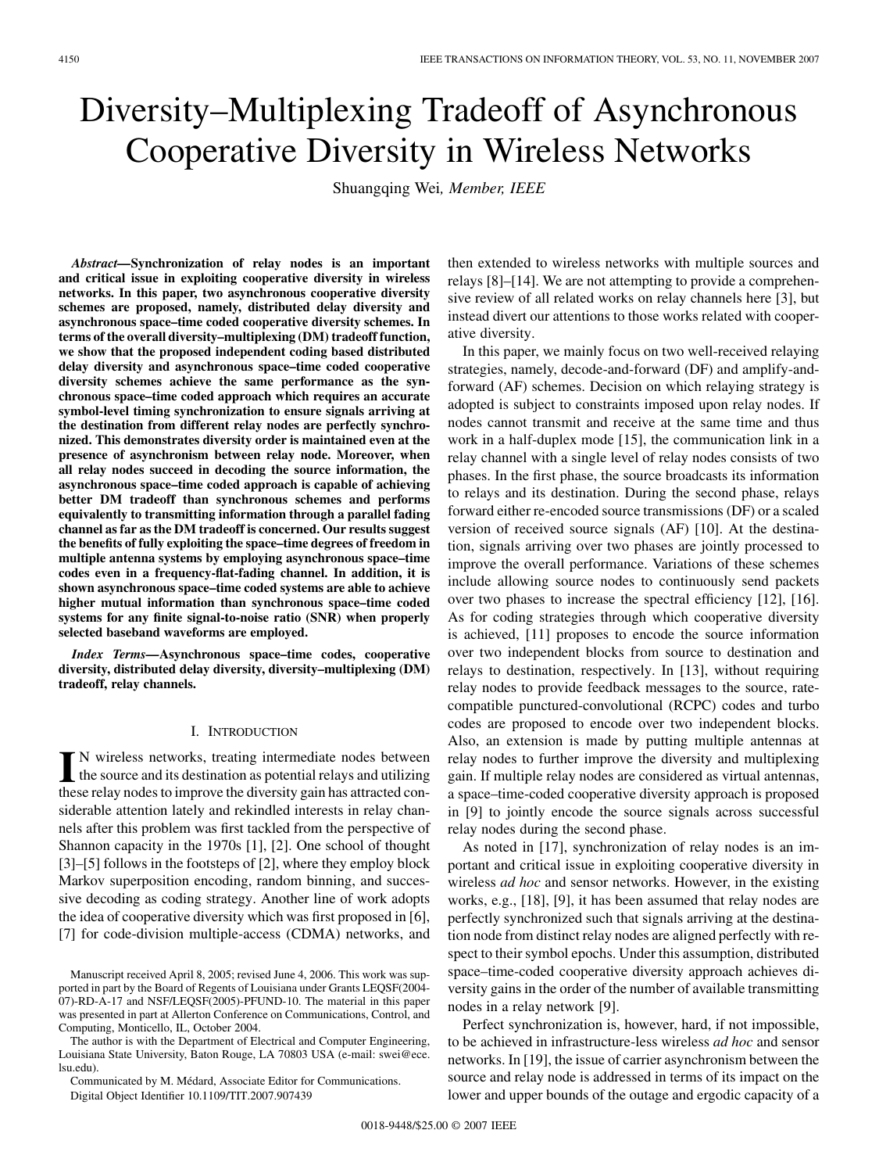# Diversity–Multiplexing Tradeoff of Asynchronous Cooperative Diversity in Wireless Networks

Shuangqing Wei*, Member, IEEE*

*Abstract—***Synchronization of relay nodes is an important and critical issue in exploiting cooperative diversity in wireless networks. In this paper, two asynchronous cooperative diversity schemes are proposed, namely, distributed delay diversity and asynchronous space–time coded cooperative diversity schemes. In terms of the overall diversity–multiplexing (DM) tradeoff function, we show that the proposed independent coding based distributed delay diversity and asynchronous space–time coded cooperative diversity schemes achieve the same performance as the synchronous space–time coded approach which requires an accurate symbol-level timing synchronization to ensure signals arriving at the destination from different relay nodes are perfectly synchronized. This demonstrates diversity order is maintained even at the presence of asynchronism between relay node. Moreover, when all relay nodes succeed in decoding the source information, the asynchronous space–time coded approach is capable of achieving better DM tradeoff than synchronous schemes and performs equivalently to transmitting information through a parallel fading channel as far as the DM tradeoff is concerned. Our results suggest the benefits of fully exploiting the space–time degrees of freedom in multiple antenna systems by employing asynchronous space–time codes even in a frequency-flat-fading channel. In addition, it is shown asynchronous space–time coded systems are able to achieve higher mutual information than synchronous space–time coded systems for any finite signal-to-noise ratio (SNR) when properly selected baseband waveforms are employed.**

*Index Terms—***Asynchronous space–time codes, cooperative diversity, distributed delay diversity, diversity–multiplexing (DM) tradeoff, relay channels.**

#### I. INTRODUCTION

I N wireless networks, treating intermediate nodes between<br>the source and its destination as potential relays and utilizing<br>these relay nodes to improve the diversity acip has attracted conthese relay nodes to improve the diversity gain has attracted considerable attention lately and rekindled interests in relay channels after this problem was first tackled from the perspective of Shannon capacity in the 1970s [1], [2]. One school of thought [3]–[5] follows in the footsteps of [2], where they employ block Markov superposition encoding, random binning, and successive decoding as coding strategy. Another line of work adopts the idea of cooperative diversity which was first proposed in [6], [7] for code-division multiple-access (CDMA) networks, and

The author is with the Department of Electrical and Computer Engineering, Louisiana State University, Baton Rouge, LA 70803 USA (e-mail: swei@ece. lsu.edu).

Communicated by M. Médard, Associate Editor for Communications. Digital Object Identifier 10.1109/TIT.2007.907439

then extended to wireless networks with multiple sources and relays [8]–[14]. We are not attempting to provide a comprehensive review of all related works on relay channels here [3], but instead divert our attentions to those works related with cooperative diversity.

In this paper, we mainly focus on two well-received relaying strategies, namely, decode-and-forward (DF) and amplify-andforward (AF) schemes. Decision on which relaying strategy is adopted is subject to constraints imposed upon relay nodes. If nodes cannot transmit and receive at the same time and thus work in a half-duplex mode [15], the communication link in a relay channel with a single level of relay nodes consists of two phases. In the first phase, the source broadcasts its information to relays and its destination. During the second phase, relays forward either re-encoded source transmissions (DF) or a scaled version of received source signals (AF) [10]. At the destination, signals arriving over two phases are jointly processed to improve the overall performance. Variations of these schemes include allowing source nodes to continuously send packets over two phases to increase the spectral efficiency [12], [16]. As for coding strategies through which cooperative diversity is achieved, [11] proposes to encode the source information over two independent blocks from source to destination and relays to destination, respectively. In [13], without requiring relay nodes to provide feedback messages to the source, ratecompatible punctured-convolutional (RCPC) codes and turbo codes are proposed to encode over two independent blocks. Also, an extension is made by putting multiple antennas at relay nodes to further improve the diversity and multiplexing gain. If multiple relay nodes are considered as virtual antennas, a space–time-coded cooperative diversity approach is proposed in [9] to jointly encode the source signals across successful relay nodes during the second phase.

As noted in [17], synchronization of relay nodes is an important and critical issue in exploiting cooperative diversity in wireless *ad hoc* and sensor networks. However, in the existing works, e.g., [18], [9], it has been assumed that relay nodes are perfectly synchronized such that signals arriving at the destination node from distinct relay nodes are aligned perfectly with respect to their symbol epochs. Under this assumption, distributed space–time-coded cooperative diversity approach achieves diversity gains in the order of the number of available transmitting nodes in a relay network [9].

Perfect synchronization is, however, hard, if not impossible, to be achieved in infrastructure-less wireless *ad hoc* and sensor networks. In [19], the issue of carrier asynchronism between the source and relay node is addressed in terms of its impact on the lower and upper bounds of the outage and ergodic capacity of a

Manuscript received April 8, 2005; revised June 4, 2006. This work was supported in part by the Board of Regents of Louisiana under Grants LEQSF(2004- 07)-RD-A-17 and NSF/LEQSF(2005)-PFUND-10. The material in this paper was presented in part at Allerton Conference on Communications, Control, and Computing, Monticello, IL, October 2004.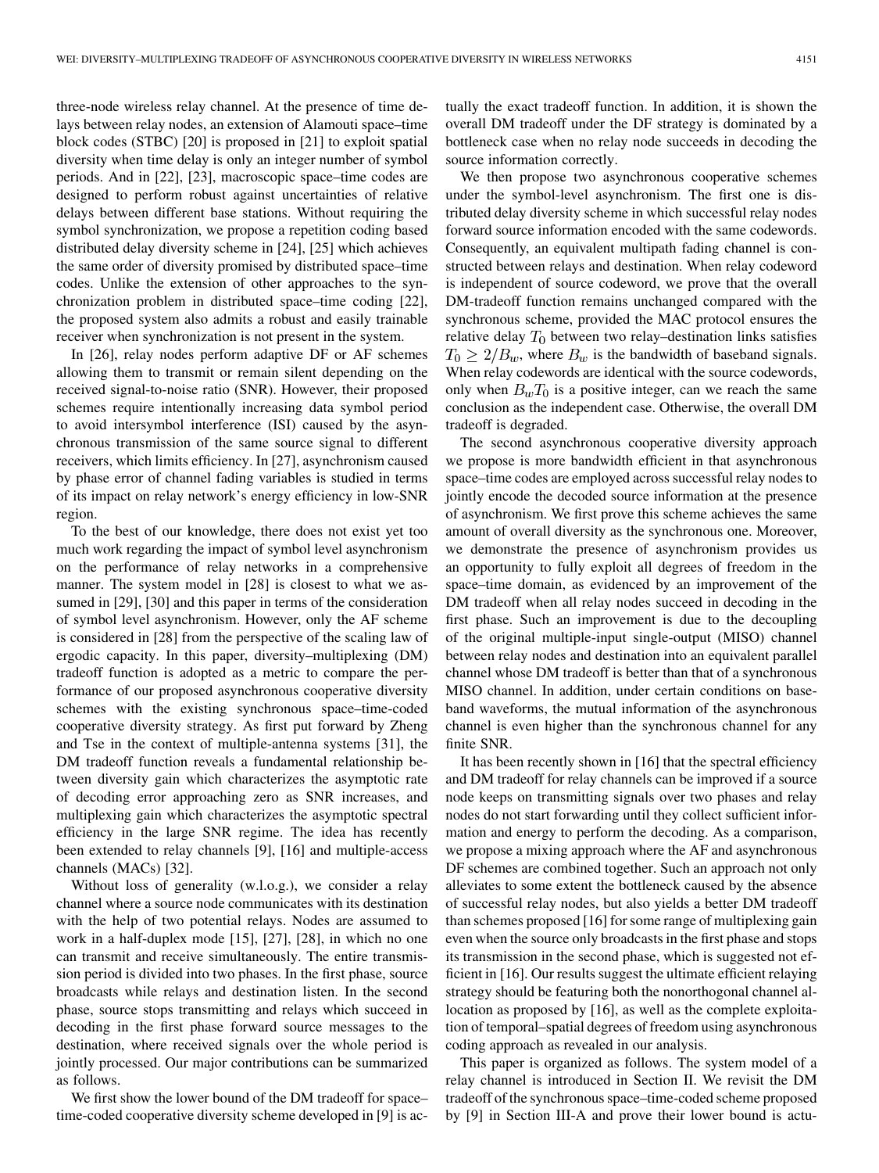three-node wireless relay channel. At the presence of time delays between relay nodes, an extension of Alamouti space–time block codes (STBC) [20] is proposed in [21] to exploit spatial diversity when time delay is only an integer number of symbol periods. And in [22], [23], macroscopic space–time codes are designed to perform robust against uncertainties of relative delays between different base stations. Without requiring the symbol synchronization, we propose a repetition coding based distributed delay diversity scheme in [24], [25] which achieves the same order of diversity promised by distributed space–time codes. Unlike the extension of other approaches to the synchronization problem in distributed space–time coding [22], the proposed system also admits a robust and easily trainable receiver when synchronization is not present in the system.

In [26], relay nodes perform adaptive DF or AF schemes allowing them to transmit or remain silent depending on the received signal-to-noise ratio (SNR). However, their proposed schemes require intentionally increasing data symbol period to avoid intersymbol interference (ISI) caused by the asynchronous transmission of the same source signal to different receivers, which limits efficiency. In [27], asynchronism caused by phase error of channel fading variables is studied in terms of its impact on relay network's energy efficiency in low-SNR region.

To the best of our knowledge, there does not exist yet too much work regarding the impact of symbol level asynchronism on the performance of relay networks in a comprehensive manner. The system model in [28] is closest to what we assumed in [29], [30] and this paper in terms of the consideration of symbol level asynchronism. However, only the AF scheme is considered in [28] from the perspective of the scaling law of ergodic capacity. In this paper, diversity–multiplexing (DM) tradeoff function is adopted as a metric to compare the performance of our proposed asynchronous cooperative diversity schemes with the existing synchronous space–time-coded cooperative diversity strategy. As first put forward by Zheng and Tse in the context of multiple-antenna systems [31], the DM tradeoff function reveals a fundamental relationship between diversity gain which characterizes the asymptotic rate of decoding error approaching zero as SNR increases, and multiplexing gain which characterizes the asymptotic spectral efficiency in the large SNR regime. The idea has recently been extended to relay channels [9], [16] and multiple-access channels (MACs) [32].

Without loss of generality (w.l.o.g.), we consider a relay channel where a source node communicates with its destination with the help of two potential relays. Nodes are assumed to work in a half-duplex mode [15], [27], [28], in which no one can transmit and receive simultaneously. The entire transmission period is divided into two phases. In the first phase, source broadcasts while relays and destination listen. In the second phase, source stops transmitting and relays which succeed in decoding in the first phase forward source messages to the destination, where received signals over the whole period is jointly processed. Our major contributions can be summarized as follows.

We first show the lower bound of the DM tradeoff for space– time-coded cooperative diversity scheme developed in [9] is actually the exact tradeoff function. In addition, it is shown the overall DM tradeoff under the DF strategy is dominated by a bottleneck case when no relay node succeeds in decoding the source information correctly.

We then propose two asynchronous cooperative schemes under the symbol-level asynchronism. The first one is distributed delay diversity scheme in which successful relay nodes forward source information encoded with the same codewords. Consequently, an equivalent multipath fading channel is constructed between relays and destination. When relay codeword is independent of source codeword, we prove that the overall DM-tradeoff function remains unchanged compared with the synchronous scheme, provided the MAC protocol ensures the relative delay  $T_0$  between two relay–destination links satisfies  $T_0 \geq 2/B_w$ , where  $B_w$  is the bandwidth of baseband signals. When relay codewords are identical with the source codewords, only when  $B_wT_0$  is a positive integer, can we reach the same conclusion as the independent case. Otherwise, the overall DM tradeoff is degraded.

The second asynchronous cooperative diversity approach we propose is more bandwidth efficient in that asynchronous space–time codes are employed across successful relay nodes to jointly encode the decoded source information at the presence of asynchronism. We first prove this scheme achieves the same amount of overall diversity as the synchronous one. Moreover, we demonstrate the presence of asynchronism provides us an opportunity to fully exploit all degrees of freedom in the space–time domain, as evidenced by an improvement of the DM tradeoff when all relay nodes succeed in decoding in the first phase. Such an improvement is due to the decoupling of the original multiple-input single-output (MISO) channel between relay nodes and destination into an equivalent parallel channel whose DM tradeoff is better than that of a synchronous MISO channel. In addition, under certain conditions on baseband waveforms, the mutual information of the asynchronous channel is even higher than the synchronous channel for any finite SNR.

It has been recently shown in [16] that the spectral efficiency and DM tradeoff for relay channels can be improved if a source node keeps on transmitting signals over two phases and relay nodes do not start forwarding until they collect sufficient information and energy to perform the decoding. As a comparison, we propose a mixing approach where the AF and asynchronous DF schemes are combined together. Such an approach not only alleviates to some extent the bottleneck caused by the absence of successful relay nodes, but also yields a better DM tradeoff than schemes proposed [16] for some range of multiplexing gain even when the source only broadcasts in the first phase and stops its transmission in the second phase, which is suggested not efficient in [16]. Our results suggest the ultimate efficient relaying strategy should be featuring both the nonorthogonal channel allocation as proposed by [16], as well as the complete exploitation of temporal–spatial degrees of freedom using asynchronous coding approach as revealed in our analysis.

This paper is organized as follows. The system model of a relay channel is introduced in Section II. We revisit the DM tradeoff of the synchronous space–time-coded scheme proposed by [9] in Section III-A and prove their lower bound is actu-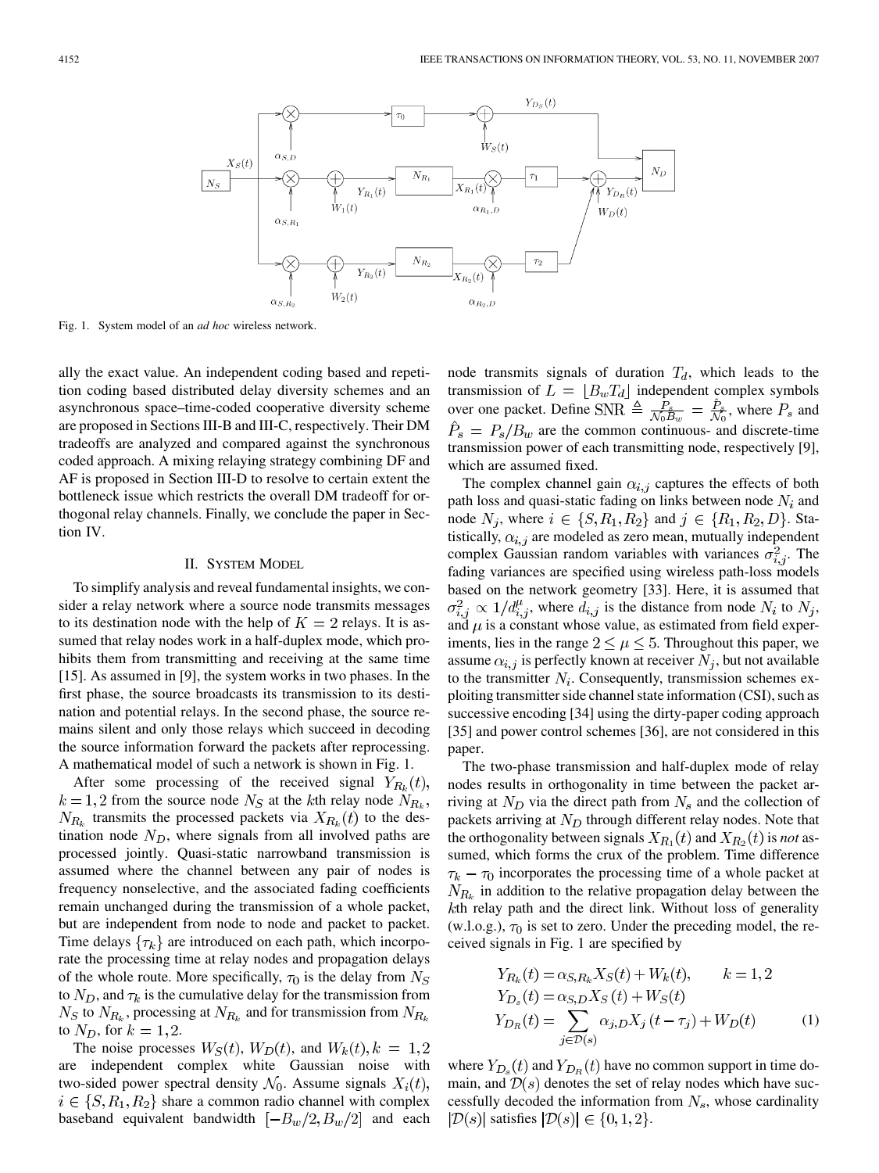

Fig. 1. System model of an *ad hoc* wireless network.

ally the exact value. An independent coding based and repetition coding based distributed delay diversity schemes and an asynchronous space–time-coded cooperative diversity scheme are proposed in Sections III-B and III-C, respectively. Their DM tradeoffs are analyzed and compared against the synchronous coded approach. A mixing relaying strategy combining DF and AF is proposed in Section III-D to resolve to certain extent the bottleneck issue which restricts the overall DM tradeoff for orthogonal relay channels. Finally, we conclude the paper in Section IV.

### II. SYSTEM MODEL

To simplify analysis and reveal fundamental insights, we consider a relay network where a source node transmits messages to its destination node with the help of  $K = 2$  relays. It is assumed that relay nodes work in a half-duplex mode, which prohibits them from transmitting and receiving at the same time [15]. As assumed in [9], the system works in two phases. In the first phase, the source broadcasts its transmission to its destination and potential relays. In the second phase, the source remains silent and only those relays which succeed in decoding the source information forward the packets after reprocessing. A mathematical model of such a network is shown in Fig. 1.

After some processing of the received signal  $Y_{R_k}(t)$ ,  $k = 1, 2$  from the source node  $N_S$  at the kth relay node  $N_{R_k}$ ,  $N_{R_k}$  transmits the processed packets via  $X_{R_k}(t)$  to the destination node  $N_D$ , where signals from all involved paths are processed jointly. Quasi-static narrowband transmission is assumed where the channel between any pair of nodes is frequency nonselective, and the associated fading coefficients remain unchanged during the transmission of a whole packet, but are independent from node to node and packet to packet. Time delays  $\{\tau_k\}$  are introduced on each path, which incorporate the processing time at relay nodes and propagation delays of the whole route. More specifically,  $\tau_0$  is the delay from  $N_S$ to  $N_D$ , and  $\tau_k$  is the cumulative delay for the transmission from  $N_S$  to  $N_{R_k}$ , processing at  $N_{R_k}$  and for transmission from  $N_{R_k}$ to  $N_D$ , for  $k = 1, 2$ .

The noise processes  $W_S(t)$ ,  $W_D(t)$ , and  $W_k(t)$ ,  $k = 1, 2$ are independent complex white Gaussian noise with two-sided power spectral density  $\mathcal{N}_0$ . Assume signals  $X_i(t)$ ,  $i \in \{S, R_1, R_2\}$  share a common radio channel with complex baseband equivalent bandwidth  $[-B_w/2, B_w/2]$  and each

node transmits signals of duration  $T_d$ , which leads to the transmission of  $L = [B_w T_d]$  independent complex symbols over one packet. Define  $SNR \triangleq \frac{P_s}{N_0R} = \frac{P_s}{N_0}$ , where  $P_s$  and are the common continuous- and discrete-time transmission power of each transmitting node, respectively [9], which are assumed fixed.

The complex channel gain  $\alpha_{i,j}$  captures the effects of both path loss and quasi-static fading on links between node  $N_i$  and node  $N_j$ , where  $i \in \{S, R_1, R_2\}$  and  $j \in \{R_1, R_2, D\}$ . Statistically,  $\alpha_{i,j}$  are modeled as zero mean, mutually independent complex Gaussian random variables with variances  $\sigma_{i,j}^2$ . The fading variances are specified using wireless path-loss models based on the network geometry [33]. Here, it is assumed that  $\sigma_{i,j}^2 \propto 1/d_{i,j}^{\mu}$ , where  $d_{i,j}$  is the distance from node  $N_i$  to  $N_j$ , and  $\mu$  is a constant whose value, as estimated from field experiments, lies in the range  $2 \leq \mu \leq 5$ . Throughout this paper, we assume  $\alpha_{i,j}$  is perfectly known at receiver  $N_j$ , but not available to the transmitter  $N_i$ . Consequently, transmission schemes exploiting transmitter side channel state information (CSI), such as successive encoding [34] using the dirty-paper coding approach [35] and power control schemes [36], are not considered in this paper.

The two-phase transmission and half-duplex mode of relay nodes results in orthogonality in time between the packet arriving at  $N_D$  via the direct path from  $N_s$  and the collection of packets arriving at  $N_D$  through different relay nodes. Note that the orthogonality between signals  $X_{R_1}(t)$  and  $X_{R_2}(t)$  is *not* assumed, which forms the crux of the problem. Time difference  $\tau_k - \tau_0$  incorporates the processing time of a whole packet at  $N_{R_k}$  in addition to the relative propagation delay between the  $k$ th relay path and the direct link. Without loss of generality (w.l.o.g.),  $\tau_0$  is set to zero. Under the preceding model, the received signals in Fig. 1 are specified by

$$
Y_{R_k}(t) = \alpha_{S,R_k} X_S(t) + W_k(t), \qquad k = 1, 2
$$
  
\n
$$
Y_{D_s}(t) = \alpha_{S,D} X_S(t) + W_S(t)
$$
  
\n
$$
Y_{D_R}(t) = \sum_{j \in \mathcal{D}(s)} \alpha_{j,D} X_j(t - \tau_j) + W_D(t)
$$
 (1)

where  $Y_{D_s}(t)$  and  $Y_{D_R}(t)$  have no common support in time domain, and  $\mathcal{D}(s)$  denotes the set of relay nodes which have successfully decoded the information from  $N_s$ , whose cardinality  $|\mathcal{D}(s)|$  satisfies  $|\mathcal{D}(s)| \in \{0,1,2\}.$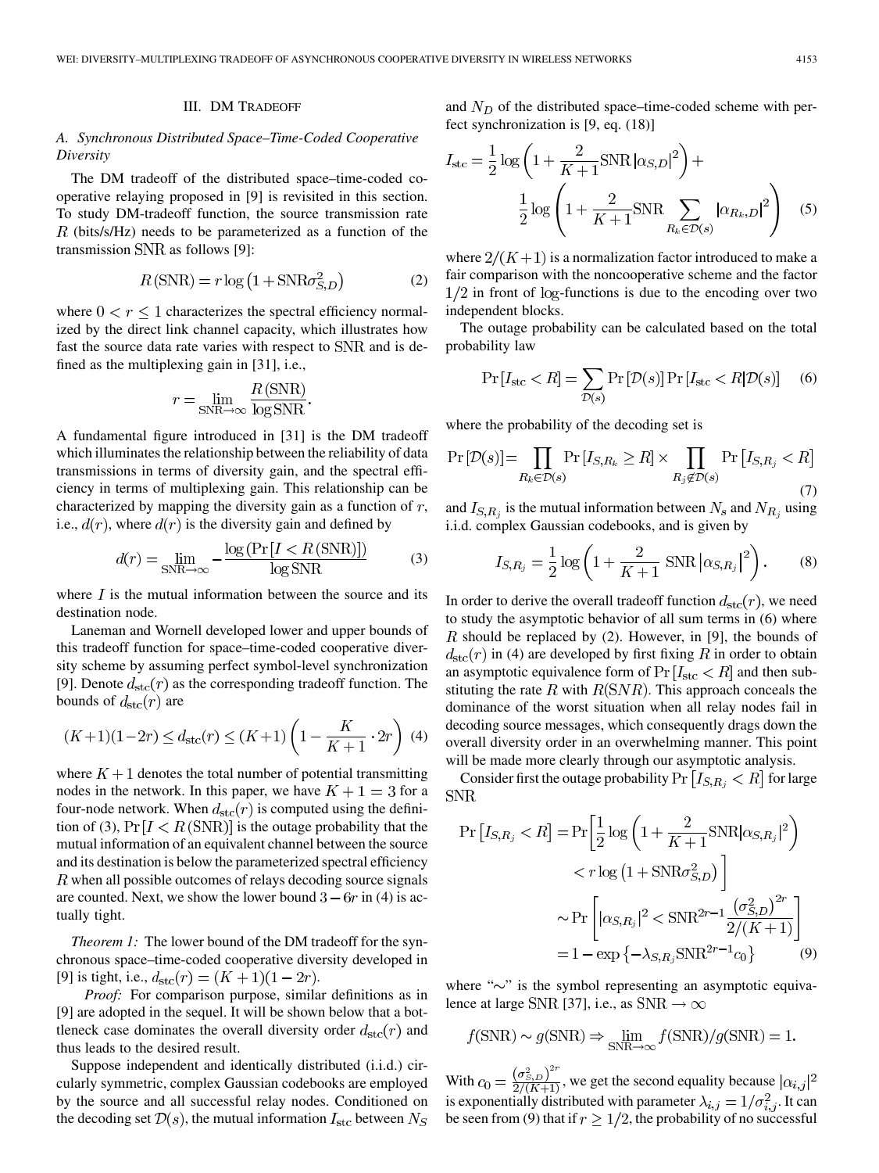#### III. DM TRADEOFF

# *A. Synchronous Distributed Space–Time-Coded Cooperative Diversity*

The DM tradeoff of the distributed space–time-coded cooperative relaying proposed in [9] is revisited in this section. To study DM-tradeoff function, the source transmission rate  $R$  (bits/s/Hz) needs to be parameterized as a function of the transmission  $SNR$  as follows [9]:

$$
R(SNR) = r \log \left( 1 + \text{SNR} \sigma_{S,D}^2 \right) \tag{2}
$$

where  $0 < r \leq 1$  characterizes the spectral efficiency normalized by the direct link channel capacity, which illustrates how fast the source data rate varies with respect to SNR and is defined as the multiplexing gain in [31], i.e.,

$$
r = \lim_{\text{SNR}\to\infty} \frac{R(\text{SNR})}{\log \text{SNR}}.
$$

A fundamental figure introduced in [31] is the DM tradeoff which illuminates the relationship between the reliability of data transmissions in terms of diversity gain, and the spectral efficiency in terms of multiplexing gain. This relationship can be characterized by mapping the diversity gain as a function of  $r$ , i.e.,  $d(r)$ , where  $d(r)$  is the diversity gain and defined by

$$
d(r) = \lim_{\text{SNR}\to\infty} -\frac{\log\left(\Pr\left[I < R(\text{SNR})\right]\right)}{\log\text{SNR}}\tag{3}
$$

where  $I$  is the mutual information between the source and its destination node.

Laneman and Wornell developed lower and upper bounds of this tradeoff function for space–time-coded cooperative diversity scheme by assuming perfect symbol-level synchronization [9]. Denote  $d_{\text{stc}}(r)$  as the corresponding tradeoff function. The bounds of  $d_{\text{stc}}(r)$  are

$$
(K+1)(1-2r) \le d_{\text{stc}}(r) \le (K+1)\left(1 - \frac{K}{K+1} \cdot 2r\right) \tag{4}
$$

where  $K+1$  denotes the total number of potential transmitting nodes in the network. In this paper, we have  $K + 1 = 3$  for a four-node network. When  $d_{\text{stc}}(r)$  is computed using the definition of (3),  $Pr[I < R(SNR)]$  is the outage probability that the mutual information of an equivalent channel between the source and its destination is below the parameterized spectral efficiency  $R$  when all possible outcomes of relays decoding source signals are counted. Next, we show the lower bound  $3 - 6r$  in (4) is actually tight.

*Theorem 1:* The lower bound of the DM tradeoff for the synchronous space–time-coded cooperative diversity developed in [9] is tight, i.e.,  $d_{\text{stc}}(r) = (K + 1)(1 - 2r)$ .

*Proof:* For comparison purpose, similar definitions as in [9] are adopted in the sequel. It will be shown below that a bottleneck case dominates the overall diversity order  $d_{\text{stc}}(r)$  and thus leads to the desired result.

Suppose independent and identically distributed (i.i.d.) circularly symmetric, complex Gaussian codebooks are employed by the source and all successful relay nodes. Conditioned on the decoding set  $\mathcal{D}(s)$ , the mutual information  $I_{\text{stc}}$  between  $N_S$  and  $N_D$  of the distributed space–time-coded scheme with perfect synchronization is [9, eq. (18)]

$$
I_{\rm stc} = \frac{1}{2} \log \left( 1 + \frac{2}{K+1} \text{SNR} |\alpha_{S,D}|^2 \right) +
$$

$$
\frac{1}{2} \log \left( 1 + \frac{2}{K+1} \text{SNR} \sum_{R_k \in \mathcal{D}(s)} |\alpha_{R_k,D}|^2 \right) \quad (5)
$$

where  $2/(K+1)$  is a normalization factor introduced to make a fair comparison with the noncooperative scheme and the factor  $1/2$  in front of log-functions is due to the encoding over two independent blocks.

The outage probability can be calculated based on the total probability law

$$
\Pr\left[I_{\text{stc}} < R\right] = \sum_{\mathcal{D}(s)} \Pr\left[\mathcal{D}(s)\right] \Pr\left[I_{\text{stc}} < R|\mathcal{D}(s)\right] \tag{6}
$$

where the probability of the decoding set is

$$
\Pr\left[\mathcal{D}(s)\right] = \prod_{R_k \in \mathcal{D}(s)} \Pr\left[I_{S,R_k} \ge R\right] \times \prod_{R_j \notin \mathcal{D}(s)} \Pr\left[I_{S,R_j} < R\right] \tag{7}
$$

and  $I_{S,R_j}$  is the mutual information between  $N_s$  and  $N_{R_i}$  using i.i.d. complex Gaussian codebooks, and is given by

$$
I_{S,R_j} = \frac{1}{2} \log \left( 1 + \frac{2}{K+1} \operatorname{SNR} |\alpha_{S,R_j}|^2 \right). \tag{8}
$$

In order to derive the overall tradeoff function  $d_{\text{stc}}(r)$ , we need to study the asymptotic behavior of all sum terms in (6) where  $R$  should be replaced by (2). However, in [9], the bounds of  $d_{\text{stc}}(r)$  in (4) are developed by first fixing R in order to obtain an asymptotic equivalence form of  $Pr[I_{\text{stc}} < R]$  and then substituting the rate  $R$  with  $R(SNR)$ . This approach conceals the dominance of the worst situation when all relay nodes fail in decoding source messages, which consequently drags down the overall diversity order in an overwhelming manner. This point will be made more clearly through our asymptotic analysis.

Consider first the outage probability  $\Pr [I_{S,R_i} < R]$  for large **SNR** 

$$
\Pr\left[I_{S,R_j} < R\right] = \Pr\left[\frac{1}{2}\log\left(1 + \frac{2}{K+1}\text{SNR}|\alpha_{S,R_j}|^2\right) \right] \right.
$$
\n
$$
\left.\left.\left.\left.\left.\left.\mathbf{c}\right|\right|\right| \right.
$$
\n
$$
\left.\left.\left.\mathbf{c}\right|\left[\alpha_{S,R_j}|^2 < \text{SNR}^{2r-1} \frac{\left(\sigma_{S,D}^2\right)^{2r}}{2/(K+1)}\right]\right| \right.
$$
\n
$$
= 1 - \exp\left\{-\lambda_{S,R_j}\text{SNR}^{2r-1}\alpha_0\right\} \tag{9}
$$

where " $\sim$ " is the symbol representing an asymptotic equivalence at large SNR [37], i.e., as SNR  $\rightarrow \infty$ 

$$
f(SNR) \sim g(SNR) \Rightarrow \lim_{SNR \to \infty} f(SNR)/g(SNR) = 1.
$$

With  $c_0 = \frac{(\sigma_{S,D}^2)^{2r}}{2/(K+1)}$ , we get the second equality because  $|\alpha_{i,j}|^2$ is exponentially distributed with parameter  $\lambda_{i,j} = 1/\sigma_{i,j}^2$ . It can be seen from (9) that if  $r \geq 1/2$ , the probability of no successful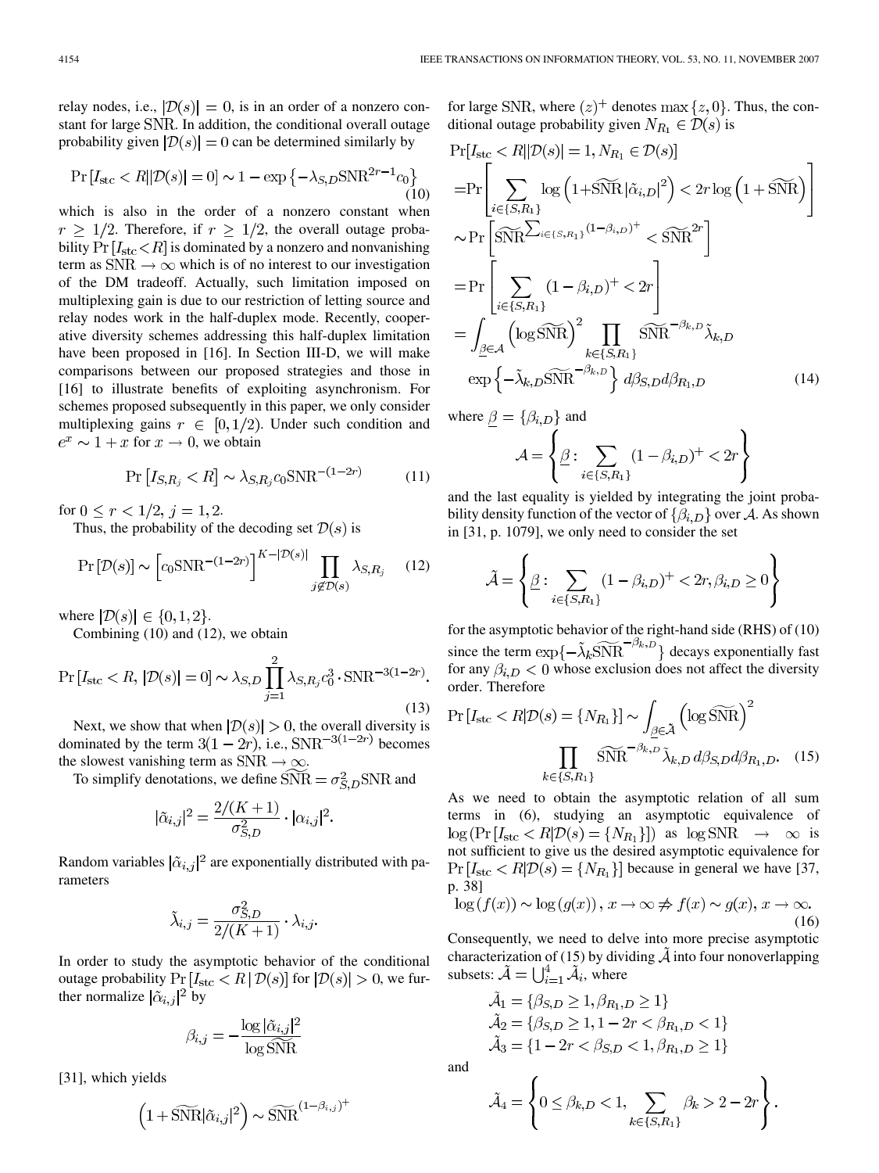relay nodes, i.e.,  $|\mathcal{D}(s)| = 0$ , is in an order of a nonzero constant for large SNR. In addition, the conditional overall outage probability given  $|\mathcal{D}(s)| = 0$  can be determined similarly by

$$
\Pr\left[I_{\text{stc}} < R||\mathcal{D}(s)| = 0\right] \sim 1 - \exp\left\{-\lambda_{S,D}\text{SNR}^{2r-1}c_0\right\} \tag{10}
$$

which is also in the order of a nonzero constant when  $r > 1/2$ . Therefore, if  $r > 1/2$ , the overall outage probability  $Pr[I<sub>stc</sub> < R]$  is dominated by a nonzero and nonvanishing term as  $SNR \rightarrow \infty$  which is of no interest to our investigation of the DM tradeoff. Actually, such limitation imposed on multiplexing gain is due to our restriction of letting source and relay nodes work in the half-duplex mode. Recently, cooperative diversity schemes addressing this half-duplex limitation have been proposed in [16]. In Section III-D, we will make comparisons between our proposed strategies and those in [16] to illustrate benefits of exploiting asynchronism. For schemes proposed subsequently in this paper, we only consider multiplexing gains  $r \in [0,1/2)$ . Under such condition and  $e^x \sim 1 + x$  for  $x \to 0$ , we obtain

$$
\Pr\left[I_{S,R_j} < R\right] \sim \lambda_{S,R_j} c_0 \text{SNR}^{-(1-2r)}\tag{11}
$$

for  $0 \le r < 1/2$ ,  $j = 1, 2$ .

Thus, the probability of the decoding set  $\mathcal{D}(s)$  is

$$
\Pr\left[\mathcal{D}(s)\right] \sim \left[c_0 \text{SNR}^{-(1-2r)}\right]^{K - |\mathcal{D}(s)|} \prod_{j \notin \mathcal{D}(s)} \lambda_{S, R_j} \tag{12}
$$

where  $|\mathcal{D}(s)| \in \{0,1,2\}.$ 

Combining (10) and (12), we obtain

$$
\Pr\left[I_{\rm stc} < R, |\mathcal{D}(s)| = 0\right] \sim \lambda_{S,D} \prod_{j=1}^{2} \lambda_{S,R_j} c_0^3 \cdot \text{SNR}^{-3(1-2r)}.\tag{13}
$$

Next, we show that when  $|\mathcal{D}(s)| > 0$ , the overall diversity is dominated by the term  $3(1-2r)$ , i.e.,  $\text{SNR}^{-3(1-2r)}$  becomes the slowest vanishing term as  $SNR \rightarrow \infty$ .

To simplify denotations, we define  $\widetilde{SNR} = \sigma_{S,D}^2 SNR$  and

$$
|\tilde{\alpha}_{i,j}|^2 = \frac{2/(K+1)}{\sigma_{S,D}^2} \cdot |\alpha_{i,j}|^2.
$$

Random variables  $|\tilde{\alpha}_{i,j}|^2$  are exponentially distributed with parameters

$$
\tilde{\lambda}_{i,j} = \frac{\sigma_{S,D}^2}{2/(K+1)} \cdot \lambda_{i,j}.
$$

In order to study the asymptotic behavior of the conditional outage probability  $Pr[I_{\text{stc}} < R | \mathcal{D}(s)]$  for  $|\mathcal{D}(s)| > 0$ , we further normalize  $|\tilde{\alpha}_{i,j}|^2$  by

$$
\beta_{i,j} = -\frac{\log |\tilde{\alpha}_{i,j}|^2}{\log \widetilde{\text{SNR}}}
$$

[31], which yields

$$
\left(1+\widetilde{\text{SNR}}|\tilde{\alpha}_{i,j}|^2\right) \sim \widetilde{\text{SNR}}^{(1-\beta_{i,j})^+}
$$

for large SNR, where  $(z)^+$  denotes  $\max\{z, 0\}$ . Thus, the conditional outage probability given  $N_{R_1} \in \mathcal{D}(s)$  is

$$
\Pr[I_{\text{stc}} < R||\mathcal{D}(s)| = 1, N_{R_1} \in \mathcal{D}(s)]
$$
\n
$$
= \Pr\left[\sum_{i \in \{S, R_1\}} \log\left(1 + \widetilde{\text{SNR}} \left|\tilde{\alpha}_{i,D}\right|^2\right) < 2r \log\left(1 + \widetilde{\text{SNR}}\right)\right]
$$
\n
$$
\sim \Pr\left[\widetilde{\text{SNR}}^{\sum_{i \in \{S, R_1\}} (1 - \beta_{i,D})^+} < \widetilde{\text{SNR}}^{2r}\right]
$$
\n
$$
= \Pr\left[\sum_{i \in \{S, R_1\}} (1 - \beta_{i,D})^+ < 2r\right]
$$
\n
$$
= \int_{\underline{\beta} \in \mathcal{A}} \left(\log \widetilde{\text{SNR}}\right)^2 \prod_{k \in \{S, R_1\}} \widetilde{\text{SNR}}^{-\beta_{k,D}} \tilde{\lambda}_{k,D}
$$
\n
$$
\exp\left\{-\tilde{\lambda}_{k,D} \widetilde{\text{SNR}}^{-\beta_{k,D}}\right\} d\beta_{S,D} d\beta_{R_1,D} \tag{14}
$$

where 
$$
\underline{\beta} = {\beta_{i,D}}
$$
 and  
\n
$$
\mathcal{A} = \left\{ \underline{\beta} : \sum_{i \in \{S, R_1\}} (1 - \beta_{i,D})^+ < 2r \right\}
$$

and the last equality is yielded by integrating the joint probability density function of the vector of  $\{\beta_{i,D}\}\text{ over }\mathcal{A}\text{. As shown}$ in [31, p. 1079], we only need to consider the set

$$
\tilde{\mathcal{A}} = \left\{ \underline{\beta} : \sum_{i \in \{S, R_1\}} (1 - \beta_{i,D})^+ < 2r, \beta_{i,D} \ge 0 \right\}
$$

for the asymptotic behavior of the right-hand side (RHS) of (10) since the term  $\exp{\{-\lambda_k s\widetilde{\rm NR}^{-\beta_{k,D}}\}}$  decays exponentially fast for any  $\beta_{i,D}$  < 0 whose exclusion does not affect the diversity order. Therefore

$$
\Pr[I_{\text{stc}} < R | \mathcal{D}(s) = \{N_{R_1}\}] \sim \int_{\underline{\beta} \in \tilde{\mathcal{A}}} \left(\log \widetilde{\text{SNR}}\right)^2
$$
\n
$$
\prod_{k \in \{S, R_1\}} \widetilde{\text{SNR}}^{-\beta_{k, D}} \tilde{\lambda}_{k, D} \, d\beta_{S, D} d\beta_{R_1, D}. \quad (15)
$$

As we need to obtain the asymptotic relation of all sum terms in (6), studying an asymptotic equivalence of  $\log(\Pr[I_{\text{stc}} < R | \mathcal{D}(s) = \{N_{R_1}\}])$  as  $\log \text{SNR} \rightarrow \infty$  is not sufficient to give us the desired asymptotic equivalence for  $\Pr[I_{\text{stc}} < R | \mathcal{D}(s) = \{N_{R_1}\}]$  because in general we have [37, p. 38]

$$
\log(f(x)) \sim \log(g(x)), x \to \infty \nRightarrow f(x) \sim g(x), x \to \infty.
$$
\n(16)

Consequently, we need to delve into more precise asymptotic characterization of (15) by dividing  $A$  into four nonoverlapping subsets:  $\tilde{\mathcal{A}} = \bigcup_{i=1}^{4} \tilde{\mathcal{A}}_i$ , where

$$
\tilde{\mathcal{A}}_1 = \{ \beta_{S,D} \ge 1, \beta_{R_1,D} \ge 1 \}
$$
  

$$
\tilde{\mathcal{A}}_2 = \{ \beta_{S,D} \ge 1, 1 - 2r < \beta_{R_1,D} < 1 \}
$$
  

$$
\tilde{\mathcal{A}}_3 = \{ 1 - 2r < \beta_{S,D} < 1, \beta_{R_1,D} \ge 1 \}
$$

and

$$
\tilde{\mathcal{A}}_4 = \left\{ 0 \leq \beta_{k,D} < 1, \sum_{k \in \{S, R_1\}} \beta_k > 2 - 2r \right\}.
$$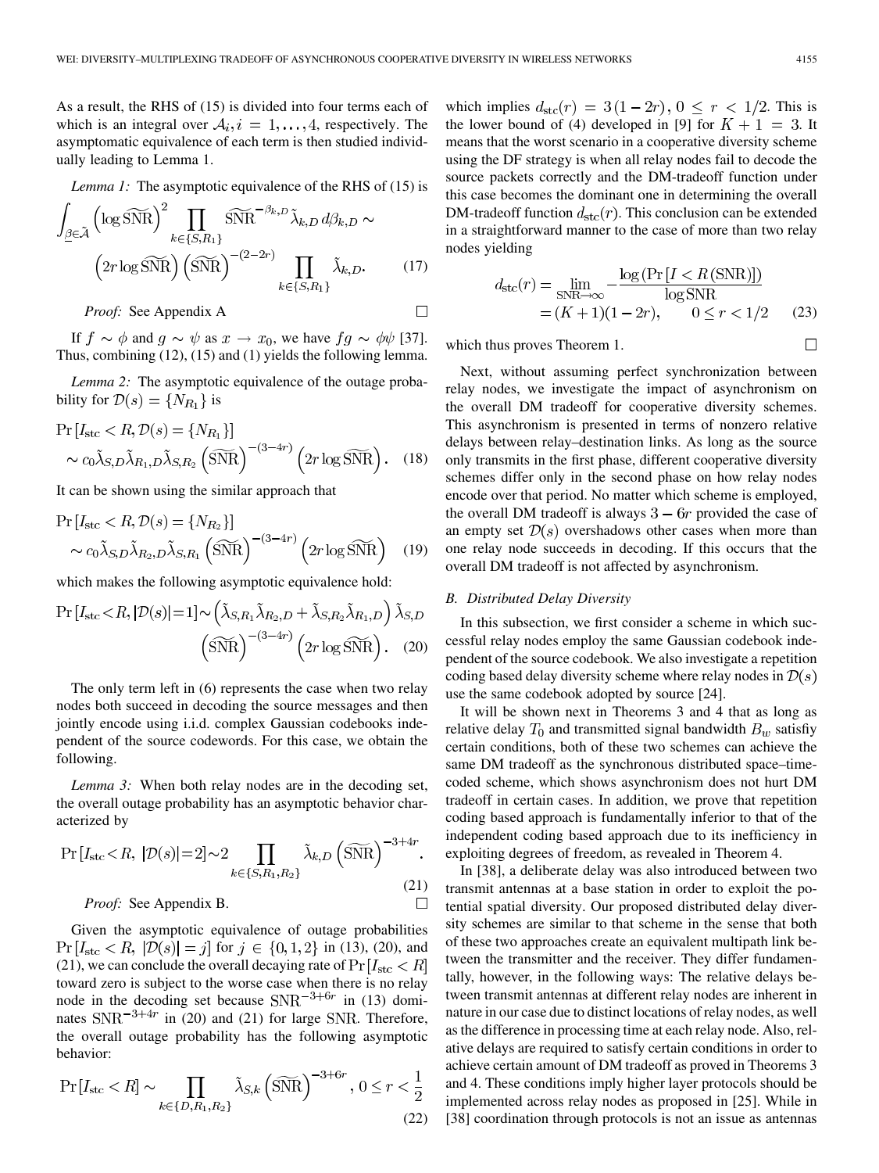As a result, the RHS of (15) is divided into four terms each of which is an integral over  $A_i$ ,  $i = 1, ..., 4$ , respectively. The asymptomatic equivalence of each term is then studied individually leading to Lemma 1.

*Lemma 1:* The asymptotic equivalence of the RHS of (15) is

$$
\int_{\underline{\beta}\in\tilde{\mathcal{A}}} \left(\log \widetilde{\text{SNR}}\right)^2 \prod_{k\in\{S,R_1\}} \widetilde{\text{SNR}}^{-\beta_{k,D}} \tilde{\lambda}_{k,D} \, d\beta_{k,D} \sim
$$
\n
$$
\left(2r \log \widetilde{\text{SNR}}\right) \left(\widetilde{\text{SNR}}\right)^{-(2-2r)} \prod_{k\in\{S,R_1\}} \tilde{\lambda}_{k,D}. \tag{17}
$$

*Proof:* See Appendix A

If  $f \sim \phi$  and  $g \sim \psi$  as  $x \to x_0$ , we have  $fg \sim \phi \psi$  [37]. Thus, combining (12), (15) and (1) yields the following lemma.

*Lemma 2:* The asymptotic equivalence of the outage probability for  $\mathcal{D}(s) = \{N_{R_1}\}\$ is

$$
\Pr[I_{\text{stc}} < R, \mathcal{D}(s) = \{N_{R_1}\}]
$$
\n
$$
\sim c_0 \tilde{\lambda}_{S,D} \tilde{\lambda}_{R_1,D} \tilde{\lambda}_{S,R_2} \left(\widehat{\text{SNR}}\right)^{-(3-4r)} \left(2r \log \widehat{\text{SNR}}\right). \quad (18)
$$

It can be shown using the similar approach that

$$
\Pr\left[I_{\text{stc}} < R, \mathcal{D}(s) = \{N_{R_2}\}\right] \sim c_0 \tilde{\lambda}_{S,D} \tilde{\lambda}_{R_2,D} \tilde{\lambda}_{S,R_1} \left(\widehat{\text{SNR}}\right)^{-(3-4r)} \left(2r \log \widehat{\text{SNR}}\right) \tag{19}
$$

which makes the following asymptotic equivalence hold:

$$
\Pr\left[I_{\text{stc}} < R, |\mathcal{D}(s)| = 1\right] \sim \left(\tilde{\lambda}_{S,R_1}\tilde{\lambda}_{R_2,D} + \tilde{\lambda}_{S,R_2}\tilde{\lambda}_{R_1,D}\right)\tilde{\lambda}_{S,D} \tag{20}
$$
\n
$$
\left(\widetilde{\text{SNR}}\right)^{-(3-4r)} \left(2r\log\widetilde{\text{SNR}}\right). \tag{20}
$$

The only term left in (6) represents the case when two relay nodes both succeed in decoding the source messages and then jointly encode using i.i.d. complex Gaussian codebooks independent of the source codewords. For this case, we obtain the following.

*Lemma 3:* When both relay nodes are in the decoding set, the overall outage probability has an asymptotic behavior characterized by

$$
\Pr[I_{\text{stc}} < R, |\mathcal{D}(s)| = 2] \sim 2 \prod_{k \in \{S, R_1, R_2\}} \tilde{\lambda}_{k,D} \left(\widehat{\text{SNR}}\right)^{-3+4r}.
$$
\nProof: See Appendix B.

Given the asymptotic equivalence of outage probabilities  $\Pr[I_{\text{stc}} < R, |\mathcal{D}(s)| = j]$  for  $j \in \{0, 1, 2\}$  in (13), (20), and (21), we can conclude the overall decaying rate of  $Pr[I_{\text{stc}} < R]$ toward zero is subject to the worse case when there is no relay node in the decoding set because  $SNR^{-3+6r}$  in (13) dominates  $SNR^{-3+4r}$  in (20) and (21) for large SNR. Therefore, the overall outage probability has the following asymptotic behavior:

$$
\Pr\left[I_{\text{stc}} < R\right] \sim \prod_{k \in \{D, R_1, R_2\}} \tilde{\lambda}_{S,k} \left(\widetilde{\text{SNR}}\right)^{-3+6r}, 0 \le r < \frac{1}{2} \tag{22}
$$

which implies  $d_{\text{stc}}(r) = 3(1-2r)$ ,  $0 \le r < 1/2$ . This is the lower bound of (4) developed in [9] for  $K + 1 = 3$ . It means that the worst scenario in a cooperative diversity scheme using the DF strategy is when all relay nodes fail to decode the source packets correctly and the DM-tradeoff function under this case becomes the dominant one in determining the overall DM-tradeoff function  $d_{\text{stc}}(r)$ . This conclusion can be extended in a straightforward manner to the case of more than two relay nodes yielding

$$
d_{\text{stc}}(r) = \lim_{\text{SNR}\to\infty} -\frac{\log(\Pr[I < R(\text{SNR})])}{\log \text{SNR}}
$$

$$
= (K+1)(1-2r), \qquad 0 \le r < 1/2 \tag{23}
$$

which thus proves Theorem 1.

 $\Box$ 

Next, without assuming perfect synchronization between relay nodes, we investigate the impact of asynchronism on the overall DM tradeoff for cooperative diversity schemes. This asynchronism is presented in terms of nonzero relative delays between relay–destination links. As long as the source only transmits in the first phase, different cooperative diversity schemes differ only in the second phase on how relay nodes encode over that period. No matter which scheme is employed, the overall DM tradeoff is always  $3-6r$  provided the case of an empty set  $\mathcal{D}(s)$  overshadows other cases when more than one relay node succeeds in decoding. If this occurs that the overall DM tradeoff is not affected by asynchronism.

#### *B. Distributed Delay Diversity*

In this subsection, we first consider a scheme in which successful relay nodes employ the same Gaussian codebook independent of the source codebook. We also investigate a repetition coding based delay diversity scheme where relay nodes in  $\mathcal{D}(s)$ use the same codebook adopted by source [24].

It will be shown next in Theorems 3 and 4 that as long as relative delay  $T_0$  and transmitted signal bandwidth  $B_w$  satisfiy certain conditions, both of these two schemes can achieve the same DM tradeoff as the synchronous distributed space–timecoded scheme, which shows asynchronism does not hurt DM tradeoff in certain cases. In addition, we prove that repetition coding based approach is fundamentally inferior to that of the independent coding based approach due to its inefficiency in exploiting degrees of freedom, as revealed in Theorem 4.

In [38], a deliberate delay was also introduced between two transmit antennas at a base station in order to exploit the potential spatial diversity. Our proposed distributed delay diversity schemes are similar to that scheme in the sense that both of these two approaches create an equivalent multipath link between the transmitter and the receiver. They differ fundamentally, however, in the following ways: The relative delays between transmit antennas at different relay nodes are inherent in nature in our case due to distinct locations of relay nodes, as well as the difference in processing time at each relay node. Also, relative delays are required to satisfy certain conditions in order to achieve certain amount of DM tradeoff as proved in Theorems 3 and 4. These conditions imply higher layer protocols should be implemented across relay nodes as proposed in [25]. While in [38] coordination through protocols is not an issue as antennas

 $\Box$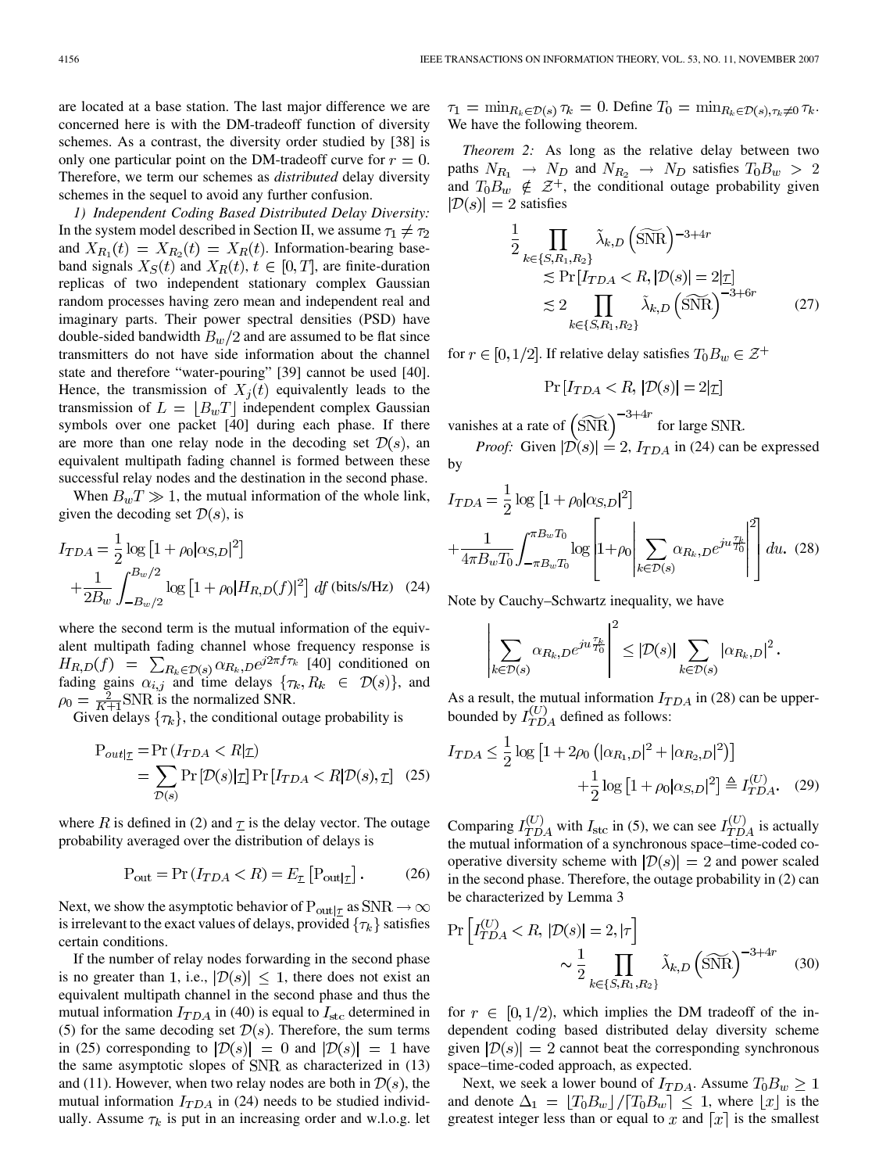are located at a base station. The last major difference we are concerned here is with the DM-tradeoff function of diversity schemes. As a contrast, the diversity order studied by [38] is only one particular point on the DM-tradeoff curve for  $r = 0$ . Therefore, we term our schemes as *distributed* delay diversity schemes in the sequel to avoid any further confusion.

*1) Independent Coding Based Distributed Delay Diversity:* In the system model described in Section II, we assume  $\tau_1 \neq \tau_2$ and  $X_{R_1}(t) = X_{R_2}(t) = X_R(t)$ . Information-bearing baseband signals  $X_S(t)$  and  $X_R(t)$ ,  $t \in [0, T]$ , are finite-duration replicas of two independent stationary complex Gaussian random processes having zero mean and independent real and imaginary parts. Their power spectral densities (PSD) have double-sided bandwidth  $B_w/2$  and are assumed to be flat since transmitters do not have side information about the channel state and therefore "water-pouring" [39] cannot be used [40]. Hence, the transmission of  $X_i(t)$  equivalently leads to the transmission of  $L = |B_wT|$  independent complex Gaussian symbols over one packet [40] during each phase. If there are more than one relay node in the decoding set  $\mathcal{D}(s)$ , an equivalent multipath fading channel is formed between these successful relay nodes and the destination in the second phase.

When  $B_w T \gg 1$ , the mutual information of the whole link, given the decoding set  $\mathcal{D}(s)$ , is

$$
I_{TDA} = \frac{1}{2} \log \left[ 1 + \rho_0 |\alpha_{S,D}|^2 \right]
$$
  
+ 
$$
\frac{1}{2B_w} \int_{-B_w/2}^{B_w/2} \log \left[ 1 + \rho_0 |H_{R,D}(f)|^2 \right] df \text{ (bits/s/Hz)} (24)
$$

where the second term is the mutual information of the equivalent multipath fading channel whose frequency response is [40] conditioned on fading gains  $\alpha_{i,j}$  and time delays  $\{\tau_k, R_k \in \mathcal{D}(s)\}\$ , and is the normalized SNR.

Given delays  $\{\tau_k\}$ , the conditional outage probability is

$$
P_{out|_{\mathcal{I}}} = Pr(I_{TDA} < R|\mathcal{I})
$$
\n
$$
= \sum_{\mathcal{D}(s)} Pr[D(s)|\mathcal{I}] Pr[I_{TDA} < R|\mathcal{D}(s), \mathcal{I}] \quad (25)
$$

where R is defined in (2) and  $\underline{\tau}$  is the delay vector. The outage probability averaged over the distribution of delays is

$$
P_{\text{out}} = Pr(I_{TDA} < R) = E_{\underline{\tau}} \left[ P_{\text{out} | \underline{\tau}} \right]. \tag{26}
$$

Next, we show the asymptotic behavior of  $P_{\text{out}|_{\tau}}$  as  $\text{SNR} \to \infty$ is irrelevant to the exact values of delays, provided  $\{\tau_k\}$  satisfies certain conditions.

If the number of relay nodes forwarding in the second phase is no greater than 1, i.e.,  $|\mathcal{D}(s)| \leq 1$ , there does not exist an equivalent multipath channel in the second phase and thus the mutual information  $I_{TDA}$  in (40) is equal to  $I_{\text{stc}}$  determined in (5) for the same decoding set  $\mathcal{D}(s)$ . Therefore, the sum terms in (25) corresponding to  $|\mathcal{D}(s)| = 0$  and  $|\mathcal{D}(s)| = 1$  have the same asymptotic slopes of  $SNR$  as characterized in  $(13)$ and (11). However, when two relay nodes are both in  $\mathcal{D}(s)$ , the mutual information  $I_{TDA}$  in (24) needs to be studied individually. Assume  $\tau_k$  is put in an increasing order and w.l.o.g. let  $\tau_1 = \min_{R_k \in \mathcal{D}(s)} \tau_k = 0$ . Define  $T_0 = \min_{R_k \in \mathcal{D}(s), \tau_k \neq 0} \tau_k$ . We have the following theorem.

*Theorem 2:* As long as the relative delay between two paths  $N_{R_1} \rightarrow N_D$  and  $N_{R_2} \rightarrow N_D$  satisfies and  $T_0 B_w \notin \mathcal{Z}^+$ , the conditional outage probability given  $|\mathcal{D}(s)| = 2$  satisfies

$$
\frac{1}{2} \prod_{k \in \{S, R_1, R_2\}} \tilde{\lambda}_{k,D} \left( \widetilde{\text{SNR}} \right)^{-3+4r} \lesssim \Pr[I_{TDA} < R, |\mathcal{D}(s)| = 2|\underline{\tau}] \lesssim 2 \prod_{k \in \{S, R_1, R_2\}} \tilde{\lambda}_{k,D} \left( \widetilde{\text{SNR}} \right)^{-3+6r} \tag{27}
$$

for  $r \in [0, 1/2]$ . If relative delay satisfies  $T_0 B_w \in \mathcal{Z}^+$ 

$$
\Pr\left[I_{TDA} < R, \, |\mathcal{D}(s)| = 2|\underline{\tau}\right]
$$

vanishes at a rate of  $(SNR)$  for large SNR.

*Proof:* Given  $|\mathcal{D}(s)| = 2$ ,  $I_{TDA}$  in (24) can be expressed by

$$
I_{TDA} = \frac{1}{2} \log \left[ 1 + \rho_0 |\alpha_{S,D}|^2 \right]
$$
  
+ 
$$
\frac{1}{4\pi B_w T_0} \int_{-\pi B_w T_0}^{\pi B_w T_0} \log \left[ 1 + \rho_0 \left| \sum_{k \in \mathcal{D}(s)} \alpha_{R_k, D} e^{j u \frac{\tau_k}{T_0}} \right|^2 \right] du. (28)
$$

Note by Cauchy–Schwartz inequality, we have

$$
\left|\sum_{k \in \mathcal{D}(s)} \alpha_{R_k, D} e^{j u \frac{\tau_k}{T_0}}\right|^2 \leq |\mathcal{D}(s)| \sum_{k \in \mathcal{D}(s)} |\alpha_{R_k, D}|^2.
$$

As a result, the mutual information  $I_{TDA}$  in (28) can be upperbounded by  $I_{TDA}^{(U)}$  defined as follows:

$$
I_{TDA} \le \frac{1}{2} \log \left[ 1 + 2\rho_0 \left( |\alpha_{R_1, D}|^2 + |\alpha_{R_2, D}|^2 \right) \right] + \frac{1}{2} \log \left[ 1 + \rho_0 |\alpha_{S, D}|^2 \right] \triangleq I_{TDA}^{(U)}.
$$
 (29)

Comparing  $I_{TDA}^{(U)}$  with  $I_{\text{stc}}$  in (5), we can see  $I_{TDA}^{(U)}$  is actually the mutual information of a synchronous space–time-coded cooperative diversity scheme with  $|\mathcal{D}(s)| = 2$  and power scaled in the second phase. Therefore, the outage probability in (2) can be characterized by Lemma 3

$$
\Pr\left[I_{TDA}^{(U)} < R, |\mathcal{D}(s)| = 2, |\tau|\right] \sim \frac{1}{2} \prod_{k \in \{S, R_1, R_2\}} \tilde{\lambda}_{k,D} \left(\widetilde{\text{SNR}}\right)^{-3+4r} \tag{30}
$$

for  $r \in [0, 1/2)$ , which implies the DM tradeoff of the independent coding based distributed delay diversity scheme given  $|\mathcal{D}(s)| = 2$  cannot beat the corresponding synchronous space–time-coded approach, as expected.

Next, we seek a lower bound of  $I_{TDA}$ . Assume  $T_0B_w \geq 1$ and denote  $\Delta_1 = |T_0 B_w| / [T_0 B_w] \leq 1$ , where |x| is the greatest integer less than or equal to x and  $\lceil x \rceil$  is the smallest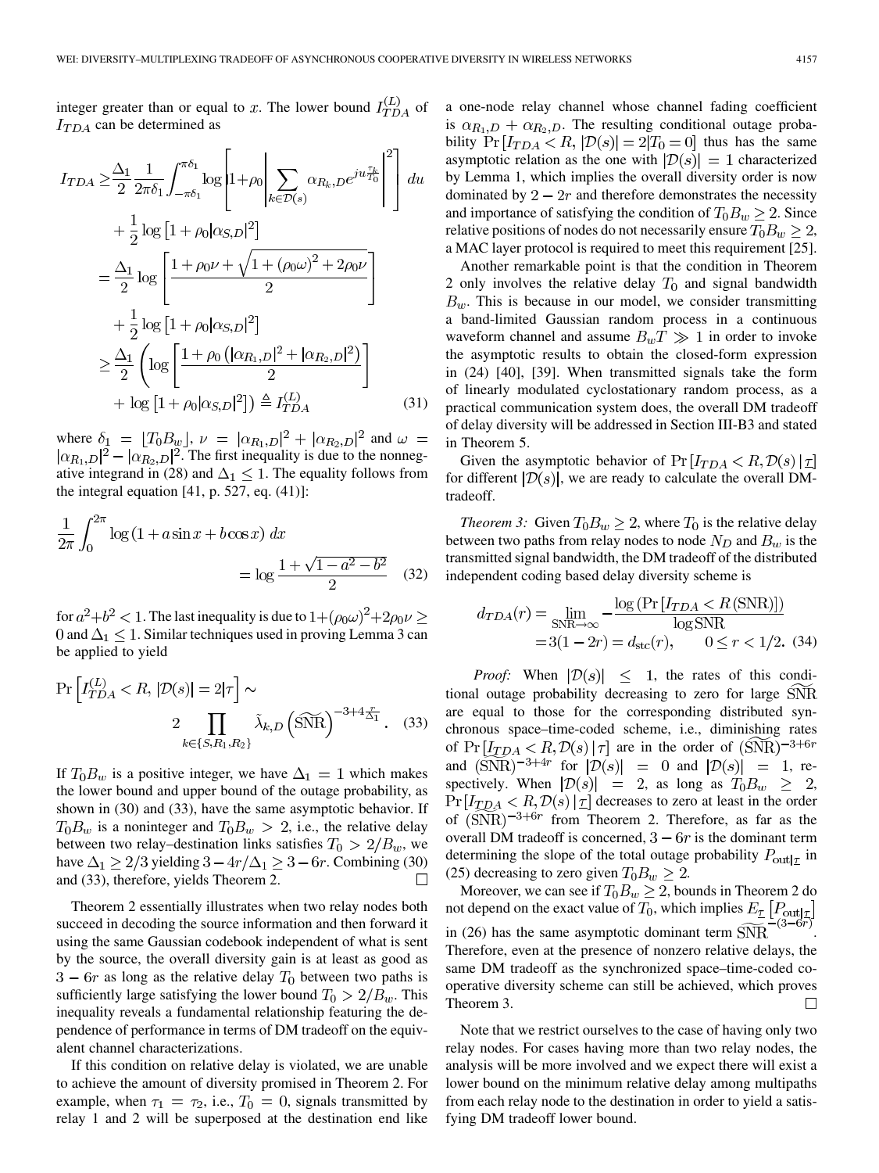integer greater than or equal to x. The lower bound  $I_{TDA}^{(L)}$  of  $I_{TDA}$  can be determined as

$$
I_{TDA} \geq \frac{\Delta_1}{2} \frac{1}{2\pi\delta_1} \int_{-\pi\delta_1}^{\pi\delta_1} \log \left[ 1 + \rho_0 \left| \sum_{k \in \mathcal{D}(s)} \alpha_{R_k, D} e^{j u \frac{\tau_k}{T_0}} \right|^2 \right] du
$$
  
+  $\frac{1}{2} \log \left[ 1 + \rho_0 |\alpha_{S,D}|^2 \right]$   
=  $\frac{\Delta_1}{2} \log \left[ \frac{1 + \rho_0 \nu + \sqrt{1 + (\rho_0 \omega)^2 + 2\rho_0 \nu}}{2} \right]$   
+  $\frac{1}{2} \log \left[ 1 + \rho_0 |\alpha_{S,D}|^2 \right]$   
 $\geq \frac{\Delta_1}{2} \left( \log \left[ \frac{1 + \rho_0 \left( |\alpha_{R_1,D}|^2 + |\alpha_{R_2,D}|^2 \right)}{2} \right] + \log \left[ 1 + \rho_0 |\alpha_{S,D}|^2 \right] \right) \triangleq I_{TDA}^{(L)}$  (31)

where  $\delta_1 = [T_0 B_w], \nu = |\alpha_{R_1,D}|^2 + |\alpha_{R_2,D}|^2$  and  $\omega =$  $|\alpha_{R_1,D}|^2 - |\alpha_{R_2,D}|^2$ . The first inequality is due to the nonnegative integrand in (28) and  $\Delta_1 \leq 1$ . The equality follows from the integral equation  $[41, p. 527, eq. (41)]$ :

$$
\frac{1}{2\pi} \int_0^{2\pi} \log(1 + a\sin x + b\cos x) dx
$$

$$
= \log \frac{1 + \sqrt{1 - a^2 - b^2}}{2}
$$
(32)

for  $a^2+b^2 < 1$ . The last inequality is due to  $1+(\rho_0\omega)^2+2\rho_0\nu \ge$ 0 and  $\Delta_1 \leq 1$ . Similar techniques used in proving Lemma 3 can be applied to yield

$$
\Pr\left[I_{TDA}^{(L)} < R, |\mathcal{D}(s)| = 2|\tau\right] \sim
$$
\n
$$
2 \prod_{k \in \{S, R_1, R_2\}} \tilde{\lambda}_{k,D} \left(\widetilde{\text{SNR}}\right)^{-3+4\frac{r}{\Delta_1}}. \quad (33)
$$

If  $T_0 B_w$  is a positive integer, we have  $\Delta_1 = 1$  which makes the lower bound and upper bound of the outage probability, as shown in (30) and (33), have the same asymptotic behavior. If  $T_0 B_w$  is a noninteger and  $T_0 B_w > 2$ , i.e., the relative delay between two relay–destination links satisfies  $T_0 > 2/B_w$ , we have  $\Delta_1 \geq 2/3$  yielding  $3 - 4r/\Delta_1 \geq 3 - 6r$ . Combining (30) and (33), therefore, yields Theorem 2.  $\Box$ 

Theorem 2 essentially illustrates when two relay nodes both succeed in decoding the source information and then forward it using the same Gaussian codebook independent of what is sent by the source, the overall diversity gain is at least as good as  $3-6r$  as long as the relative delay  $T_0$  between two paths is sufficiently large satisfying the lower bound  $T_0 > 2/B_w$ . This inequality reveals a fundamental relationship featuring the dependence of performance in terms of DM tradeoff on the equivalent channel characterizations.

If this condition on relative delay is violated, we are unable to achieve the amount of diversity promised in Theorem 2. For example, when  $\tau_1 = \tau_2$ , i.e.,  $T_0 = 0$ , signals transmitted by relay 1 and 2 will be superposed at the destination end like

a one-node relay channel whose channel fading coefficient is  $\alpha_{R_1,D} + \alpha_{R_2,D}$ . The resulting conditional outage probability  $\Pr[I_{TDA} < R, |\mathcal{D}(s)| = 2|T_0 = 0]$  thus has the same asymptotic relation as the one with  $|\mathcal{D}(s)| = 1$  characterized by Lemma 1, which implies the overall diversity order is now dominated by  $2 - 2r$  and therefore demonstrates the necessity and importance of satisfying the condition of  $T_0 B_w \geq 2$ . Since relative positions of nodes do not necessarily ensure  $T_0 B_w \geq 2$ , a MAC layer protocol is required to meet this requirement [25].

Another remarkable point is that the condition in Theorem 2 only involves the relative delay  $T_0$  and signal bandwidth  $B_w$ . This is because in our model, we consider transmitting a band-limited Gaussian random process in a continuous waveform channel and assume  $B_wT \gg 1$  in order to invoke the asymptotic results to obtain the closed-form expression in (24) [40], [39]. When transmitted signals take the form of linearly modulated cyclostationary random process, as a practical communication system does, the overall DM tradeoff of delay diversity will be addressed in Section III-B3 and stated in Theorem 5.

Given the asymptotic behavior of  $\Pr[I_{TDA} < R, \mathcal{D}(s) | \underline{\tau}]$ for different  $|\mathcal{D}(s)|$ , we are ready to calculate the overall DMtradeoff.

*Theorem 3:* Given  $T_0 B_w \geq 2$ , where  $T_0$  is the relative delay between two paths from relay nodes to node  $N_D$  and  $B_w$  is the transmitted signal bandwidth, the DM tradeoff of the distributed independent coding based delay diversity scheme is

$$
d_{TDA}(r) = \lim_{\text{SNR}\to\infty} -\frac{\log\left(\Pr\left[I_{TDA} < R\left(\text{SNR}\right)\right]\right)}{\log\text{SNR}}
$$
\n
$$
= 3(1 - 2r) = d_{\text{stc}}(r), \qquad 0 \le r < 1/2. \tag{34}
$$

*Proof:* When  $|\mathcal{D}(s)| \leq 1$ , the rates of this conditional outage probability decreasing to zero for large are equal to those for the corresponding distributed synchronous space–time-coded scheme, i.e., diminishing rates of  $Pr[I_{TDA} < R, \mathcal{D}(s) | \tau]$  are in the order of  $(SNR)^{-3+6r}$ and  $(\widetilde{\text{SNR}})^{-3+4r}$  for  $|\mathcal{D}(s)| = 0$  and  $|\mathcal{D}(s)| = 1$ , respectively. When  $|\mathcal{D}(s)| = 2$ , as long as  $T_0 B_w \geq 2$ ,  $\Pr[I_{TDA} < R, \mathcal{D}(s) | \underline{\tau}]$  decreases to zero at least in the order of  $(SNR)^{-3+6r}$  from Theorem 2. Therefore, as far as the overall DM tradeoff is concerned,  $3 - 6r$  is the dominant term determining the slope of the total outage probability  $P_{\text{out}}|_{\tau}$  in (25) decreasing to zero given  $T_0 B_w \geq 2$ .

Moreover, we can see if  $T_0 B_w \geq 2$ , bounds in Theorem 2 do not depend on the exact value of  $T_0$ , which implies in (26) has the same asymptotic dominant term  $SNR$ . Therefore, even at the presence of nonzero relative delays, the same DM tradeoff as the synchronized space–time-coded cooperative diversity scheme can still be achieved, which proves Theorem 3.  $\Box$ 

Note that we restrict ourselves to the case of having only two relay nodes. For cases having more than two relay nodes, the analysis will be more involved and we expect there will exist a lower bound on the minimum relative delay among multipaths from each relay node to the destination in order to yield a satisfying DM tradeoff lower bound.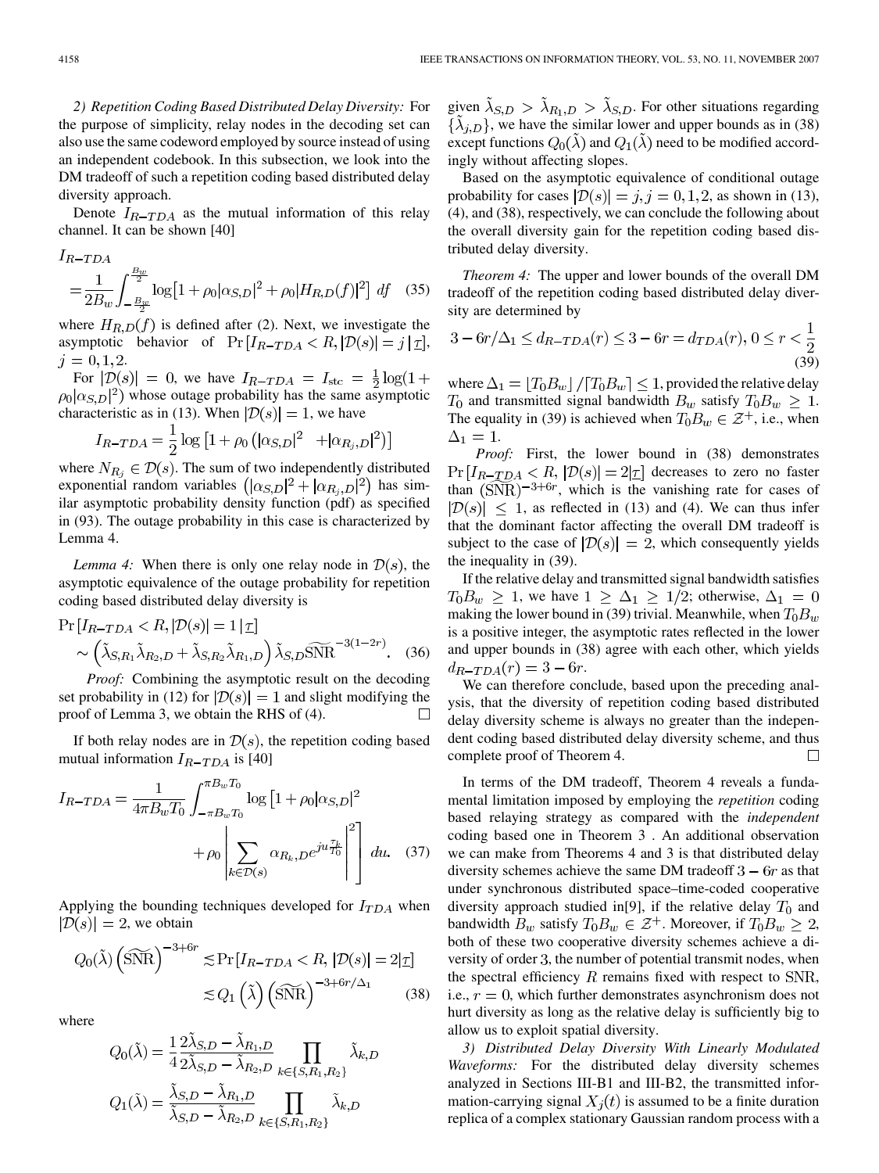*2) Repetition Coding Based Distributed Delay Diversity:* For the purpose of simplicity, relay nodes in the decoding set can also use the same codeword employed by source instead of using an independent codebook. In this subsection, we look into the DM tradeoff of such a repetition coding based distributed delay diversity approach.

Denote  $I_{R-TDA}$  as the mutual information of this relay channel. It can be shown [40]

$$
I_{R-TDA}
$$
  
=  $\frac{1}{2B_w} \int_{-\frac{B_w}{2}}^{\frac{B_w}{2}} \log[1 + \rho_0 |\alpha_{S,D}|^2 + \rho_0 |H_{R,D}(f)|^2] df$  (35)

where  $H_{R,D}(f)$  is defined after (2). Next, we investigate the asymptotic behavior of  $\Pr[I_{R-TDA} < R, |\mathcal{D}(s)| = j | \underline{\tau}],$  $i = 0, 1, 2.$ 

For  $|\mathcal{D}(s)| = 0$ , we have  $I_{R-TDA} = I_{\text{stc}} = \frac{1}{2} \log(1 +$  $\rho_0|\alpha_{S,D}|^2$ ) whose outage probability has the same asymptotic characteristic as in (13). When  $|\mathcal{D}(s)| = 1$ , we have

$$
I_{R-TDA} = \frac{1}{2} \log \left[ 1 + \rho_0 \left( |\alpha_{S,D}|^2 + |\alpha_{R_j,D}|^2 \right) \right]
$$

where  $N_{R_i} \in \mathcal{D}(s)$ . The sum of two independently distributed exponential random variables  $(|\alpha_{S,D}|^2 + |\alpha_{R_i,D}|^2)$  has similar asymptotic probability density function (pdf) as specified in (93). The outage probability in this case is characterized by Lemma 4.

*Lemma 4:* When there is only one relay node in  $\mathcal{D}(s)$ , the asymptotic equivalence of the outage probability for repetition coding based distributed delay diversity is

$$
\Pr[I_{R-TDA} < R, |\mathcal{D}(s)| = 1 \,|\, \mathcal{I}]
$$
\n
$$
\sim \left(\tilde{\lambda}_{S,R_1} \tilde{\lambda}_{R_2,D} + \tilde{\lambda}_{S,R_2} \tilde{\lambda}_{R_1,D}\right) \tilde{\lambda}_{S,D} \widetilde{\text{SNR}}^{-3(1-2r)}. \tag{36}
$$

*Proof:* Combining the asymptotic result on the decoding set probability in (12) for  $|\mathcal{D}(s)| = 1$  and slight modifying the proof of Lemma 3, we obtain the RHS of (4).  $\Box$ 

If both relay nodes are in  $\mathcal{D}(s)$ , the repetition coding based mutual information  $I_{R-TDA}$  is [40]

$$
I_{R-TDA} = \frac{1}{4\pi B_w T_0} \int_{-\pi B_w T_0}^{\pi B_w T_0} \log\left[1 + \rho_0 |\alpha_{S,D}|^2 + \rho_0 \left|\sum_{k \in \mathcal{D}(s)} \alpha_{R_k, D} e^{j u \frac{\tau_k}{T_0}}\right|^2\right] du.
$$
 (37)

Applying the bounding techniques developed for  $I_{TDA}$  when  $|\mathcal{D}(s)| = 2$ , we obtain

$$
Q_0(\tilde{\lambda}) \left(\widetilde{\text{SNR}}\right)^{-3+6r} \lesssim \Pr\left[I_{R-TDA} < R, |\mathcal{D}(s)| = 2|\underline{\tau}\right] \\
\lesssim Q_1\left(\tilde{\lambda}\right) \left(\widetilde{\text{SNR}}\right)^{-3+6r/\Delta_1} \tag{38}
$$

where

$$
Q_0(\tilde{\lambda}) = \frac{1}{4} \frac{2\tilde{\lambda}_{S,D} - \tilde{\lambda}_{R_1,D}}{2\tilde{\lambda}_{S,D} - \tilde{\lambda}_{R_2,D}} \prod_{k \in \{S,R_1,R_2\}} \tilde{\lambda}_{k,D}
$$
  

$$
Q_1(\tilde{\lambda}) = \frac{\tilde{\lambda}_{S,D} - \tilde{\lambda}_{R_1,D}}{\tilde{\lambda}_{S,D} - \tilde{\lambda}_{R_2,D}} \prod_{k \in \{S,R_1,R_2\}} \tilde{\lambda}_{k,D}
$$

given  $\tilde{\lambda}_{S,D} > \tilde{\lambda}_{R_1,D} > \tilde{\lambda}_{S,D}$ . For other situations regarding  $\{\tilde{\lambda}_{j,D}\}\,$ , we have the similar lower and upper bounds as in (38) except functions  $Q_0(\lambda)$  and  $Q_1(\lambda)$  need to be modified accordingly without affecting slopes.

Based on the asymptotic equivalence of conditional outage probability for cases  $|\mathcal{D}(s)| = j, j = 0, 1, 2$ , as shown in (13), (4), and (38), respectively, we can conclude the following about the overall diversity gain for the repetition coding based distributed delay diversity.

*Theorem 4:* The upper and lower bounds of the overall DM tradeoff of the repetition coding based distributed delay diversity are determined by

$$
3 - 6r/\Delta_1 \le d_{R-TDA}(r) \le 3 - 6r = d_{TDA}(r), 0 \le r < \frac{1}{2}
$$
\n(39)

where  $\Delta_1 = |T_0 B_w| / [T_0 B_w] \leq 1$ , provided the relative delay  $T_0$  and transmitted signal bandwidth  $B_w$  satisfy  $T_0 B_w \geq 1$ . The equality in (39) is achieved when  $T_0 B_w \in \mathcal{Z}^+$ , i.e., when  $\Delta_1=1.$ 

*Proof:* First, the lower bound in (38) demonstrates  $\Pr[I_{R-TDA} < R, |\mathcal{D}(s)| = 2|\mathcal{I}|$  decreases to zero no faster than  $(SNR)^{-3+6r}$ , which is the vanishing rate for cases of  $|\mathcal{D}(s)| \leq 1$ , as reflected in (13) and (4). We can thus infer that the dominant factor affecting the overall DM tradeoff is subject to the case of  $|\mathcal{D}(s)| = 2$ , which consequently yields the inequality in (39).

If the relative delay and transmitted signal bandwidth satisfies  $T_0 B_w \geq 1$ , we have  $1 \geq \Delta_1 \geq 1/2$ ; otherwise,  $\Delta_1 = 0$ making the lower bound in (39) trivial. Meanwhile, when  $T_0 B_w$ is a positive integer, the asymptotic rates reflected in the lower and upper bounds in (38) agree with each other, which yields  $d_{R-TDA}(r) = 3 - 6r.$ 

We can therefore conclude, based upon the preceding analysis, that the diversity of repetition coding based distributed delay diversity scheme is always no greater than the independent coding based distributed delay diversity scheme, and thus complete proof of Theorem 4.  $\Box$ 

In terms of the DM tradeoff, Theorem 4 reveals a fundamental limitation imposed by employing the *repetition* coding based relaying strategy as compared with the *independent* coding based one in Theorem 3 . An additional observation we can make from Theorems 4 and 3 is that distributed delay diversity schemes achieve the same DM tradeoff  $3 - 6r$  as that under synchronous distributed space–time-coded cooperative diversity approach studied in[9], if the relative delay  $T_0$  and bandwidth  $B_w$  satisfy  $T_0B_w \in \mathcal{Z}^+$ . Moreover, if  $T_0B_w \geq 2$ , both of these two cooperative diversity schemes achieve a diversity of order 3, the number of potential transmit nodes, when the spectral efficiency  $R$  remains fixed with respect to SNR, i.e.,  $r = 0$ , which further demonstrates asynchronism does not hurt diversity as long as the relative delay is sufficiently big to allow us to exploit spatial diversity.

*3) Distributed Delay Diversity With Linearly Modulated Waveforms:* For the distributed delay diversity schemes analyzed in Sections III-B1 and III-B2, the transmitted information-carrying signal  $X_i(t)$  is assumed to be a finite duration replica of a complex stationary Gaussian random process with a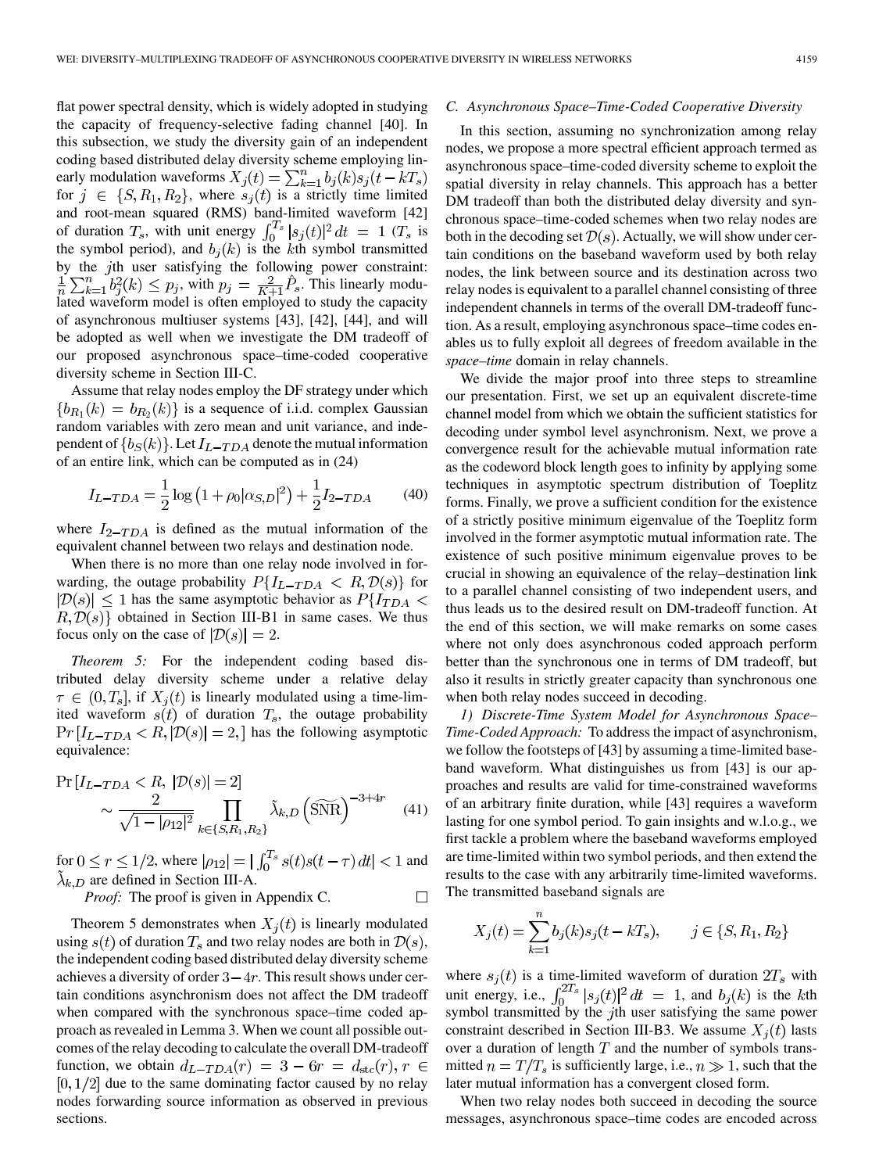flat power spectral density, which is widely adopted in studying the capacity of frequency-selective fading channel [40]. In this subsection, we study the diversity gain of an independent coding based distributed delay diversity scheme employing linearly modulation waveforms  $X_j(t) = \sum_{k=1}^n b_j(k) s_j(t - kT_s)$ for  $j \in \{S, R_1, R_2\}$ , where  $s_i(t)$  is a strictly time limited and root-mean squared (RMS) band-limited waveform [42] of duration  $T_s$ , with unit energy  $\int_0^{T_s} |s_j(t)|^2 dt = 1$  ( $T_s$  is the symbol period), and  $b_i(k)$  is the kth symbol transmitted by the  $j$ th user satisfying the following power constraint: , with  $p_i = \frac{2}{K+1} P_s$ . This linearly modulated waveform model is often employed to study the capacity of asynchronous multiuser systems [43], [42], [44], and will be adopted as well when we investigate the DM tradeoff of our proposed asynchronous space–time-coded cooperative diversity scheme in Section III-C.

Assume that relay nodes employ the DF strategy under which  $\{b_{R_1}(k) = b_{R_2}(k)\}\$ is a sequence of i.i.d. complex Gaussian random variables with zero mean and unit variance, and independent of  $\{b_S(k)\}\$ . Let  $I_{L-TDA}$  denote the mutual information of an entire link, which can be computed as in (24)

$$
I_{L-TDA} = \frac{1}{2} \log \left( 1 + \rho_0 |\alpha_{S,D}|^2 \right) + \frac{1}{2} I_{2-TDA}
$$
 (40)

where  $I_{2-TDA}$  is defined as the mutual information of the equivalent channel between two relays and destination node.

When there is no more than one relay node involved in forwarding, the outage probability  $P\{I_{L-TDA} < R, \mathcal{D}(s)\}\)$  for  $|\mathcal{D}(s)| \leq 1$  has the same asymptotic behavior as  $P\{I_{TDA}$  <  $R, \mathcal{D}(s)$  obtained in Section III-B1 in same cases. We thus focus only on the case of  $|\mathcal{D}(s)| = 2$ .

*Theorem 5:* For the independent coding based distributed delay diversity scheme under a relative delay  $\tau \in (0, T_s]$ , if  $X_i(t)$  is linearly modulated using a time-limited waveform  $s(t)$  of duration  $T_s$ , the outage probability  $Pr[I_{L-TDA} < R, |\mathcal{D}(s)| = 2]$  has the following asymptotic equivalence:

$$
\Pr[I_{L-TDA} < R, |\mathcal{D}(s)| = 2] \\
\sim \frac{2}{\sqrt{1 - |\rho_{12}|^2}} \prod_{k \in \{S, R_1, R_2\}} \tilde{\lambda}_{k,D} \left(\widetilde{\text{SNR}}\right)^{-3+4r} \tag{41}
$$

for  $0 \le r \le 1/2$ , where  $|\rho_{12}| = |\int_0^{T_s} s(t)s(t-\tau) dt| < 1$  and  $\tilde{\lambda}_{k,D}$  are defined in Section III-A.

*Proof:* The proof is given in Appendix C.  $\Box$ 

Theorem 5 demonstrates when  $X_i(t)$  is linearly modulated using  $s(t)$  of duration  $T_s$  and two relay nodes are both in  $\mathcal{D}(s)$ , the independent coding based distributed delay diversity scheme achieves a diversity of order  $3-4r$ . This result shows under certain conditions asynchronism does not affect the DM tradeoff when compared with the synchronous space–time coded approach as revealed in Lemma 3. When we count all possible outcomes of the relay decoding to calculate the overall DM-tradeoff function, we obtain  $d_{L-TDA}(r) = 3 - 6r = d_{\text{stc}}(r)$ ,  $r \in$  $[0,1/2]$  due to the same dominating factor caused by no relay nodes forwarding source information as observed in previous sections.

## *C. Asynchronous Space–Time-Coded Cooperative Diversity*

In this section, assuming no synchronization among relay nodes, we propose a more spectral efficient approach termed as asynchronous space–time-coded diversity scheme to exploit the spatial diversity in relay channels. This approach has a better DM tradeoff than both the distributed delay diversity and synchronous space–time-coded schemes when two relay nodes are both in the decoding set  $\mathcal{D}(s)$ . Actually, we will show under certain conditions on the baseband waveform used by both relay nodes, the link between source and its destination across two relay nodes is equivalent to a parallel channel consisting of three independent channels in terms of the overall DM-tradeoff function. As a result, employing asynchronous space–time codes enables us to fully exploit all degrees of freedom available in the *space–time* domain in relay channels.

We divide the major proof into three steps to streamline our presentation. First, we set up an equivalent discrete-time channel model from which we obtain the sufficient statistics for decoding under symbol level asynchronism. Next, we prove a convergence result for the achievable mutual information rate as the codeword block length goes to infinity by applying some techniques in asymptotic spectrum distribution of Toeplitz forms. Finally, we prove a sufficient condition for the existence of a strictly positive minimum eigenvalue of the Toeplitz form involved in the former asymptotic mutual information rate. The existence of such positive minimum eigenvalue proves to be crucial in showing an equivalence of the relay–destination link to a parallel channel consisting of two independent users, and thus leads us to the desired result on DM-tradeoff function. At the end of this section, we will make remarks on some cases where not only does asynchronous coded approach perform better than the synchronous one in terms of DM tradeoff, but also it results in strictly greater capacity than synchronous one when both relay nodes succeed in decoding.

*1) Discrete-Time System Model for Asynchronous Space– Time-Coded Approach:* To address the impact of asynchronism, we follow the footsteps of [43] by assuming a time-limited baseband waveform. What distinguishes us from [43] is our approaches and results are valid for time-constrained waveforms of an arbitrary finite duration, while [43] requires a waveform lasting for one symbol period. To gain insights and w.l.o.g., we first tackle a problem where the baseband waveforms employed are time-limited within two symbol periods, and then extend the results to the case with any arbitrarily time-limited waveforms. The transmitted baseband signals are

$$
X_j(t) = \sum_{k=1}^n b_j(k)s_j(t - kT_s), \qquad j \in \{S, R_1, R_2\}
$$

where  $s_i(t)$  is a time-limited waveform of duration  $2T_s$  with unit energy, i.e.,  $\int_0^{2T_s} |s_j(t)|^2 dt = 1$ , and  $b_j(k)$  is the kth symbol transmitted by the  $j$ th user satisfying the same power constraint described in Section III-B3. We assume  $X_i(t)$  lasts over a duration of length  $T$  and the number of symbols transmitted  $n = T/T_s$  is sufficiently large, i.e.,  $n \gg 1$ , such that the later mutual information has a convergent closed form.

When two relay nodes both succeed in decoding the source messages, asynchronous space–time codes are encoded across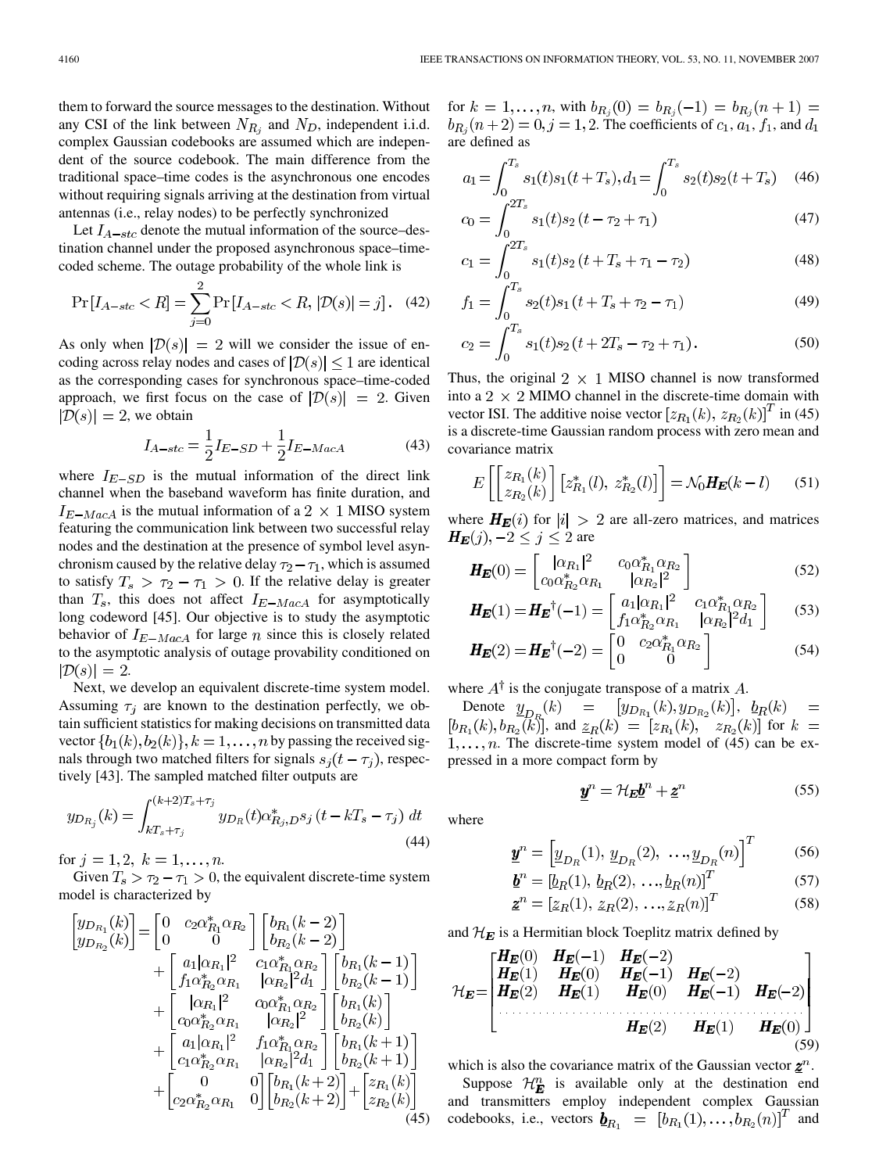them to forward the source messages to the destination. Without any CSI of the link between  $N_{R_i}$  and  $N_D$ , independent i.i.d. complex Gaussian codebooks are assumed which are independent of the source codebook. The main difference from the traditional space–time codes is the asynchronous one encodes without requiring signals arriving at the destination from virtual antennas (i.e., relay nodes) to be perfectly synchronized

Let  $I_{A-stc}$  denote the mutual information of the source–destination channel under the proposed asynchronous space–timecoded scheme. The outage probability of the whole link is

$$
\Pr[I_{A-stc} < R] = \sum_{j=0}^{2} \Pr[I_{A-stc} < R, |\mathcal{D}(s)| = j]. \tag{42}
$$

As only when  $|\mathcal{D}(s)| = 2$  will we consider the issue of encoding across relay nodes and cases of  $|\mathcal{D}(s)| \leq 1$  are identical as the corresponding cases for synchronous space–time-coded approach, we first focus on the case of  $|\mathcal{D}(s)| = 2$ . Given  $|\mathcal{D}(s)| = 2$ , we obtain

$$
I_{A-stc} = \frac{1}{2}I_{E-SD} + \frac{1}{2}I_{E-MacA}
$$
 (43)

where  $I_{E-SD}$  is the mutual information of the direct link channel when the baseband waveform has finite duration, and  $I_{E-MacA}$  is the mutual information of a 2  $\times$  1 MISO system featuring the communication link between two successful relay nodes and the destination at the presence of symbol level asynchronism caused by the relative delay  $\tau_2 - \tau_1$ , which is assumed to satisfy  $T_s > \tau_2 - \tau_1 > 0$ . If the relative delay is greater than  $T_s$ , this does not affect  $I_{E-MacA}$  for asymptotically long codeword [45]. Our objective is to study the asymptotic behavior of  $I_{E-MacA}$  for large n since this is closely related to the asymptotic analysis of outage provability conditioned on  $|\mathcal{D}(s)|=2.$ 

Next, we develop an equivalent discrete-time system model. Assuming  $\tau_i$  are known to the destination perfectly, we obtain sufficient statistics for making decisions on transmitted data vector  $\{b_1(k), b_2(k)\}, k = 1, \ldots, n$  by passing the received signals through two matched filters for signals  $s_i(t-\tau_i)$ , respectively [43]. The sampled matched filter outputs are

$$
y_{D_{R_j}}(k) = \int_{kT_s + \tau_j}^{(k+2)T_s + \tau_j} y_{D_R}(t) \alpha_{R_j, D}^* s_j \left(t - kT_s - \tau_j\right) dt
$$
\n(44)

for  $j = 1, 2, k = 1, ..., n$ .

Given  $T_s > \tau_2 - \tau_1 > 0$ , the equivalent discrete-time system model is characterized by

$$
\begin{aligned}\n\begin{bmatrix} y_{D_{R_1}}(k) \\ y_{D_{R_2}}(k) \end{bmatrix} &= \begin{bmatrix} 0 & c_2 \alpha_{R_1}^* \alpha_{R_2} \\ 0 & 0 \end{bmatrix} \begin{bmatrix} b_{R_1}(k-2) \\ b_{R_2}(k-2) \end{bmatrix} \\
&+ \begin{bmatrix} a_1 |\alpha_{R_1}|^2 & c_1 \alpha_{R_1}^* \alpha_{R_2} \\ f_1 \alpha_{R_2}^* \alpha_{R_1} & |\alpha_{R_2}|^2 d_1 \end{bmatrix} \begin{bmatrix} b_{R_1}(k-1) \\ b_{R_2}(k-1) \end{bmatrix} \\
&+ \begin{bmatrix} |\alpha_{R_1}|^2 & c_0 \alpha_{R_1}^* \alpha_{R_2} \\ c_0 \alpha_{R_2}^* \alpha_{R_1} & |\alpha_{R_2}|^2 \end{bmatrix} \begin{bmatrix} b_{R_1}(k) \\ b_{R_2}(k) \end{bmatrix} \\
&+ \begin{bmatrix} a_1 |\alpha_{R_1}|^2 & f_1 \alpha_{R_1}^* \alpha_{R_2} \\ c_1 \alpha_{R_2}^* \alpha_{R_1} & |\alpha_{R_2}|^2 d_1 \end{bmatrix} \begin{bmatrix} b_{R_1}(k+1) \\ b_{R_2}(k+1) \end{bmatrix} \\
&+ \begin{bmatrix} 0 & 0 \\ c_2 \alpha_{R_2}^* \alpha_{R_1} & 0 \end{bmatrix} \begin{bmatrix} b_{R_1}(k+2) \\ b_{R_2}(k+2) \end{bmatrix} + \begin{bmatrix} z_{R_1}(k) \\ z_{R_2}(k) \end{bmatrix} \end{aligned} \tag{45}
$$

for  $k = 1, ..., n$ , with  $b_{R_i}(0) = b_{R_i}(-1) = b_{R_i}(n+1) =$  $b_{R_i}(n+2) = 0, j = 1, 2$ . The coefficients of  $c_1, a_1, f_1$ , and  $d_1$ are defined as

$$
a_1 = \int_0^{T_s} s_1(t)s_1(t+T_s), d_1 = \int_0^{T_s} s_2(t)s_2(t+T_s) \quad (46)
$$

$$
c_0 = \int_0^{24s} s_1(t)s_2(t - \tau_2 + \tau_1)
$$
 (47)

$$
c_1 = \int_0^{2I_s} s_1(t)s_2(t+T_s+\tau_1-\tau_2)
$$
\n(48)

$$
f_1 = \int_0^{T_s} s_2(t)s_1(t + T_s + \tau_2 - \tau_1)
$$
\n(49)

$$
c_2 = \int_0^{T_s} s_1(t)s_2(t + 2T_s - \tau_2 + \tau_1).
$$
 (50)

Thus, the original  $2 \times 1$  MISO channel is now transformed into a  $2 \times 2$  MIMO channel in the discrete-time domain with vector ISI. The additive noise vector  $[z_{R_1}(k), z_{R_2}(k)]^T$  in (45) is a discrete-time Gaussian random process with zero mean and covariance matrix

$$
E\left[\begin{bmatrix} z_{R_1}(k) \\ z_{R_2}(k) \end{bmatrix} \begin{bmatrix} z_{R_1}^*(l), \ z_{R_2}^*(l) \end{bmatrix} \right] = \mathcal{N}_0 \mathbf{H_E}(k-l) \tag{51}
$$

where  $H_E(i)$  for  $|i| > 2$  are all-zero matrices, and matrices  $H_E(j), -2 \leq j \leq 2$  are

$$
\boldsymbol{H_E}(0) = \begin{bmatrix} |\alpha_{R_1}|^2 & c_0 \alpha_{R_1}^* \alpha_{R_2} \\ c_0 \alpha_{R_2}^* \alpha_{R_1} & |\alpha_{R_2}|^2 \end{bmatrix}
$$
(52)

$$
H_E(1) = H_E^{\dagger}(-1) = \begin{bmatrix} a_1 |\alpha_{R_1}|^2 & c_1 \alpha_{R_1}^* \alpha_{R_2} \\ f_1 \alpha_{R_2}^* \alpha_{R_1} & |\alpha_{R_2}|^2 d_1 \end{bmatrix}
$$
(53)

$$
\boldsymbol{H_E}(2) = \boldsymbol{H_E}^\dagger(-2) = \begin{bmatrix} 0 & c_2 \alpha_{R_1}^* \alpha_{R_2} \\ 0 & 0 \end{bmatrix}
$$
 (54)

where  $A^{\dagger}$  is the conjugate transpose of a matrix A.

Denote  $y_{D_R}(k) = [y_{D_{R_1}}(k), y_{D_{R_2}}(k)], \, b_R(k)$  $[b_{R_1}(k), b_{R_2}(k)]$ , and  $\underline{z_R}(k) = [z_{R_1}(k), z_{R_2}(k)]$  for  $k =$  $1, \ldots, n$ . The discrete-time system model of (45) can be expressed in a more compact form by

$$
\underline{\boldsymbol{y}}^n = \mathcal{H}_E \underline{\boldsymbol{b}}^n + \underline{\boldsymbol{z}}^n \tag{55}
$$

where

$$
\underline{\boldsymbol{y}}^{n} = \left[ \underline{y}_{D_R}(1), \, \underline{y}_{D_R}(2), \, \, \dots, \, \underline{y}_{D_R}(n) \right]^T \tag{56}
$$

$$
\underline{\boldsymbol{b}}^{n} = [\underline{b}_{R}(1), \, \underline{b}_{R}(2), \, \dots, \underline{b}_{R}(n)]^{T} \tag{57}
$$

$$
\underline{\mathbf{z}}^n = \left[\underline{z}_R(1), \, \underline{z}_R(2), \, \dots, \underline{z}_R(n)\right]^T \tag{58}
$$

and  $\mathcal{H}_E$  is a Hermitian block Toeplitz matrix defined by

$$
\mathcal{H}_{E} = \begin{bmatrix} H_{E}(0) & H_{E}(-1) & H_{E}(-2) \\ H_{E}(1) & H_{E}(0) & H_{E}(-1) & H_{E}(-2) \\ H_{E}(2) & H_{E}(1) & H_{E}(0) & H_{E}(-1) & H_{E}(-2) \\ \vdots & \vdots & \vdots & \ddots & \vdots \\ H_{E}(2) & H_{E}(1) & H_{E}(0) & (59) \end{bmatrix}
$$

which is also the covariance matrix of the Gaussian vector  $\underline{\mathbf{z}}^n$ .

(45) codebooks, i.e., vectors  $\mathbf{b}_{R_1} = [b_{R_1}(1), \dots, b_{R_2}(n)]^T$  and Suppose  $\mathcal{H}_{\mathbf{E}}^n$  is available only at the destination end and transmitters employ independent complex Gaussian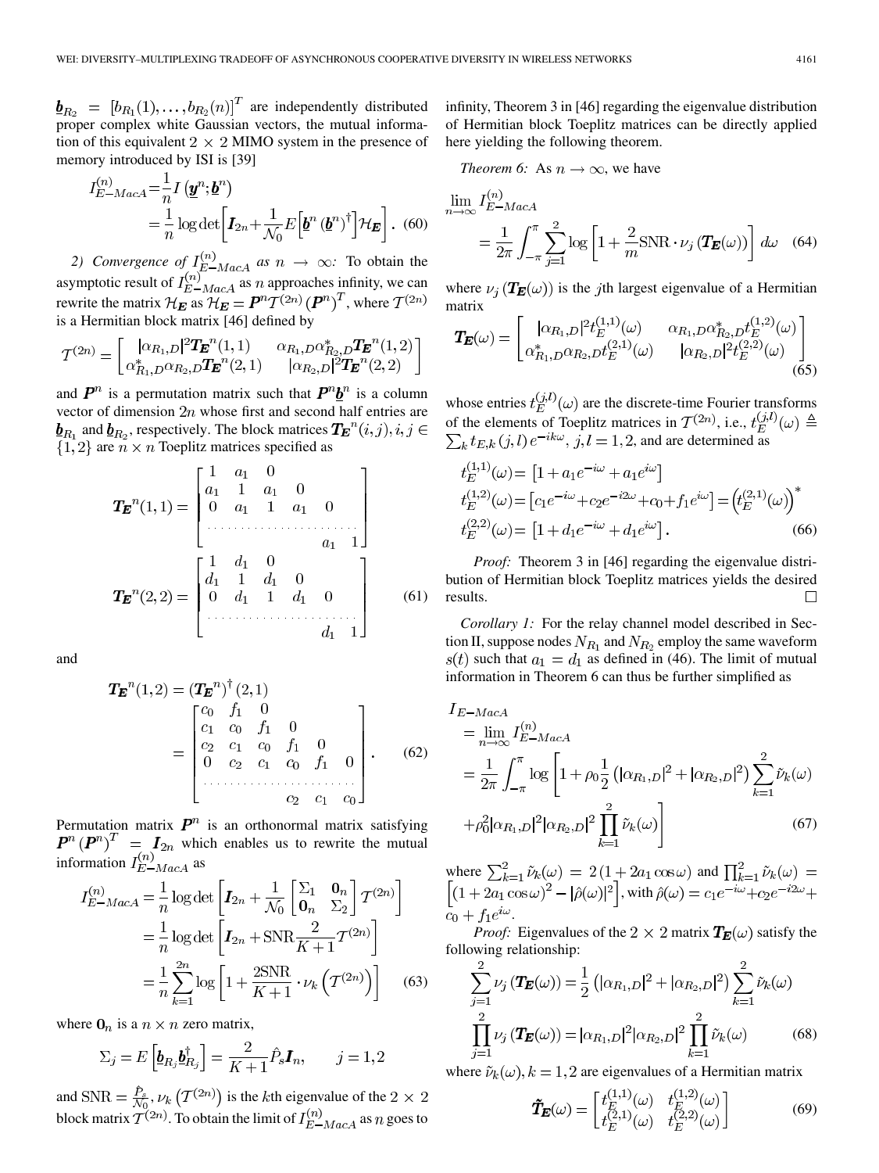are independently distributed proper complex white Gaussian vectors, the mutual information of this equivalent  $2 \times 2$  MIMO system in the presence of memory introduced by ISI is [39]

$$
I_{E-MacA}^{(n)} = \frac{1}{n} I(\underline{\mathbf{y}}^n; \underline{\mathbf{b}}^n)
$$
  
=  $\frac{1}{n} \log \det \left[ I_{2n} + \frac{1}{\mathcal{N}_0} E \left[ \underline{\mathbf{b}}^n (\underline{\mathbf{b}}^n)^{\dagger} \right] \mathcal{H}_E \right].$  (60)

2) Convergence of  $I_{E-MacA}^{(n)}$  as  $n \rightarrow \infty$ . To obtain the asymptotic result of  $I_{E-MacA}^{(n)}$  as n approaches infinity, we can rewrite the matrix  $\mathcal{H}_E$  as  $\mathcal{H}_E = \bm{P}^n \mathcal{T}^{(2n)} (\bm{P}^n)^\text{T}$  , where is a Hermitian block matrix [46] defined by

$$
\mathcal{T}^{(2n)} = \begin{bmatrix} |\alpha_{R_1,D}|^2 \mathbf{T} \mathbf{E}^n(1,1) & \alpha_{R_1,D} \alpha_{R_2,D}^* \mathbf{T} \mathbf{E}^n(1,2) \\ \alpha_{R_1,D}^* \alpha_{R_2,D} \mathbf{T} \mathbf{E}^n(2,1) & |\alpha_{R_2,D}|^2 \mathbf{T} \mathbf{E}^n(2,2) \end{bmatrix}
$$

and  $P^n$  is a permutation matrix such that  $P^n \underline{b}^n$  is a column vector of dimension  $2n$  whose first and second half entries are  $\underline{\bm{b}}_{R_1}$  and  $\underline{\bm{b}}_{R_2}$ , respectively. The block matrices  $\boldsymbol{T_E}^n(i,j), i, j \in$  $\{1,2\}$  are  $n \times n$  Toeplitz matrices specified as

$$
\boldsymbol{T_E}^n(1,1) = \begin{bmatrix} 1 & a_1 & 0 & & & \\ a_1 & 1 & a_1 & 0 & & \\ 0 & a_1 & 1 & a_1 & 0 & \\ & & & & a_1 & 1 \end{bmatrix}
$$

$$
\boldsymbol{T_E}^n(2,2) = \begin{bmatrix} 1 & d_1 & 0 & & & \\ d_1 & 1 & d_1 & 0 & & \\ 0 & d_1 & 1 & d_1 & 0 & \\ & & & & & d_1 & 1 \end{bmatrix}
$$
(61)

and

$$
\mathbf{T_E}^n(1,2) = (\mathbf{T_E}^n)^T (2,1)
$$
\n
$$
= \begin{bmatrix} c_0 & f_1 & 0 \\ c_1 & c_0 & f_1 & 0 \\ c_2 & c_1 & c_0 & f_1 & 0 \\ 0 & c_2 & c_1 & c_0 & f_1 & 0 \\ \vdots & \vdots & \vdots & \ddots & \vdots & \vdots \\ c_2 & c_1 & c_0 & c_2 & c_1 & c_0 \end{bmatrix} . \tag{62}
$$

Permutation matrix  $P^n$  is an orthonormal matrix satisfying which enables us to rewrite the mutual information  $I_{E-MacA}^{(n)}$  as

$$
I_{E-MacA}^{(n)} = \frac{1}{n} \log \det \left[ I_{2n} + \frac{1}{\mathcal{N}_0} \begin{bmatrix} \Sigma_1 & \mathbf{0}_n \\ \mathbf{0}_n & \Sigma_2 \end{bmatrix} T^{(2n)} \right]
$$
  
=  $\frac{1}{n} \log \det \left[ I_{2n} + \text{SNR} \frac{2}{K+1} T^{(2n)} \right]$   
=  $\frac{1}{n} \sum_{k=1}^{2n} \log \left[ 1 + \frac{2\text{SNR}}{K+1} \cdot \nu_k \left( T^{(2n)} \right) \right]$  (63)

where  $\mathbf{0}_n$  is a  $n \times n$  zero matrix,

$$
\Sigma_j = E\left[\underline{\boldsymbol{b}}_{R_j}\underline{\boldsymbol{b}}_{R_j}^{\dagger}\right] = \frac{2}{K+1}\hat{P}_s\boldsymbol{I}_n, \qquad j = 1, 2
$$

and SNR  $=\frac{\hat{P}_s}{\mathcal{N}_0}$ ,  $\nu_k(T^{(2n)})$  is the *k*th eigenvalue of the 2  $\times$  2 block matrix  $\mathcal{T}^{(2n)}$ . To obtain the limit of  $I_{E-MacA}^{(n)}$  as n goes to infinity, Theorem 3 in [46] regarding the eigenvalue distribution of Hermitian block Toeplitz matrices can be directly applied here yielding the following theorem.

*Theorem 6:* As  $n \to \infty$ , we have

$$
\lim_{n \to \infty} I_{E-MacA}^{(n)} = \frac{1}{2\pi} \int_{-\pi}^{\pi} \sum_{j=1}^{2} \log \left[ 1 + \frac{2}{m} \text{SNR} \cdot \nu_j \left( \mathbf{T_E}(\omega) \right) \right] d\omega \quad (64)
$$

where  $\nu_i$  ( $T_E(\omega)$ ) is the jth largest eigenvalue of a Hermitian matrix

$$
\boldsymbol{T}_{\boldsymbol{E}}(\omega) = \begin{bmatrix} |\alpha_{R_1,D}|^2 t_E^{(1,1)}(\omega) & \alpha_{R_1,D} \alpha_{R_2,D}^* t_E^{(1,2)}(\omega) \\ \alpha_{R_1,D}^* \alpha_{R_2,D} t_E^{(2,1)}(\omega) & |\alpha_{R_2,D}|^2 t_E^{(2,2)}(\omega) \end{bmatrix}
$$
(65)

whose entries  $t_E^{(j,l)}(\omega)$  are the discrete-time Fourier transforms of the elements of Toeplitz matrices in  $\mathcal{T}^{(2n)}$ , i.e., , and are determined as

$$
t_E^{(1,1)}(\omega) = [1 + a_1 e^{-i\omega} + a_1 e^{i\omega}]
$$
  
\n
$$
t_E^{(1,2)}(\omega) = [c_1 e^{-i\omega} + c_2 e^{-i2\omega} + c_0 + f_1 e^{i\omega}] = (t_E^{(2,1)}(\omega))^*
$$
  
\n
$$
t_E^{(2,2)}(\omega) = [1 + d_1 e^{-i\omega} + d_1 e^{i\omega}].
$$
\n(66)

*Proof:* Theorem 3 in [46] regarding the eigenvalue distribution of Hermitian block Toeplitz matrices yields the desired results.  $\Box$ 

*Corollary 1:* For the relay channel model described in Section II, suppose nodes  $N_{R_1}$  and  $N_{R_2}$  employ the same waveform  $s(t)$  such that  $a_1 = d_1$  as defined in (46). The limit of mutual information in Theorem 6 can thus be further simplified as

$$
I_{E-MacA}
$$
  
=  $\lim_{n \to \infty} I_{E-MacA}^{(n)}$   
=  $\frac{1}{2\pi} \int_{-\pi}^{\pi} \log \left[ 1 + \rho_0 \frac{1}{2} \left( |\alpha_{R_1,D}|^2 + |\alpha_{R_2,D}|^2 \right) \sum_{k=1}^{2} \tilde{\nu}_k(\omega) + \rho_0^2 |\alpha_{R_1,D}|^2 |\alpha_{R_2,D}|^2 \prod_{k=1}^{2} \tilde{\nu}_k(\omega) \right]$  (67)

where  $\sum_{k=1}^2 \tilde{\nu}_k(\omega) = 2(1+2a_1\cos\omega)$  and , with  $c_0 + f_1 e^{i\omega}$ .

*Proof:* Eigenvalues of the  $2 \times 2$  matrix  $T_E(\omega)$  satisfy the following relationship:  $\overline{Q}$ 

$$
\sum_{j=1}^{2} \nu_j \left( T_E(\omega) \right) = \frac{1}{2} \left( |\alpha_{R_1,D}|^2 + |\alpha_{R_2,D}|^2 \right) \sum_{k=1}^{2} \tilde{\nu}_k(\omega)
$$
  

$$
\prod_{j=1}^{2} \nu_j \left( T_E(\omega) \right) = |\alpha_{R_1,D}|^2 |\alpha_{R_2,D}|^2 \prod_{k=1}^{2} \tilde{\nu}_k(\omega) \tag{68}
$$

where  $\tilde{\nu}_k(\omega)$ ,  $k = 1, 2$  are eigenvalues of a Hermitian matrix

$$
\tilde{T}_{E}(\omega) = \begin{bmatrix} t_{E}^{(1,1)}(\omega) & t_{E}^{(1,2)}(\omega) \\ t_{E}^{(2,1)}(\omega) & t_{E}^{(2,2)}(\omega) \end{bmatrix}
$$
(69)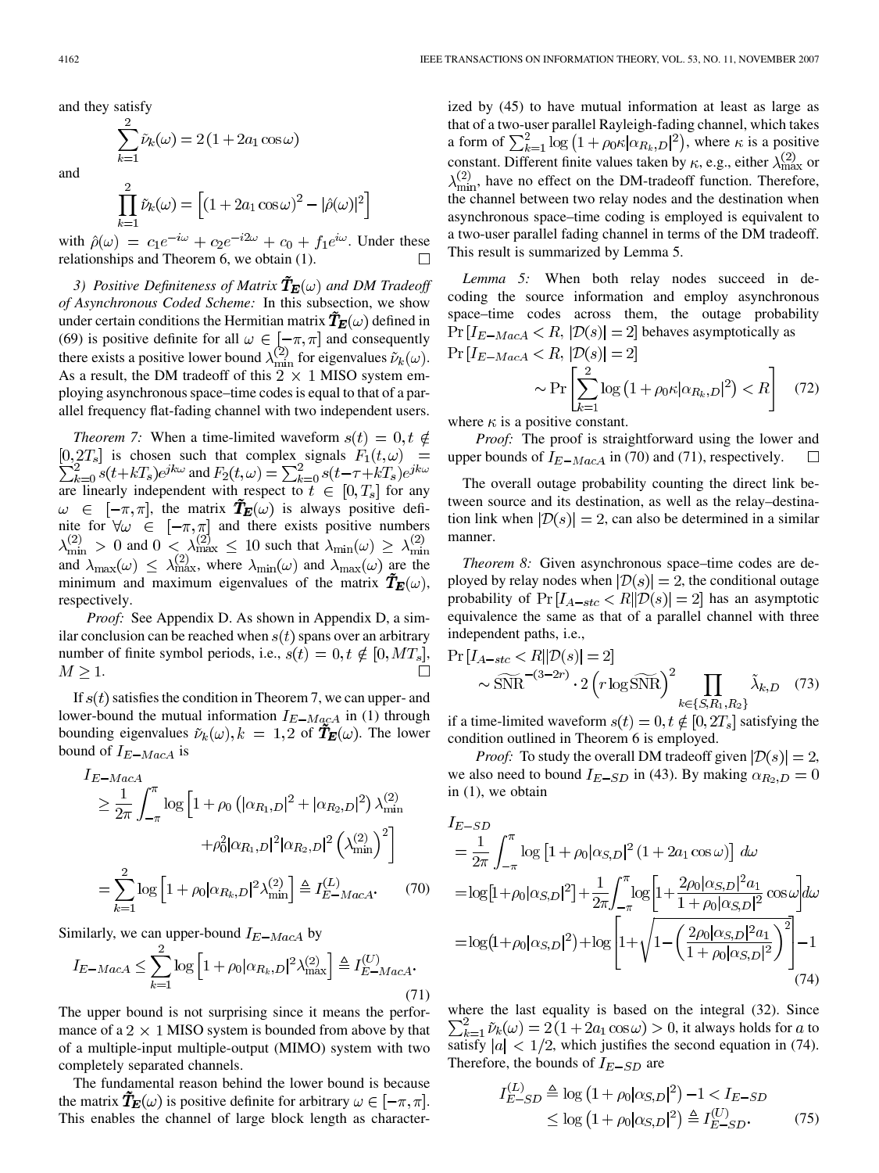and they satisfy

$$
\sum_{k=1}^{2} \tilde{\nu}_k(\omega) = 2\left(1 + 2a_1 \cos \omega\right)
$$

and

$$
\prod_{k=1}^{2} \tilde{\nu}_k(\omega) = \left[ (1 + 2a_1 \cos \omega)^2 - |\hat{\rho}(\omega)|^2 \right]
$$

with  $\hat{\rho}(\omega) = c_1 e^{-i\omega} + c_2 e^{-i2\omega} + c_0 + f_1 e^{i\omega}$ . Under these relationships and Theorem 6, we obtain (1). П

*3) Positive Definiteness of Matrix*  $\tilde{T}_E(\omega)$  and DM Tradeoff *of Asynchronous Coded Scheme:* In this subsection, we show under certain conditions the Hermitian matrix  $\tilde{\mathbf{T}}_{\mathbf{E}}(\omega)$  defined in (69) is positive definite for all  $\omega \in [-\pi, \pi]$  and consequently there exists a positive lower bound  $\lambda_{\min}^{(2)}$  for eigenvalues  $\tilde{\nu}_k(\omega)$ . As a result, the DM tradeoff of this  $2 \times 1$  MISO system employing asynchronous space–time codes is equal to that of a parallel frequency flat-fading channel with two independent users.

*Theorem 7:* When a time-limited waveform  $s(t) = 0, t \notin$  $[0, 2T_s]$  is chosen such that complex signals  $F_1(t, \omega)$  = and are linearly independent with respect to  $t \in [0, T_s]$  for any  $\omega \in [-\pi, \pi]$ , the matrix  $\mathbf{T_E}(\omega)$  is always positive definite for  $\forall \omega \in [-\pi, \pi]$  and there exists positive numbers and  $0 < \lambda_{\text{max}}^{(2)} \leq 10$  such that and  $\lambda_{\max}(\omega) \leq \lambda_{\max}^{(\omega)}$ , where  $\lambda_{\min}(\omega)$  and  $\lambda_{\max}(\omega)$  are the minimum and maximum eigenvalues of the matrix  $T_E(\omega)$ , respectively.

*Proof:* See Appendix D. As shown in Appendix D, a similar conclusion can be reached when  $s(t)$  spans over an arbitrary number of finite symbol periods, i.e.,  $s(t) = 0, t \notin [0, MT_s]$ ,  $M \geq 1$ .

If  $s(t)$  satisfies the condition in Theorem 7, we can upper- and lower-bound the mutual information  $I_{E-MacA}$  in (1) through bounding eigenvalues  $\tilde{\nu}_k(\omega), k = 1,2$  of  $\tilde{\bm{T}}_{\bm{E}}(\omega)$ . The lower bound of  $I_{E-MacA}$  is

$$
I_{E-MacA} \geq \frac{1}{2\pi} \int_{-\pi}^{\pi} \log \left[ 1 + \rho_0 \left( |\alpha_{R_1,D}|^2 + |\alpha_{R_2,D}|^2 \right) \lambda_{\min}^{(2)} + \rho_0^2 |\alpha_{R_1,D}|^2 |\alpha_{R_2,D}|^2 \left( \lambda_{\min}^{(2)} \right)^2 \right]
$$
  

$$
= \sum_{k=1}^2 \log \left[ 1 + \rho_0 |\alpha_{R_k,D}|^2 \lambda_{\min}^{(2)} \right] \triangleq I_{E-MacA}^{(L)}.
$$
 (70)

Similarly, we can upper-bound  $I_{E-MacA}$  by

$$
I_{E-MacA} \le \sum_{k=1}^{2} \log \left[ 1 + \rho_0 |\alpha_{R_k,D}|^2 \lambda_{\max}^{(2)} \right] \triangleq I_{E-MacA}^{(U)}.
$$
\n(71)

The upper bound is not surprising since it means the performance of a  $2 \times 1$  MISO system is bounded from above by that of a multiple-input multiple-output (MIMO) system with two completely separated channels.

The fundamental reason behind the lower bound is because the matrix  $\mathbf{T}_{\mathbf{E}}(\omega)$  is positive definite for arbitrary  $\omega \in [-\pi, \pi]$ . This enables the channel of large block length as character-

ized by (45) to have mutual information at least as large as that of a two-user parallel Rayleigh-fading channel, which takes a form of  $\sum_{k=1}^{2} \log (1 + \rho_0 \kappa |\alpha_{R_k,D}|^2)$ , where  $\kappa$  is a positive constant. Different finite values taken by  $\kappa$ , e.g., either  $\lambda_{\text{max}}^{(2)}$  or  $\lambda_{\min}^{(2)}$ , have no effect on the DM-tradeoff function. Therefore, the channel between two relay nodes and the destination when asynchronous space–time coding is employed is equivalent to a two-user parallel fading channel in terms of the DM tradeoff. This result is summarized by Lemma 5.

*Lemma 5:* When both relay nodes succeed in decoding the source information and employ asynchronous space–time codes across them, the outage probability  $Pr[I_{E-MacA} < R, |\mathcal{D}(s)| = 2]$  behaves asymptotically as

$$
\Pr[I_{E-MacA} < R, |\mathcal{D}(s)| = 2] \\
&\sim \Pr\left[\sum_{k=1}^{2} \log\left(1 + \rho_0 \kappa |\alpha_{R_k, D}|^2\right) < R\right] \tag{72}
$$

where  $\kappa$  is a positive constant.

*Proof:* The proof is straightforward using the lower and upper bounds of  $I_{E-MacA}$  in (70) and (71), respectively.

The overall outage probability counting the direct link between source and its destination, as well as the relay–destination link when  $|\mathcal{D}(s)| = 2$ , can also be determined in a similar manner.

*Theorem 8:* Given asynchronous space–time codes are deployed by relay nodes when  $|\mathcal{D}(s)| = 2$ , the conditional outage probability of  $Pr[I_{A-stc} < R || \mathcal{D}(s)]=2]$  has an asymptotic equivalence the same as that of a parallel channel with three independent paths, i.e.,

$$
\Pr[I_{A-\text{stc}} < R||\mathcal{D}(s)| = 2] \sim \widehat{\text{SNR}}^{-\left(3-2r\right)} \cdot 2\left(r \log \widehat{\text{SNR}}\right)^2 \prod_{k \in \{S, R_1, R_2\}} \tilde{\lambda}_{k, D} \quad (73)
$$

if a time-limited waveform  $s(t) = 0, t \notin [0, 2T_s]$  satisfying the condition outlined in Theorem 6 is employed.

*Proof:* To study the overall DM tradeoff given  $|\mathcal{D}(s)| = 2$ , we also need to bound  $I_{E-SD}$  in (43). By making  $\alpha_{R_2,D} = 0$ in (1), we obtain

$$
I_{E-SD}
$$
  
=  $\frac{1}{2\pi} \int_{-\pi}^{\pi} \log [1 + \rho_0 |\alpha_{S,D}|^2 (1 + 2a_1 \cos \omega)] d\omega$   
=  $\log [1 + \rho_0 |\alpha_{S,D}|^2] + \frac{1}{2\pi} \int_{-\pi}^{\pi} \log [1 + \frac{2\rho_0 |\alpha_{S,D}|^2 a_1}{1 + \rho_0 |\alpha_{S,D}|^2} \cos \omega] d\omega$   
=  $\log (1 + \rho_0 |\alpha_{S,D}|^2) + \log [1 + \sqrt{1 - (\frac{2\rho_0 |\alpha_{S,D}|^2 a_1}{1 + \rho_0 |\alpha_{S,D}|^2})^2} - 1$  (74)

where the last equality is based on the integral (32). Since  $\sum_{k=1}^{2} \tilde{\nu}_k(\omega) = 2(1 + 2a_1 \cos \omega) > 0$ , it always holds for a to satisfy  $|a| < 1/2$ , which justifies the second equation in (74). Therefore, the bounds of  $I_{E-SD}$  are

$$
I_{E-SD}^{(L)} \triangleq \log \left( 1 + \rho_0 |\alpha_{S,D}|^2 \right) - 1 < I_{E-SD}
$$
\n
$$
\leq \log \left( 1 + \rho_0 |\alpha_{S,D}|^2 \right) \triangleq I_{E-SD}^{(U)}.\tag{75}
$$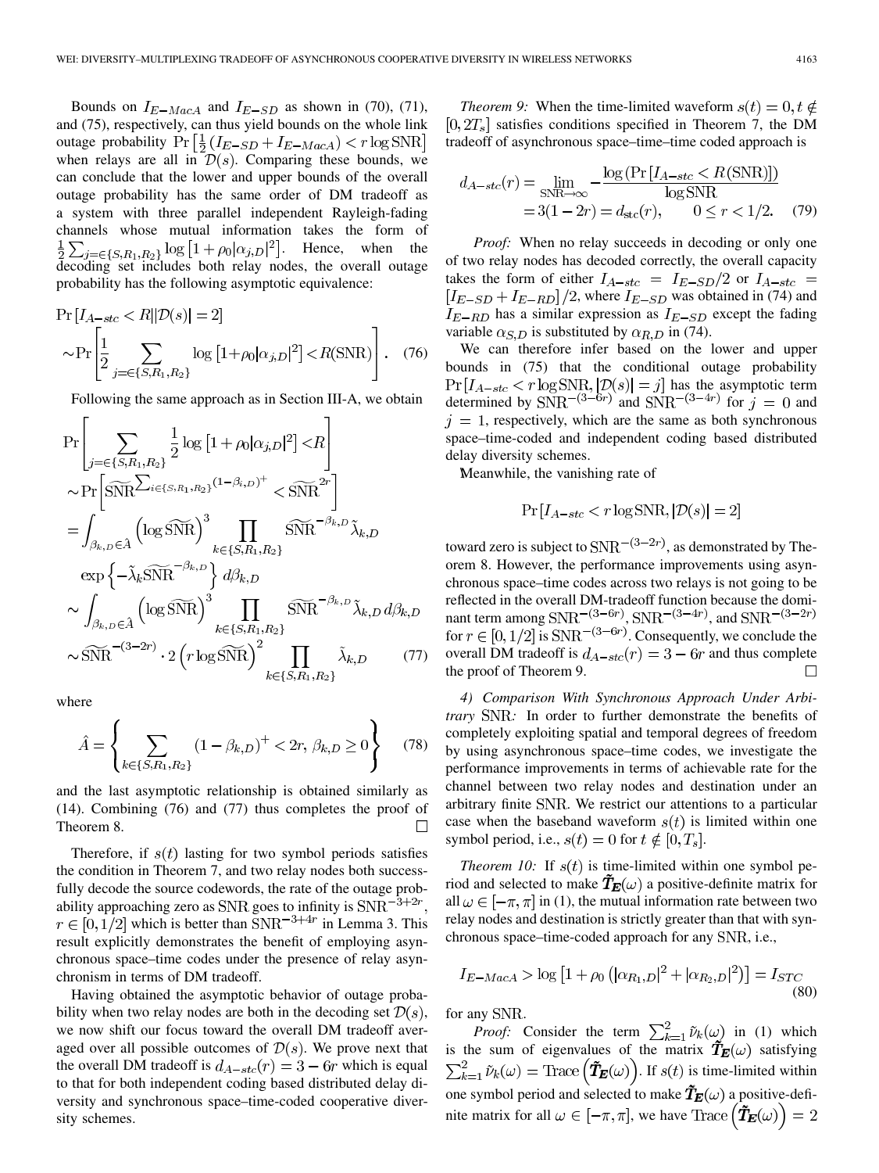Bounds on  $I_{E-MacA}$  and  $I_{E-SD}$  as shown in (70), (71), and (75), respectively, can thus yield bounds on the whole link outage probability  $Pr\left[\frac{1}{2}(I_{E-SD} + I_{E-MacA}) \le r \log SNR\right]$ when relays are all in  $\mathcal{D}(s)$ . Comparing these bounds, we can conclude that the lower and upper bounds of the overall outage probability has the same order of DM tradeoff as a system with three parallel independent Rayleigh-fading channels whose mutual information takes the form of  $\frac{1}{2}\sum_{j=\in\{S,R_1,R_2\}}\log\left[1+\rho_0|\alpha_{j,D}|^2\right].$  Hence, when the decoding set includes both relay nodes, the overall outage probability has the following asymptotic equivalence:

$$
\Pr[I_{A-stc} < R||\mathcal{D}(s)| = 2] \\
 \sim \Pr\left[\frac{1}{2} \sum_{j=\in\{S, R_1, R_2\}} \log\left[1 + \rho_0 |\alpha_{j,D}|^2\right] < R(\text{SNR})\right]. \tag{76}
$$

Following the same approach as in Section III-A, we obtain

$$
\Pr\left[\sum_{j=\in\{S,R_1,R_2\}}\frac{1}{2}\log\left[1+\rho_0|\alpha_{j,D}|^2\right] < R\right] \\
\sim \Pr\left[\widehat{\text{SNR}}^{\sum_{i\in\{S,R_1,R_2\}}(1-\beta_{i,D})^+} < \widehat{\text{SNR}}^{2r}\right] \\
= \int_{\beta_{k,D}\in\hat{A}} \left(\log \widehat{\text{SNR}}\right)^3 \prod_{k\in\{S,R_1,R_2\}} \widehat{\text{SNR}}^{-\beta_{k,D}} \tilde{\lambda}_{k,D} \\
\exp\left\{-\tilde{\lambda}_k \widehat{\text{SNR}}^{-\beta_{k,D}}\right\} d\beta_{k,D} \\
\sim \int_{\beta_{k,D}\in\hat{A}} \left(\log \widehat{\text{SNR}}\right)^3 \prod_{k\in\{S,R_1,R_2\}} \widehat{\text{SNR}}^{-\beta_{k,D}} \tilde{\lambda}_{k,D} d\beta_{k,D} \\
\sim \widehat{\text{SNR}}^{-(3-2r)} \cdot 2 \left(r \log \widehat{\text{SNR}}\right)^2 \prod_{k\in\{S,R_1,R_2\}} \tilde{\lambda}_{k,D} \tag{77}
$$

where

 $\mathbf{r}$ 

$$
\hat{A} = \left\{ \sum_{k \in \{S, R_1, R_2\}} (1 - \beta_{k,D})^+ < 2r, \, \beta_{k,D} \ge 0 \right\} \tag{78}
$$

and the last asymptotic relationship is obtained similarly as (14). Combining (76) and (77) thus completes the proof of Theorem 8.  $\Box$ 

Therefore, if  $s(t)$  lasting for two symbol periods satisfies the condition in Theorem 7, and two relay nodes both successfully decode the source codewords, the rate of the outage probability approaching zero as SNR goes to infinity is  $SNR^{-3+2r}$ ,  $r \in [0, 1/2]$  which is better than SNR<sup>-3+4r</sup> in Lemma 3. This result explicitly demonstrates the benefit of employing asynchronous space–time codes under the presence of relay asynchronism in terms of DM tradeoff.

Having obtained the asymptotic behavior of outage probability when two relay nodes are both in the decoding set  $\mathcal{D}(s)$ , we now shift our focus toward the overall DM tradeoff averaged over all possible outcomes of  $\mathcal{D}(s)$ . We prove next that the overall DM tradeoff is  $d_{A-stc}(r) = 3 - 6r$  which is equal to that for both independent coding based distributed delay diversity and synchronous space–time-coded cooperative diversity schemes.

*Theorem 9:* When the time-limited waveform  $s(t) = 0, t \notin$  $[0, 2T<sub>s</sub>]$  satisfies conditions specified in Theorem 7, the DM tradeoff of asynchronous space–time–time coded approach is

$$
d_{A-stc}(r) = \lim_{\text{SNR}\to\infty} -\frac{\log (\Pr[I_{A-stc} < R(\text{SNR})])}{\log \text{SNR}} \\ = 3(1 - 2r) = d_{\text{stc}}(r), \qquad 0 \le r < 1/2. \tag{79}
$$

*Proof:* When no relay succeeds in decoding or only one of two relay nodes has decoded correctly, the overall capacity takes the form of either  $I_{A-stc} = I_{E-SD}/2$  or  $I_{A-stc} =$  $[I_{E-SD}+I_{E-RD}]/2$ , where  $I_{E-SD}$  was obtained in (74) and  $I_{E-RD}$  has a similar expression as  $I_{E-SD}$  except the fading variable  $\alpha_{S,D}$  is substituted by  $\alpha_{R,D}$  in (74).

We can therefore infer based on the lower and upper bounds in (75) that the conditional outage probability has the asymptotic term determined by  $SNR^{-(3-6r)}$  and  $SNR^{-(3-4r)}$  for  $j = 0$  and  $j = 1$ , respectively, which are the same as both synchronous space–time-coded and independent coding based distributed delay diversity schemes.

Meanwhile, the vanishing rate of

$$
\Pr[I_{A-stc} < r \log \text{SNR}, |\mathcal{D}(s)| = 2]
$$

toward zero is subject to  $SNR^{-(3-2r)}$ , as demonstrated by Theorem 8. However, the performance improvements using asynchronous space–time codes across two relays is not going to be reflected in the overall DM-tradeoff function because the dominant term among  $SNR^{-(3-6r)}$ ,  $SNR^{-(3-4r)}$ , and  $SNR^{-(3-2r)}$ for  $r \in [0, 1/2]$  is SNR<sup>-(3-6r)</sup>. Consequently, we conclude the overall DM tradeoff is  $d_{A-stc}(r) = 3 - 6r$  and thus complete the proof of Theorem 9.

*4) Comparison With Synchronous Approach Under Arbitrary* SNR: In order to further demonstrate the benefits of completely exploiting spatial and temporal degrees of freedom by using asynchronous space–time codes, we investigate the performance improvements in terms of achievable rate for the channel between two relay nodes and destination under an arbitrary finite SNR. We restrict our attentions to a particular case when the baseband waveform  $s(t)$  is limited within one symbol period, i.e.,  $s(t) = 0$  for  $t \notin [0, T_s]$ .

*Theorem 10:* If  $s(t)$  is time-limited within one symbol period and selected to make  $\tilde{T}_E(\omega)$  a positive-definite matrix for all  $\omega \in [-\pi, \pi]$  in (1), the mutual information rate between two relay nodes and destination is strictly greater than that with synchronous space–time-coded approach for any SNR, i.e.,

$$
I_{E-MacA} > \log \left[ 1 + \rho_0 \left( |\alpha_{R_1,D}|^2 + |\alpha_{R_2,D}|^2 \right) \right] = I_{STC}
$$
\n(80)

for any SNR.

*Proof:* Consider the term  $\sum_{k=1}^{2} \tilde{\nu}_k(\omega)$  in (1) which is the sum of eigenvalues of the matrix  $T_E(\omega)$  satisfying . If  $s(t)$  is time-limited within one symbol period and selected to make  $\tilde{\mathbf{T}}_{E}(\omega)$  a positive-definite matrix for all  $\omega \in [-\pi, \pi]$ , we have Trace  $(\tilde{\mathbf{T}}_{\mathbf{E}}(\omega)) = 2$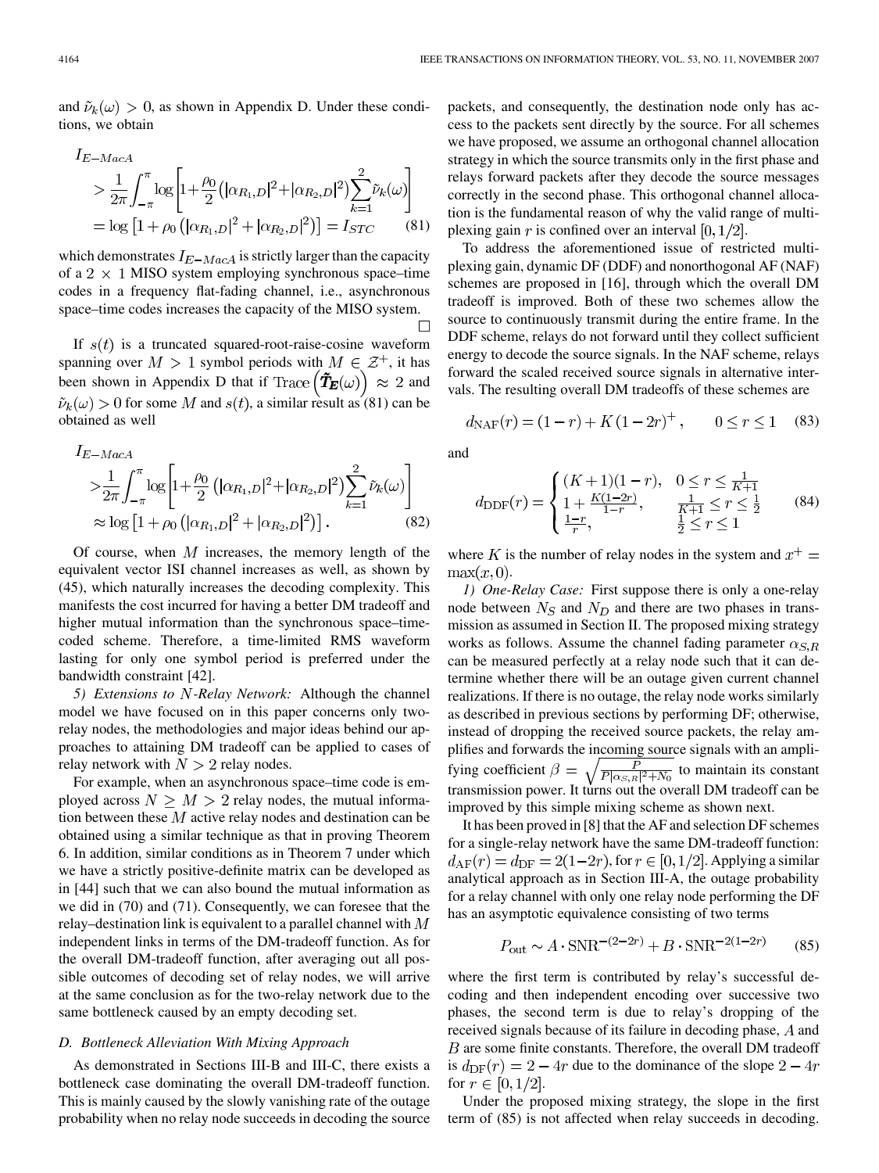and  $\tilde{\nu}_k(\omega) > 0$ , as shown in Appendix D. Under these conditions, we obtain

$$
I_{E-MacA} \n> \frac{1}{2\pi} \int_{-\pi}^{\pi} \log \left[ 1 + \frac{\rho_0}{2} \left( |\alpha_{R_1,D}|^2 + |\alpha_{R_2,D}|^2 \right) \sum_{k=1}^2 \tilde{\nu}_k(\omega) \right] \n= \log \left[ 1 + \rho_0 \left( |\alpha_{R_1,D}|^2 + |\alpha_{R_2,D}|^2 \right) \right] = I_{STC} \n\tag{81}
$$

which demonstrates  $I_{E-MacA}$  is strictly larger than the capacity of a  $2 \times 1$  MISO system employing synchronous space–time codes in a frequency flat-fading channel, i.e., asynchronous space–time codes increases the capacity of the MISO system.

If  $s(t)$  is a truncated squared-root-raise-cosine waveform spanning over  $M > 1$  symbol periods with  $M \in \mathcal{Z}^+$ , it has been shown in Appendix D that if  $Trace(\tilde{T}_{E}(\omega)) \approx 2$  and  $\tilde{\nu}_k(\omega) > 0$  for some M and  $s(t)$ , a similar result as (81) can be obtained as well

$$
I_{E-MacA} > \frac{1}{2\pi} \int_{-\pi}^{\pi} \log \left[ 1 + \frac{\rho_0}{2} \left( |\alpha_{R_1,D}|^2 + |\alpha_{R_2,D}|^2 \right) \sum_{k=1}^2 \tilde{\nu}_k(\omega) \right] \approx \log \left[ 1 + \rho_0 \left( |\alpha_{R_1,D}|^2 + |\alpha_{R_2,D}|^2 \right) \right].
$$
 (82)

Of course, when  $M$  increases, the memory length of the equivalent vector ISI channel increases as well, as shown by (45), which naturally increases the decoding complexity. This manifests the cost incurred for having a better DM tradeoff and higher mutual information than the synchronous space–timecoded scheme. Therefore, a time-limited RMS waveform lasting for only one symbol period is preferred under the bandwidth constraint [42].

*5) Extensions to -Relay Network:* Although the channel model we have focused on in this paper concerns only tworelay nodes, the methodologies and major ideas behind our approaches to attaining DM tradeoff can be applied to cases of relay network with  $N > 2$  relay nodes.

For example, when an asynchronous space–time code is employed across  $N > M > 2$  relay nodes, the mutual information between these  $M$  active relay nodes and destination can be obtained using a similar technique as that in proving Theorem 6. In addition, similar conditions as in Theorem 7 under which we have a strictly positive-definite matrix can be developed as in [44] such that we can also bound the mutual information as we did in (70) and (71). Consequently, we can foresee that the relay–destination link is equivalent to a parallel channel with  $M$ independent links in terms of the DM-tradeoff function. As for the overall DM-tradeoff function, after averaging out all possible outcomes of decoding set of relay nodes, we will arrive at the same conclusion as for the two-relay network due to the same bottleneck caused by an empty decoding set.

#### *D. Bottleneck Alleviation With Mixing Approach*

As demonstrated in Sections III-B and III-C, there exists a bottleneck case dominating the overall DM-tradeoff function. This is mainly caused by the slowly vanishing rate of the outage probability when no relay node succeeds in decoding the source

packets, and consequently, the destination node only has access to the packets sent directly by the source. For all schemes we have proposed, we assume an orthogonal channel allocation strategy in which the source transmits only in the first phase and relays forward packets after they decode the source messages correctly in the second phase. This orthogonal channel allocation is the fundamental reason of why the valid range of multiplexing gain r is confined over an interval  $[0, 1/2]$ .

To address the aforementioned issue of restricted multiplexing gain, dynamic DF (DDF) and nonorthogonal AF (NAF) schemes are proposed in [16], through which the overall DM tradeoff is improved. Both of these two schemes allow the source to continuously transmit during the entire frame. In the DDF scheme, relays do not forward until they collect sufficient energy to decode the source signals. In the NAF scheme, relays forward the scaled received source signals in alternative intervals. The resulting overall DM tradeoffs of these schemes are

$$
d_{\text{NAF}}(r) = (1 - r) + K\left(1 - 2r\right)^+, \qquad 0 \le r \le 1 \tag{83}
$$

and

$$
d_{\text{DDF}}(r) = \begin{cases} (K+1)(1-r), & 0 \le r \le \frac{1}{K+1} \\ 1 + \frac{K(1-2r)}{1-r}, & \frac{1}{K+1} \le r \le \frac{1}{2} \\ \frac{1-r}{r}, & \frac{1}{2} \le r \le 1 \end{cases}
$$
(84)

where K is the number of relay nodes in the system and  $x^+=$  $max(x,0)$ .

*1) One-Relay Case:* First suppose there is only a one-relay node between  $N<sub>S</sub>$  and  $N<sub>D</sub>$  and there are two phases in transmission as assumed in Section II. The proposed mixing strategy works as follows. Assume the channel fading parameter  $\alpha_{S,R}$ can be measured perfectly at a relay node such that it can determine whether there will be an outage given current channel realizations. If there is no outage, the relay node works similarly as described in previous sections by performing DF; otherwise, instead of dropping the received source packets, the relay amplifies and forwards the incoming source signals with an amplifying coefficient  $\beta = \sqrt{\frac{P}{P|\alpha_{S,R}|^2 + N_0}}$  to maintain its constant transmission power. It turns out the overall DM tradeoff can be improved by this simple mixing scheme as shown next.

It has been proved in [8] that the AF and selection DF schemes for a single-relay network have the same DM-tradeoff function:  $d_{\rm AF}(r) = d_{\rm DF} = 2(1-2r)$ , for  $r \in [0,1/2]$ . Applying a similar analytical approach as in Section III-A, the outage probability for a relay channel with only one relay node performing the DF has an asymptotic equivalence consisting of two terms

$$
P_{\text{out}} \sim A \cdot \text{SNR}^{-(2-2r)} + B \cdot \text{SNR}^{-2(1-2r)} \tag{85}
$$

where the first term is contributed by relay's successful decoding and then independent encoding over successive two phases, the second term is due to relay's dropping of the received signals because of its failure in decoding phase,  $A$  and  $B$  are some finite constants. Therefore, the overall DM tradeoff is  $d_{\text{DF}}(r) = 2 - 4r$  due to the dominance of the slope  $2 - 4r$ for  $r \in [0, 1/2]$ .

Under the proposed mixing strategy, the slope in the first term of (85) is not affected when relay succeeds in decoding.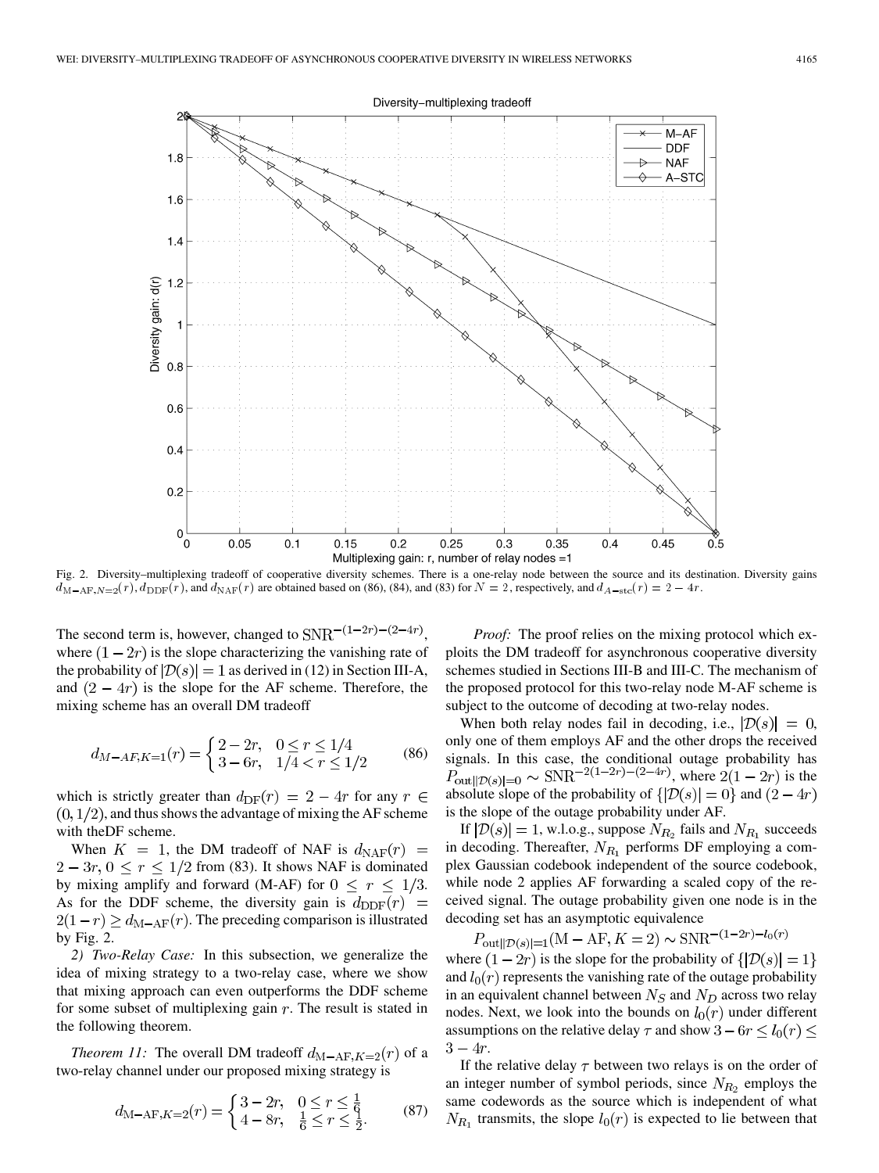

Fig. 2. Diversity–multiplexing tradeoff of cooperative diversity schemes. There is a one-relay node between the source and its destination. Diversity gains

The second term is, however, changed to  $SNR^{-(1-2r)-(2-4r)}$ . where  $(1 - 2r)$  is the slope characterizing the vanishing rate of the probability of  $|\mathcal{D}(s)| = 1$  as derived in (12) in Section III-A, and  $(2 - 4r)$  is the slope for the AF scheme. Therefore, the mixing scheme has an overall DM tradeoff

$$
d_{M-AF,K=1}(r) = \begin{cases} 2 - 2r, & 0 \le r \le 1/4 \\ 3 - 6r, & 1/4 < r \le 1/2 \end{cases}
$$
 (86)

which is strictly greater than  $d_{\text{DF}}(r) = 2 - 4r$  for any  $r \in$  $(0, 1/2)$ , and thus shows the advantage of mixing the AF scheme with theDF scheme.

When  $K = 1$ , the DM tradeoff of NAF is  $d_{NAF}(r)$  =  $f(2-3r, 0 \le r \le 1/2$  from (83). It shows NAF is dominated by mixing amplify and forward (M-AF) for  $0 \le r \le 1/3$ . As for the DDF scheme, the diversity gain is  $d_{\text{DDF}}(r)$  =  $2(1-r) \ge d_{\text{M-AF}}(r)$ . The preceding comparison is illustrated by Fig. 2.

*2) Two-Relay Case:* In this subsection, we generalize the idea of mixing strategy to a two-relay case, where we show that mixing approach can even outperforms the DDF scheme for some subset of multiplexing gain  $r$ . The result is stated in the following theorem.

*Theorem 11:* The overall DM tradeoff  $d_{M-AF,K=2}(r)$  of a two-relay channel under our proposed mixing strategy is

$$
d_{\text{M-AF},K=2}(r) = \begin{cases} 3-2r, & 0 \le r \le \frac{1}{6} \\ 4-8r, & \frac{1}{6} \le r \le \frac{1}{2}. \end{cases}
$$
(87)

*Proof:* The proof relies on the mixing protocol which exploits the DM tradeoff for asynchronous cooperative diversity schemes studied in Sections III-B and III-C. The mechanism of the proposed protocol for this two-relay node M-AF scheme is subject to the outcome of decoding at two-relay nodes.

When both relay nodes fail in decoding, i.e.,  $|\mathcal{D}(s)| = 0$ , only one of them employs AF and the other drops the received signals. In this case, the conditional outage probability has , where  $2(1 - 2r)$  is the absolute slope of the probability of  $\{|\mathcal{D}(s)| = 0\}$  and  $(2-4r)$ is the slope of the outage probability under AF.

If  $|\mathcal{D}(s)| = 1$ , w.l.o.g., suppose  $N_{R_2}$  fails and  $N_{R_1}$  succeeds in decoding. Thereafter,  $N_{R_1}$  performs DF employing a complex Gaussian codebook independent of the source codebook, while node 2 applies AF forwarding a scaled copy of the received signal. The outage probability given one node is in the decoding set has an asymptotic equivalence

$$
P_{\text{out}}||p(s)|=1}(M - AF, K = 2) \sim SNR^{-(1-2r)-l_0(r)}
$$

where  $(1 - 2r)$  is the slope for the probability of  $\{|\mathcal{D}(s)| = 1\}$ and  $l_0(r)$  represents the vanishing rate of the outage probability in an equivalent channel between  $N<sub>S</sub>$  and  $N<sub>D</sub>$  across two relay nodes. Next, we look into the bounds on  $l_0(r)$  under different assumptions on the relative delay  $\tau$  and show  $3-6r \leq l_0(r) \leq$  $3 - 4r$ .

If the relative delay  $\tau$  between two relays is on the order of an integer number of symbol periods, since  $N_{R_2}$  employs the same codewords as the source which is independent of what  $N_{R_1}$  transmits, the slope  $l_0(r)$  is expected to lie between that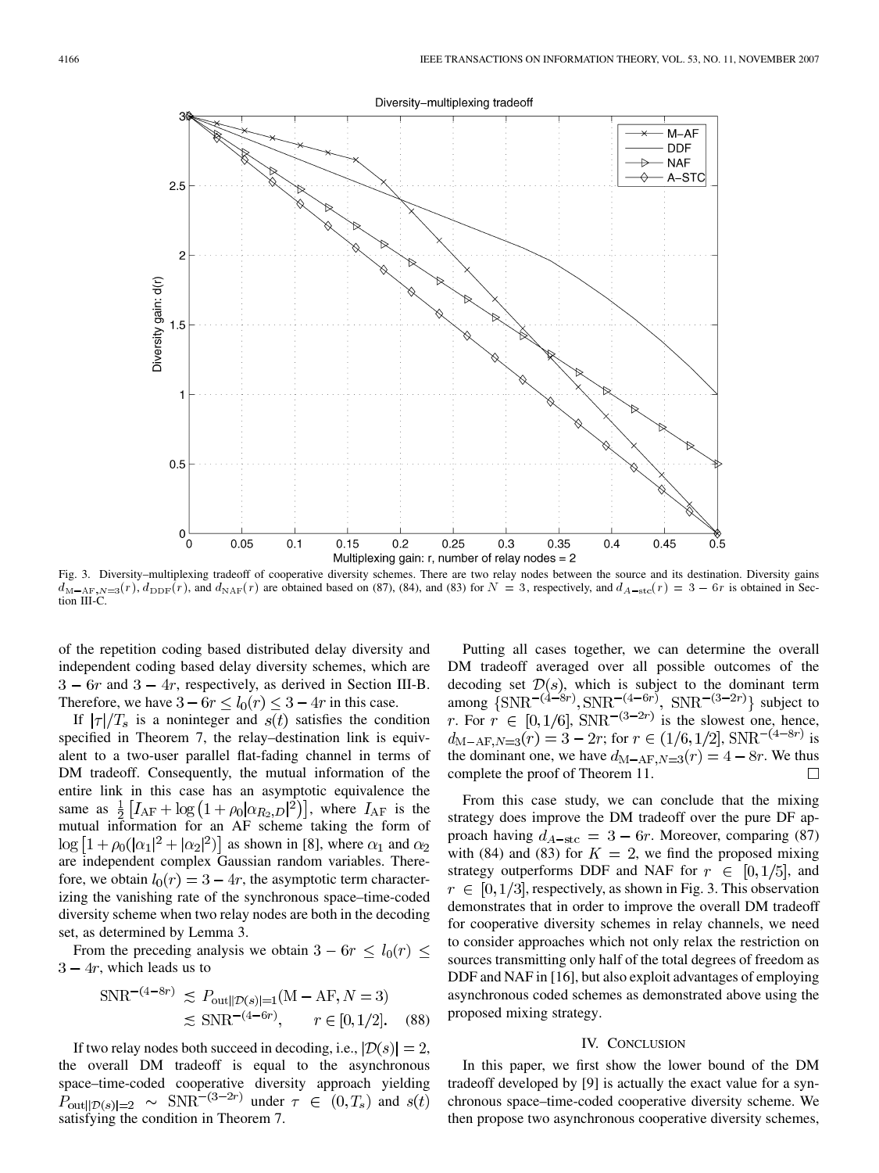

Fig. 3. Diversity–multiplexing tradeoff of cooperative diversity schemes. There are two relay nodes between the source and its destination. Diversity gains tion III-C.

of the repetition coding based distributed delay diversity and independent coding based delay diversity schemes, which are  $3 - 6r$  and  $3 - 4r$ , respectively, as derived in Section III-B. Therefore, we have  $3-6r \le l_0(r) \le 3-4r$  in this case.

If  $|\tau|/T_s$  is a noninteger and  $s(t)$  satisfies the condition specified in Theorem 7, the relay–destination link is equivalent to a two-user parallel flat-fading channel in terms of DM tradeoff. Consequently, the mutual information of the entire link in this case has an asymptotic equivalence the same as  $\frac{1}{2} [I_{\text{AF}} + \log (1 + \rho_0 | \alpha_{R_2,D} |^2)]$ , where  $I_{\text{AF}}$  is the mutual information for an AF scheme taking the form of  $\log |1 + \rho_0(|\alpha_1|^2 + |\alpha_2|^2)|$  as shown in [8], where  $\alpha_1$  and  $\alpha_2$ are independent complex Gaussian random variables. Therefore, we obtain  $l_0(r) = 3 - 4r$ , the asymptotic term characterizing the vanishing rate of the synchronous space–time-coded diversity scheme when two relay nodes are both in the decoding set, as determined by Lemma 3.

From the preceding analysis we obtain  $3-6r \le l_0(r) \le$  $3-4r$ , which leads us to

$$
SNR^{-(4-8r)} \lesssim P_{\text{out}||\mathcal{D}(s)|=1}(M - AF, N = 3)
$$
  

$$
\lesssim SNR^{-(4-6r)}, \qquad r \in [0, 1/2].
$$
 (88)

If two relay nodes both succeed in decoding, i.e.,  $|\mathcal{D}(s)| = 2$ , the overall DM tradeoff is equal to the asynchronous space–time-coded cooperative diversity approach yielding under  $\tau \in (0, T_s)$  and satisfying the condition in Theorem 7.

Putting all cases together, we can determine the overall DM tradeoff averaged over all possible outcomes of the decoding set  $\mathcal{D}(s)$ , which is subject to the dominant term among  $\{SNR^{-(4-8r)}, SNR^{-(4-6r)}, SNR^{-(3-2r)}\}$  subject to . For  $r \in [0, 1/6]$ , SNR<sup>-(3-2r)</sup> is the slowest one, hence,  $d_{\text{M-AF},N=3}(r) = 3 - 2r$ ; for  $r \in (1/6, 1/2]$ , SNR<sup>-(4-8r)</sup> is the dominant one, we have  $d_{M-AF,N=3}(r) = 4 - 8r$ . We thus complete the proof of Theorem 11.

From this case study, we can conclude that the mixing strategy does improve the DM tradeoff over the pure DF approach having  $d_{A-{\rm stc}} = 3 - 6r$ . Moreover, comparing (87) with (84) and (83) for  $K = 2$ , we find the proposed mixing strategy outperforms DDF and NAF for  $r \in [0,1/5]$ , and  $r \in [0, 1/3]$ , respectively, as shown in Fig. 3. This observation demonstrates that in order to improve the overall DM tradeoff for cooperative diversity schemes in relay channels, we need to consider approaches which not only relax the restriction on sources transmitting only half of the total degrees of freedom as DDF and NAF in [16], but also exploit advantages of employing asynchronous coded schemes as demonstrated above using the proposed mixing strategy.

#### IV. CONCLUSION

In this paper, we first show the lower bound of the DM tradeoff developed by [9] is actually the exact value for a synchronous space–time-coded cooperative diversity scheme. We then propose two asynchronous cooperative diversity schemes,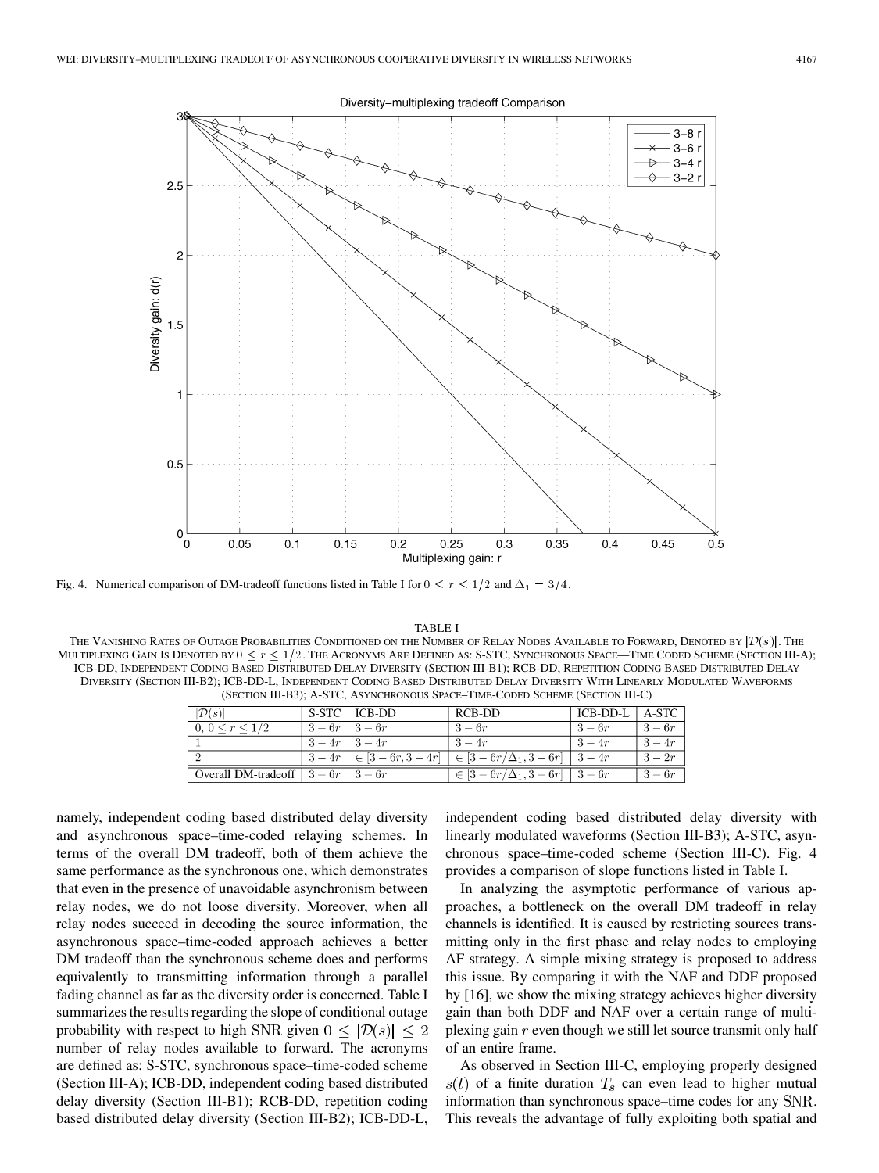

Fig. 4. Numerical comparison of DM-tradeoff functions listed in Table I for  $0 \le r \le 1/2$  and  $\Delta_1 = 3/4$ .

TABLE I THE VANISHING RATES OF OUTAGE PROBABILITIES CONDITIONED ON THE NUMBER OF RELAY NODES AVAILABLE TO FORWARD, DENOTED BY  $|\mathcal{D}(s)|$ . The MULTIPLEXING GAIN IS DENOTED BY  $0 \le r \le 1/2$ . The ACRONYMS ARE DEFINED AS: S-STC, SYNCHRONOUS SPACE—TIME CODED SCHEME (SECTION III-A); ICB-DD, INDEPENDENT CODING BASED DISTRIBUTED DELAY DIVERSITY (SECTION III-B1); RCB-DD, REPETITION CODING BASED DISTRIBUTED DELAY DIVERSITY (SECTION III-B2); ICB-DD-L, INDEPENDENT CODING BASED DISTRIBUTED DELAY DIVERSITY WITH LINEARLY MODULATED WAVEFORMS (SECTION III-B3); A-STC, ASYNCHRONOUS SPACE–TIME-CODED SCHEME (SECTION III-C)

| $\mathcal{D}(s)$                                |                 | S-STC   ICB-DD     | RCB-DD                               | ICB-DD-L | A-STC    |
|-------------------------------------------------|-----------------|--------------------|--------------------------------------|----------|----------|
| $0, 0 \leq r \leq 1/2$                          | $3-6r+3-6r$     |                    | $3-6r$                               | $3-6r$   | $3-6r$   |
|                                                 | $3-4r$   $3-4r$ |                    | $3-4r$                               | $3 - 4r$ | $3 - 4r$ |
|                                                 | $3-4r$          | $\in [3-6r, 3-4r]$ | $\in [3-6r/\Delta_1, 3-6r]$   $3-4r$ |          | $3-2r$   |
| Overall DM-tradeoff $\vert 3 - 6r \vert 3 - 6r$ |                 |                    | $\in [3-6r/\Delta_1, 3-6r]$   $3-6r$ |          | $3-6r$   |

namely, independent coding based distributed delay diversity and asynchronous space–time-coded relaying schemes. In terms of the overall DM tradeoff, both of them achieve the same performance as the synchronous one, which demonstrates that even in the presence of unavoidable asynchronism between relay nodes, we do not loose diversity. Moreover, when all relay nodes succeed in decoding the source information, the asynchronous space–time-coded approach achieves a better DM tradeoff than the synchronous scheme does and performs equivalently to transmitting information through a parallel fading channel as far as the diversity order is concerned. Table I summarizes the results regarding the slope of conditional outage probability with respect to high SNR given  $0 \leq |\mathcal{D}(s)| \leq 2$ number of relay nodes available to forward. The acronyms are defined as: S-STC, synchronous space–time-coded scheme (Section III-A); ICB-DD, independent coding based distributed delay diversity (Section III-B1); RCB-DD, repetition coding based distributed delay diversity (Section III-B2); ICB-DD-L,

independent coding based distributed delay diversity with linearly modulated waveforms (Section III-B3); A-STC, asynchronous space–time-coded scheme (Section III-C). Fig. 4 provides a comparison of slope functions listed in Table I.

In analyzing the asymptotic performance of various approaches, a bottleneck on the overall DM tradeoff in relay channels is identified. It is caused by restricting sources transmitting only in the first phase and relay nodes to employing AF strategy. A simple mixing strategy is proposed to address this issue. By comparing it with the NAF and DDF proposed by [16], we show the mixing strategy achieves higher diversity gain than both DDF and NAF over a certain range of multiplexing gain  $r$  even though we still let source transmit only half of an entire frame.

As observed in Section III-C, employing properly designed  $s(t)$  of a finite duration  $T_s$  can even lead to higher mutual information than synchronous space–time codes for any SNR. This reveals the advantage of fully exploiting both spatial and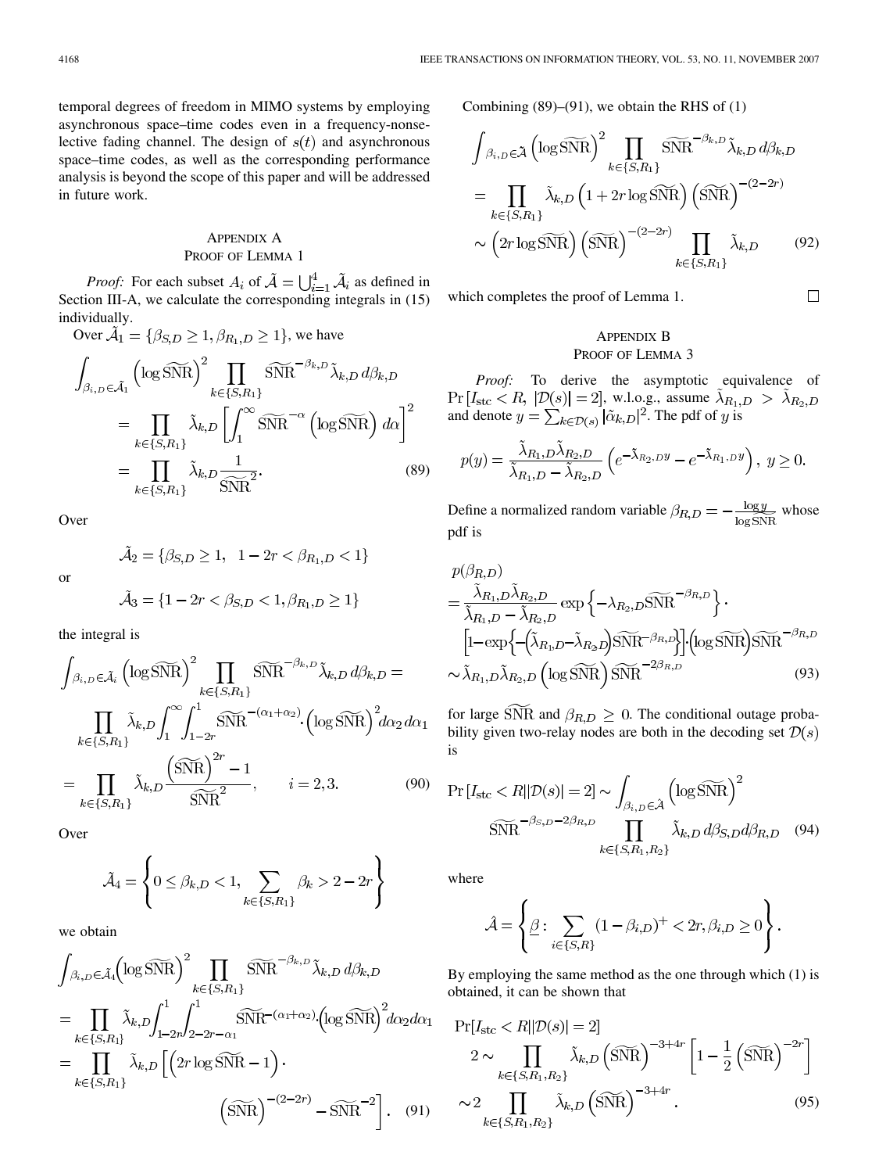temporal degrees of freedom in MIMO systems by employing asynchronous space–time codes even in a frequency-nonselective fading channel. The design of  $s(t)$  and asynchronous space–time codes, as well as the corresponding performance analysis is beyond the scope of this paper and will be addressed in future work.

## APPENDIX A PROOF OF LEMMA 1

*Proof:* For each subset  $A_i$  of  $\tilde{A} = \bigcup_{i=1}^4 \tilde{A}_i$  as defined in Section III-A, we calculate the corresponding integrals in (15) individually.

Over 
$$
\mathcal{A}_1 = \{\beta_{S,D} \ge 1, \beta_{R_1,D} \ge 1\}
$$
, we have  
\n
$$
\int_{\beta_{i,D} \in \tilde{\mathcal{A}}_1} \left(\log \widetilde{\text{SNR}}\right)^2 \prod_{k \in \{S, R_1\}} \widetilde{\text{SNR}}^{-\beta_{k,D}} \tilde{\lambda}_{k,D} d\beta_{k,D}
$$
\n
$$
= \prod_{k \in \{S, R_1\}} \tilde{\lambda}_{k,D} \left[\int_1^\infty \widetilde{\text{SNR}}^{-\alpha} \left(\log \widetilde{\text{SNR}}\right) d\alpha\right]^2
$$
\n
$$
= \prod_{k \in \{S, R_1\}} \tilde{\lambda}_{k,D} \frac{1}{\widetilde{\text{SNR}}^2}.
$$
\n(89)

Over

or

$$
\tilde{\mathcal{A}}_2 = \{ \beta_{S,D} \ge 1, \ 1 - 2r < \beta_{R_1, D} < 1 \}
$$
\n
$$
\tilde{\mathcal{A}}_3 = \{ 1 - 2r < \beta_{S,D} < 1, \beta_{R_1, D} \ge 1 \}
$$

the integral is

$$
\int_{\beta_{i,D}\in\tilde{\mathcal{A}}_{i}} \left(\log \widetilde{\text{SNR}}\right)^{2} \prod_{k\in\{S,R_{1}\}} \widetilde{\text{SNR}}^{-\beta_{k,D}} \tilde{\lambda}_{k,D} d\beta_{k,D} =
$$
\n
$$
\prod_{k\in\{S,R_{1}\}} \tilde{\lambda}_{k,D} \int_{1}^{\infty} \int_{1-2r}^{1} \widetilde{\text{SNR}}^{-\left(\alpha_{1}+\alpha_{2}\right)} \cdot \left(\log \widetilde{\text{SNR}}\right)^{2} d\alpha_{2} d\alpha_{1}
$$
\n
$$
= \prod_{k\in\{S,R_{1}\}} \tilde{\lambda}_{k,D} \frac{\left(\widetilde{\text{SNR}}\right)^{2r} - 1}{\widetilde{\text{SNR}}^{2}}, \qquad i = 2,3. \tag{90}
$$

Over

$$
\tilde{\mathcal{A}}_4 = \left\{ 0 \le \beta_{k,D} < 1, \sum_{k \in \{S, R_1\}} \beta_k > 2 - 2r \right\}
$$

we obtain

$$
\int_{\beta_{i,D}\in\tilde{\mathcal{A}}_{4}} \left(\log \widetilde{\text{SNR}}\right)^{2} \prod_{k\in\{S,R_{1}\}} \widetilde{\text{SNR}}^{-\beta_{k,D}} \tilde{\lambda}_{k,D} d\beta_{k,D}
$$
\n
$$
= \prod_{k\in\{S,R_{1}\}} \tilde{\lambda}_{k,D} \int_{1-2r}^{1} \int_{2-2r-\alpha_{1}}^{1} \widetilde{\text{SNR}}^{-\left(\alpha_{1}+\alpha_{2}\right)} \left(\log \widetilde{\text{SNR}}\right)^{2} d\alpha_{2} d\alpha_{1}
$$
\n
$$
= \prod_{k\in\{S,R_{1}\}} \tilde{\lambda}_{k,D} \left[\left(2r \log \widetilde{\text{SNR}}-1\right) \cdot \left(\widetilde{\text{SNR}}\right)^{-(2-2r)} - \widetilde{\text{SNR}}^{-2}\right]. \quad (91)
$$

Combining  $(89)$ – $(91)$ , we obtain the RHS of  $(1)$ 

$$
\int_{\beta_{i,D}\in\tilde{\mathcal{A}}} \left(\log \widetilde{\text{SNR}}\right)^{2} \prod_{k\in\{S,R_{1}\}} \widetilde{\text{SNR}}^{-\beta_{k,D}} \tilde{\lambda}_{k,D} d\beta_{k,D}
$$
\n
$$
= \prod_{k\in\{S,R_{1}\}} \tilde{\lambda}_{k,D} \left(1+2r \log \widetilde{\text{SNR}}\right) \left(\widetilde{\text{SNR}}\right)^{-(2-2r)} \sim \left(2r \log \widetilde{\text{SNR}}\right) \left(\widetilde{\text{SNR}}\right)^{-(2-2r)} \prod_{k\in\{S,R_{1}\}} \tilde{\lambda}_{k,D} \tag{92}
$$

which completes the proof of Lemma 1.

## APPENDIX B PROOF OF LEMMA 3

*Proof:* To derive the asymptotic equivalence of , w.l.o.g., assume and denote  $y = \sum_{k \in \mathcal{D}(s)} |\tilde{\alpha}_{k,D}|^2$ . The pdf of y is

$$
p(y) = \frac{\tilde{\lambda}_{R_1, D} \tilde{\lambda}_{R_2, D}}{\tilde{\lambda}_{R_1, D} - \tilde{\lambda}_{R_2, D}} \left( e^{-\tilde{\lambda}_{R_2, D} y} - e^{-\tilde{\lambda}_{R_1, D} y} \right), y \ge 0.
$$

Define a normalized random variable  $\beta_{R,D} = -\frac{\log y}{\log \text{SNR}}$  whose pdf is

$$
p(\beta_{R,D})
$$
  
=  $\frac{\tilde{\lambda}_{R_1,D}\tilde{\lambda}_{R_2,D}}{\tilde{\lambda}_{R_1,D} - \tilde{\lambda}_{R_2,D}} \exp \left\{-\lambda_{R_2,D}\widetilde{SNR}^{-\beta_{R,D}}\right\} \cdot \left[1 - \exp\left\{-\left(\tilde{\lambda}_{R_1,D} - \tilde{\lambda}_{R_2,D}\right)\widetilde{SNR}^{-\beta_{R,D}}\right\}\right] \cdot \left(\log \widetilde{SNR}\right) \widetilde{SNR}^{-\beta_{R,D}} \sim \tilde{\lambda}_{R_1,D}\tilde{\lambda}_{R_2,D} \left(\log \widetilde{SNR}\right) \widetilde{SNR}^{-2\beta_{R,D}} \tag{93}$ 

for large SNR and  $\beta_{R,D} \geq 0$ . The conditional outage probability given two-relay nodes are both in the decoding set  $\mathcal{D}(s)$ is

$$
\Pr\left[I_{\text{stc}} < R||\mathcal{D}(s)| = 2\right] \sim \int_{\beta_{i,D} \in \hat{\mathcal{A}}} \left(\log \widehat{\text{SNR}}\right)^2
$$
\n
$$
\widetilde{\text{SNR}}^{-\beta_{S,D} - 2\beta_{R,D}} \prod_{k \in \{S, R_1, R_2\}} \tilde{\lambda}_{k,D} \, d\beta_{S,D} \, d\beta_{R,D} \quad (94)
$$

where

$$
\hat{\mathcal{A}} = \left\{ \underline{\beta} : \sum_{i \in \{S,R\}} (1-\beta_{i,D})^+ < 2r, \beta_{i,D} \geq 0 \right\}.
$$

By employing the same method as the one through which (1) is obtained, it can be shown that

$$
\Pr[I_{\text{stc}} < R||\mathcal{D}(s)| = 2]
$$
\n
$$
2 \sim \prod_{k \in \{S, R_1, R_2\}} \tilde{\lambda}_{k,D} \left(\widehat{\text{SNR}}\right)^{-3+4r} \left[1 - \frac{1}{2} \left(\widehat{\text{SNR}}\right)^{-2r}\right]
$$
\n
$$
\sim 2 \prod_{k \in \{S, R_1, R_2\}} \tilde{\lambda}_{k,D} \left(\widehat{\text{SNR}}\right)^{-3+4r} . \tag{95}
$$

 $\Box$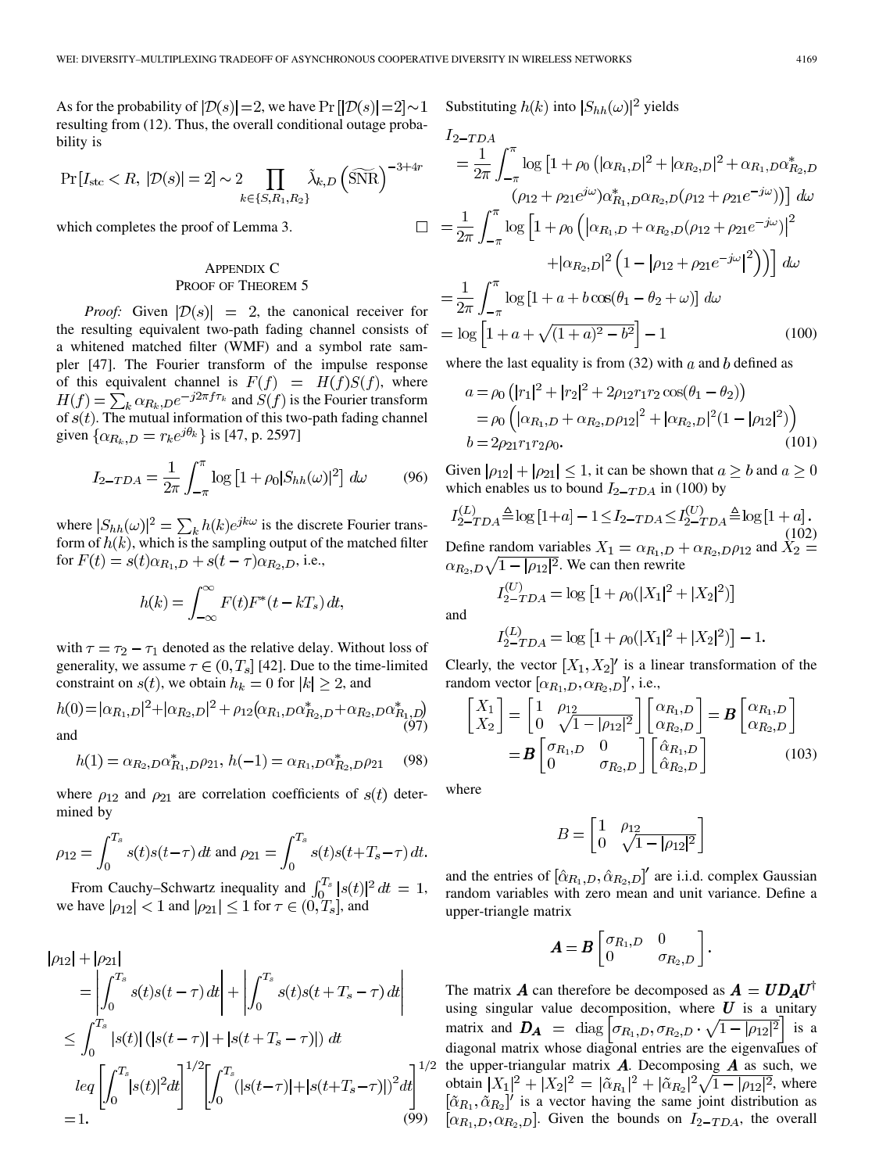$\Box$ 

As for the probability of  $|\mathcal{D}(s)| = 2$ , we have  $\Pr [|\mathcal{D}(s)| = 2] \sim 1$ resulting from (12). Thus, the overall conditional outage probability is

$$
\Pr[I_{\rm stc} < R, \ |\mathcal{D}(s)| = 2] \sim 2 \prod_{k \in \{S, R_1, R_2\}} \tilde{\lambda}_{k,D} \left(\widetilde{\rm SNR}\right)^{-3+4r}
$$

which completes the proof of Lemma 3.

# APPENDIX C PROOF OF THEOREM 5

*Proof:* Given  $|\mathcal{D}(s)| = 2$ , the canonical receiver for the resulting equivalent two-path fading channel consists of a whitened matched filter (WMF) and a symbol rate sampler [47]. The Fourier transform of the impulse response of this equivalent channel is  $F(f) = H(f)S(f)$ , where  $H(f) = \sum_k \alpha_{R_k, D} e^{-j2\pi f \tau_k}$  and  $S(f)$  is the Fourier transform of  $s(t)$ . The mutual information of this two-path fading channel given  $\{\alpha_{R_k, D} = r_k e^{j\theta_k}\}\$ is [47, p. 2597]

$$
I_{2-TDA} = \frac{1}{2\pi} \int_{-\pi}^{\pi} \log\left[1 + \rho_0 |S_{hh}(\omega)|^2\right] d\omega \tag{96}
$$

where  $|S_{hh}(\omega)|^2 = \sum_k h(k)e^{jk\omega}$  is the discrete Fourier transform of  $h(k)$ , which is the sampling output of the matched filter for  $F(t) = s(t)\alpha_{R_1,D} + s(t - \tau)\alpha_{R_2,D}$ , i.e.,

$$
h(k) = \int_{-\infty}^{\infty} F(t) F^*(t - kT_s) dt,
$$

with  $\tau = \tau_2 - \tau_1$  denoted as the relative delay. Without loss of generality, we assume  $\tau \in (0, T_s]$  [42]. Due to the time-limited constraint on  $s(t)$ , we obtain  $h_k = 0$  for  $|k| \geq 2$ , and

$$
h(0) = |\alpha_{R_1,D}|^2 + |\alpha_{R_2,D}|^2 + \rho_{12} (\alpha_{R_1,D} \alpha_{R_2,D}^* + \alpha_{R_2,D} \alpha_{R_1,D}^*)
$$
  
and (97)

$$
h(1) = \alpha_{R_2, D} \alpha_{R_1, D}^* \rho_{21}, h(-1) = \alpha_{R_1, D} \alpha_{R_2, D}^* \rho_{21} \quad (98)
$$

where  $\rho_{12}$  and  $\rho_{21}$  are correlation coefficients of  $s(t)$  determined by

$$
\rho_{12} = \int_0^{T_s} s(t)s(t-\tau) dt \text{ and } \rho_{21} = \int_0^{T_s} s(t)s(t+T_s-\tau) dt.
$$

From Cauchy–Schwartz inequality and  $\int_0^{1/s} |s(t)|^2 dt = 1$ , we have  $|\rho_{12}| < 1$  and  $|\rho_{21}| \leq 1$  for  $\tau \in (0, T_s]$ , and

$$
|\rho_{12}| + |\rho_{21}|
$$
  
\n
$$
= \left| \int_0^{T_s} s(t)s(t-\tau) dt \right| + \left| \int_0^{T_s} s(t)s(t+T_s-\tau) dt \right|
$$
  
\n
$$
\leq \int_0^{T_s} |s(t)| (|s(t-\tau)| + |s(t+T_s-\tau)|) dt
$$
  
\n
$$
\leq \int_0^{T_s} |s(t)|^2 dt \right|^{1/2} \left[ \int_0^{T_s} (|s(t-\tau)| + |s(t+T_s-\tau)|)^2 dt \right]^{1/2}
$$
  
\n= 1. (99)

Substituting  $h(k)$  into  $|S_{hh}(\omega)|^2$  yields

$$
I_{2-TDA}
$$
\n
$$
= \frac{1}{2\pi} \int_{-\pi}^{\pi} \log \left[ 1 + \rho_0 \left( |\alpha_{R_1,D}|^2 + |\alpha_{R_2,D}|^2 + \alpha_{R_1,D} \alpha_{R_2,D}^* \right) \right] d\omega
$$
\n
$$
= \frac{1}{2\pi} \int_{-\pi}^{\pi} \log \left[ 1 + \rho_0 \left( |\alpha_{R_1,D} + \alpha_{R_2,D}(\rho_{12} + \rho_{21}e^{-j\omega})| \right)^2 + |\alpha_{R_2,D}|^2 \left( 1 - |\rho_{12} + \rho_{21}e^{-j\omega}|^2 \right) \right) d\omega
$$
\n
$$
= \frac{1}{2\pi} \int_{-\pi}^{\pi} \log \left[ 1 + a + b \cos(\theta_1 - \theta_2 + \omega) \right] d\omega
$$
\n
$$
= \log \left[ 1 + a + \sqrt{(1 + a)^2 - b^2} \right] - 1 \qquad (100)
$$

where the last equality is from  $(32)$  with a and b defined as

$$
a = \rho_0 \left( |r_1|^2 + |r_2|^2 + 2\rho_{12}r_1r_2\cos(\theta_1 - \theta_2) \right)
$$
  
=  $\rho_0 \left( |\alpha_{R_1,D} + \alpha_{R_2,D}\rho_{12}|^2 + |\alpha_{R_2,D}|^2 (1 - |\rho_{12}|^2) \right)$   
 $b = 2\rho_{21}r_1r_2\rho_0.$  (101)

Given  $|\rho_{12}| + |\rho_{21}| \le 1$ , it can be shown that  $a \ge b$  and  $a \ge 0$ which enables us to bound  $I_{2-TDA}$  in (100) by

$$
I_{2-TDA}^{(L)} \triangleq \log\left[1+a\right] - 1 \le I_{2-TDA} \le I_{2-TDA}^{(U)} \triangleq \log\left[1+a\right].
$$
\n(102)

Define random variables  $X_1 = \alpha_{R_1,D} + \alpha_{R_2,D} \rho_{12}$  and  $\alpha_{R_2,D}\sqrt{1-|\rho_{12}|^2}$ . We can then rewrite

$$
I_{2-TDA}^{(U)} = \log\left[1 + \rho_0(|X_1|^2 + |X_2|^2)\right]
$$

$$
I_{2-TDA}^{(L)} = \log\left[1 + \rho_0(|X_1|^2 + |X_2|^2)\right] - 1.
$$

Clearly, the vector  $[X_1, X_2]'$  is a linear transformation of the random vector  $[\alpha_{R_1,D}, \alpha_{R_2,D}]'$ , i.e.,

$$
\begin{bmatrix} X_1 \\ X_2 \end{bmatrix} = \begin{bmatrix} 1 & \rho_{12} \\ 0 & \sqrt{1 - |\rho_{12}|^2} \end{bmatrix} \begin{bmatrix} \alpha_{R_1,D} \\ \alpha_{R_2,D} \end{bmatrix} = \boldsymbol{B} \begin{bmatrix} \alpha_{R_1,D} \\ \alpha_{R_2,D} \end{bmatrix}
$$

$$
= \boldsymbol{B} \begin{bmatrix} \sigma_{R_1,D} & 0 \\ 0 & \sigma_{R_2,D} \end{bmatrix} \begin{bmatrix} \hat{\alpha}_{R_1,D} \\ \hat{\alpha}_{R_2,D} \end{bmatrix}
$$
(103)

where

and

$$
B = \begin{bmatrix} 1 & \rho_{12} \\ 0 & \sqrt{1 - |\rho_{12}|^2} \end{bmatrix}
$$

and the entries of  $[\hat{\alpha}_{R_1,D}, \hat{\alpha}_{R_2,D}]'$  are i.i.d. complex Gaussian random variables with zero mean and unit variance. Define a upper-triangle matrix

$$
\boldsymbol{A} = \boldsymbol{B} \begin{bmatrix} \sigma_{R_1,D} & 0 \\ 0 & \sigma_{R_2,D} \end{bmatrix}
$$

The matrix **A** can therefore be decomposed as  $A = UD_A U^{\dagger}$ using singular value decomposition, where  $U$  is a unitary matrix and  $D_A$  = diag  $|\sigma_{R_1,D}, \sigma_{R_2,D} \cdot \sqrt{1 - |\rho_{12}|^2}|$  is a diagonal matrix whose diagonal entries are the eigenvalues of the upper-triangular matrix  $\boldsymbol{A}$ . Decomposing  $\boldsymbol{A}$  as such, we obtain  $|X_1|^2 + |X_2|^2 = |\tilde{\alpha}_{R_1}|^2 + |\tilde{\alpha}_{R_2}|^2 \sqrt{1 - |\rho_{12}|^2}$ , where  $[\tilde{\alpha}_{R_1}, \tilde{\alpha}_{R_2}]'$  is a vector having the same joint distribution as  $[\alpha_{R_1,D}, \alpha_{R_2,D}]$ . Given the bounds on  $I_{2-TDA}$ , the overall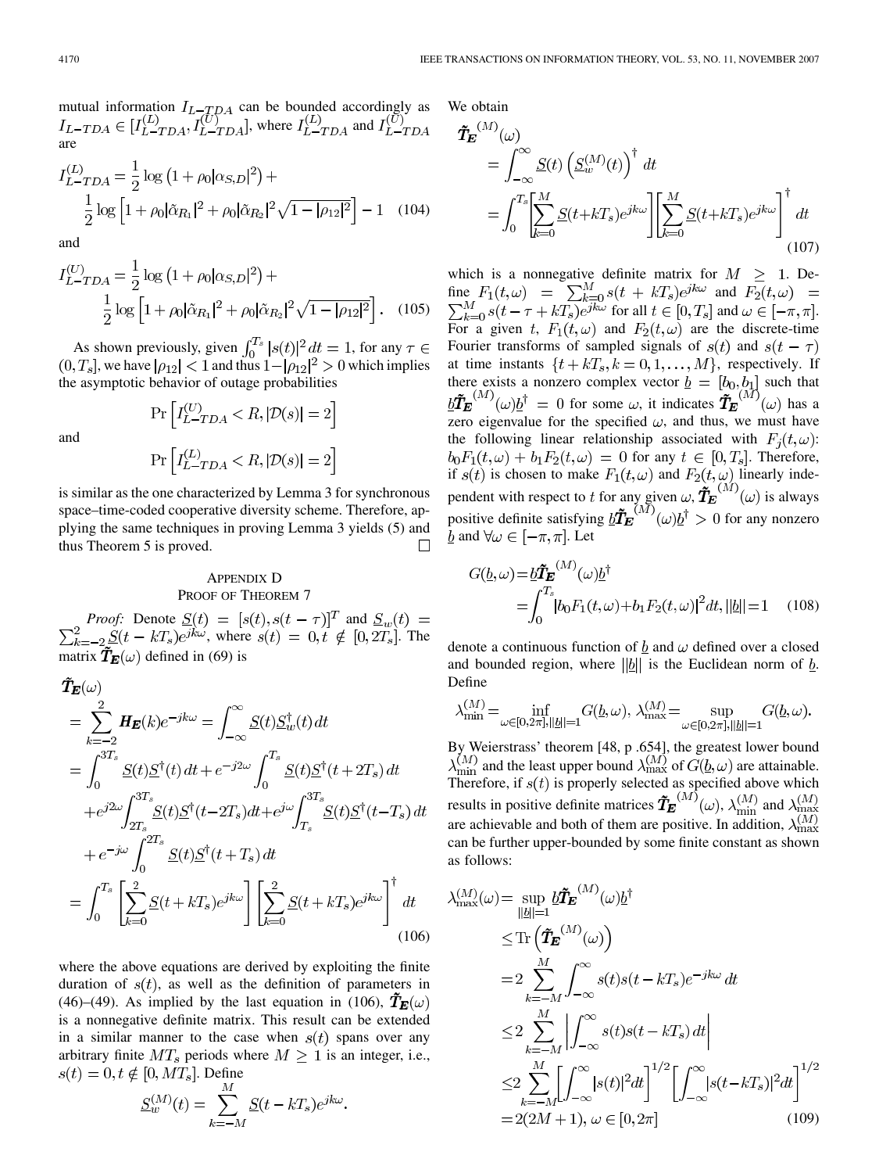mutual information  $I_{L-TDA}$  can be bounded accordingly as , where  $I_{L-TDA}^{(E)}$  and are

$$
I_{L-TDA}^{(L)} = \frac{1}{2} \log \left( 1 + \rho_0 |\alpha_{S,D}|^2 \right) +
$$
  

$$
\frac{1}{2} \log \left[ 1 + \rho_0 |\tilde{\alpha}_{R_1}|^2 + \rho_0 |\tilde{\alpha}_{R_2}|^2 \sqrt{1 - |\rho_{12}|^2} \right] - 1 \quad (104)
$$

and

and

$$
I_{L-TDA}^{(U)} = \frac{1}{2} \log \left( 1 + \rho_0 |\alpha_{S,D}|^2 \right) +
$$
  

$$
\frac{1}{2} \log \left[ 1 + \rho_0 |\tilde{\alpha}_{R_1}|^2 + \rho_0 |\tilde{\alpha}_{R_2}|^2 \sqrt{1 - |\rho_{12}|^2} \right].
$$
 (105)

As shown previously, given  $\int_0^{1_s} |s(t)|^2 dt = 1$ , for any , we have  $|\rho_{12}| < 1$  and thus  $1 - |\rho_{12}|^2 > 0$  which implies the asymptotic behavior of outage probabilities

$$
\Pr\left[I_{L-TDA}^{(U)} < R, |\mathcal{D}(s)| = 2\right]
$$
\n
$$
\Pr\left[I_{L-TDA}^{(L)} < R, |\mathcal{D}(s)| = 2\right]
$$

is similar as the one characterized by Lemma 3 for synchronous space–time-coded cooperative diversity scheme. Therefore, applying the same techniques in proving Lemma 3 yields (5) and thus Theorem 5 is proved.  $\Box$ 

# APPENDIX D PROOF OF THEOREM 7

*Proof:* Denote  $S(t) = [s(t), s(t - \tau)]^T$  and , where  $s(t) = 0, t \notin [0, 2T_s]$ . The matrix  $\tilde{T}_{E}(\omega)$  defined in (69) is

$$
\tilde{T}_{E}(\omega) \n= \sum_{k=-2}^{2} H_{E}(k)e^{-jk\omega} = \int_{-\infty}^{\infty} \underline{S}(t)\underline{S}_{w}^{\dagger}(t) dt \n= \int_{0}^{3T_{s}} \underline{S}(t)\underline{S}^{\dagger}(t) dt + e^{-j2\omega} \int_{0}^{T_{s}} \underline{S}(t)\underline{S}^{\dagger}(t + 2T_{s}) dt \n+ e^{j2\omega} \int_{2T_{s}}^{3T_{s}} \underline{S}(t)\underline{S}^{\dagger}(t - 2T_{s}) dt + e^{j\omega} \int_{T_{s}}^{3T_{s}} \underline{S}(t)\underline{S}^{\dagger}(t - T_{s}) dt \n+ e^{-j\omega} \int_{0}^{2T_{s}} \underline{S}(t)\underline{S}^{\dagger}(t + T_{s}) dt \n= \int_{0}^{T_{s}} \left[ \sum_{k=0}^{2} \underline{S}(t + kT_{s})e^{jk\omega} \right] \left[ \sum_{k=0}^{2} \underline{S}(t + kT_{s})e^{jk\omega} \right]^{\dagger} dt
$$
\n(106)

where the above equations are derived by exploiting the finite duration of  $s(t)$ , as well as the definition of parameters in (46)–(49). As implied by the last equation in (106),  $\mathbf{T}_{E}(\omega)$ is a nonnegative definite matrix. This result can be extended in a similar manner to the case when  $s(t)$  spans over any arbitrary finite  $MT_s$  periods where  $M \geq 1$  is an integer, i.e.,  $s(t) = 0, t \notin [0, MT_s]$ . Define

$$
S_w^{(M)}(t) = \sum_{k=-M}^{M} \underline{S}(t - kT_s)e^{jk\omega}
$$

We obtain

$$
\tilde{\mathbf{T}}_{\mathbf{E}}^{(M)}(\omega) = \int_{-\infty}^{\infty} \underline{S}(t) \left( \underline{S}_{w}^{(M)}(t) \right)^{\dagger} dt
$$
\n
$$
= \int_{0}^{T_s} \left[ \sum_{k=0}^{M} \underline{S}(t + kT_s) e^{jk\omega} \right] \left[ \sum_{k=0}^{M} \underline{S}(t + kT_s) e^{jk\omega} \right]^{\dagger} dt
$$
\n(107)

which is a nonnegative definite matrix for  $M \geq 1$ . Define  $F_1(t,\omega) = \sum_{k=0}^{M} s(t + kT_s)e^{jk\omega}$  and for all  $t \in [0, T_s]$  and  $\omega \in [-\pi, \pi]$ . For a given t,  $F_1(t,\omega)$  and  $F_2(t,\omega)$  are the discrete-time Fourier transforms of sampled signals of  $s(t)$  and  $s(t - \tau)$ at time instants  $\{t + kT_s, k = 0, 1, ..., M\}$ , respectively. If there exists a nonzero complex vector  $b = [b_0, b_1]$  such that for some  $\omega$ , it indicates  $T_E^{(m)}(\omega)$  has a zero eigenvalue for the specified  $\omega$ , and thus, we must have the following linear relationship associated with  $F_i(t, \omega)$ :  $b_0F_1(t,\omega) + b_1F_2(t,\omega) = 0$  for any  $t \in [0,T_s]$ . Therefore, if  $s(t)$  is chosen to make  $F_1(t,\omega)$  and  $F_2(t,\omega)$  linearly independent with respect to t for any given  $\omega, T_E^{(1)}(\omega)$  is always positive definite satisfying  $bT_E^{(m)}(\omega) \overline{b}^T > 0$  for any nonzero  $\underline{b}$  and  $\forall \omega \in [-\pi, \pi]$ . Let

$$
G(\underline{b}, \omega) = \underline{b} \tilde{T}_{\underline{E}}^{(M)}(\omega) \underline{b}^{\dagger}
$$
  
= 
$$
\int_0^{T_s} |b_0 F_1(t, \omega) + b_1 F_2(t, \omega)|^2 dt, ||\underline{b}|| = 1
$$
 (108)

denote a continuous function of  $\underline{b}$  and  $\omega$  defined over a closed and bounded region, where  $||\underline{b}||$  is the Euclidean norm of  $\underline{b}$ . Define

$$
\lambda_{\min}^{(M)} = \inf_{\omega \in [0, 2\pi], ||\underline{b}|| = 1} G(\underline{b}, \omega), \ \lambda_{\max}^{(M)} = \sup_{\omega \in [0, 2\pi], ||\underline{b}|| = 1} G(\underline{b}, \omega).
$$

By Weierstrass' theorem [48, p .654], the greatest lower bound and the least upper bound  $\lambda_{\max}^{(M)}$  of  $G(\underline{b}, \omega)$  are attainable. Therefore, if  $s(t)$  is properly selected as specified above which results in positive definite matrices  $\tilde{\textbf{I}}_{\textbf{E}}^{(M)}(\omega)$ ,  $\lambda_{\min}^{(M)}$  and  $\lambda_{\max}^{(M)}$ are achievable and both of them are positive. In addition,  $\lambda_{\text{max}}^{(M)}$ can be further upper-bounded by some finite constant as shown as follows:

$$
\lambda_{\max}^{(M)}(\omega) = \sup_{||\underline{b}||=1} \underline{b} \tilde{\mathbf{T}}_{E}^{(M)}(\omega) \underline{b}^{\dagger}
$$
  
\n
$$
\leq \text{Tr} \left( \tilde{\mathbf{T}}_{E}^{(M)}(\omega) \right)
$$
  
\n
$$
= 2 \sum_{k=-M}^{M} \int_{-\infty}^{\infty} s(t)s(t - kT_{s})e^{-jk\omega} dt
$$
  
\n
$$
\leq 2 \sum_{k=-M}^{M} \left| \int_{-\infty}^{\infty} s(t)s(t - kT_{s}) dt \right|
$$
  
\n
$$
\leq 2 \sum_{k=-M}^{M} \left| \int_{-\infty}^{\infty} |s(t)|^{2} dt \right|^{1/2} \left[ \int_{-\infty}^{\infty} |s(t - kT_{s})|^{2} dt \right]^{1/2}
$$
  
\n
$$
= 2(2M + 1), \omega \in [0, 2\pi]
$$
 (109)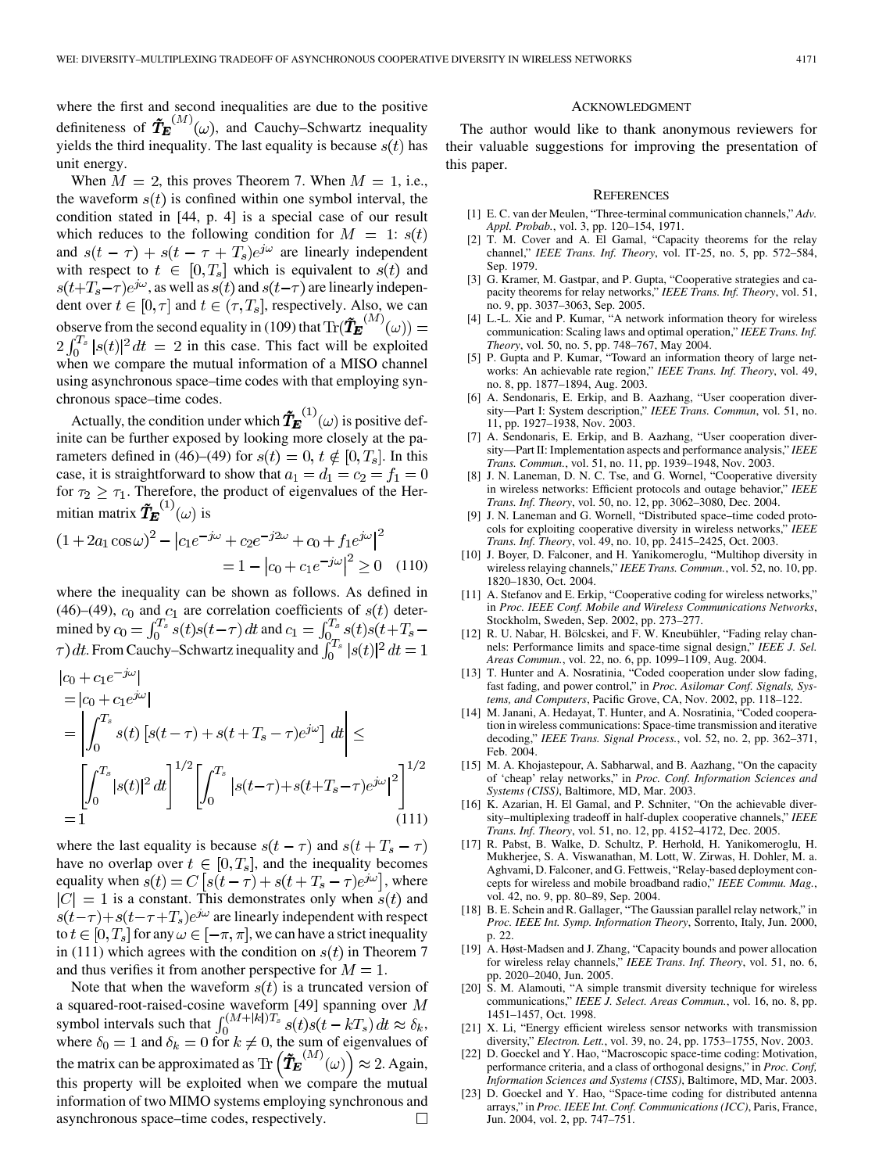where the first and second inequalities are due to the positive definiteness of  $\tilde{T}_{E}^{(M)}(\omega)$ , and Cauchy–Schwartz inequality yields the third inequality. The last equality is because  $s(t)$  has unit energy.

When  $M = 2$ , this proves Theorem 7. When  $M = 1$ , i.e., the waveform  $s(t)$  is confined within one symbol interval, the condition stated in [44, p. 4] is a special case of our result which reduces to the following condition for  $M = 1$ :  $s(t)$ and  $s(t - \tau) + s(t - \tau + T_s)e^{j\omega}$  are linearly independent with respect to  $t \in [0, T_s]$  which is equivalent to  $s(t)$  and  $s(t+T_s-\tau)e^{j\omega}$ , as well as  $s(t)$  and  $s(t-\tau)$  are linearly independent over  $t \in [0, \tau]$  and  $t \in (\tau, T_s]$ , respectively. Also, we can observe from the second equality in (109) that in this case. This fact will be exploited when we compare the mutual information of a MISO channel using asynchronous space–time codes with that employing synchronous space–time codes.

Actually, the condition under which  $\tilde{\textbf{T}}_{\textbf{E}}^{(1)}(\omega)$  is positive definite can be further exposed by looking more closely at the parameters defined in (46)–(49) for  $s(t) = 0, t \notin [0, T_s]$ . In this case, it is straightforward to show that  $a_1 = d_1 = c_2 = f_1 = 0$ for  $\tau_2 \geq \tau_1$ . Therefore, the product of eigenvalues of the Hermitian matrix  $T_E^{(1)}(\omega)$  is

$$
(1 + 2a_1 \cos \omega)^2 - |c_1 e^{-j\omega} + c_2 e^{-j2\omega} + c_0 + f_1 e^{j\omega}|^2
$$
  
= 1 - |c\_0 + c\_1 e^{-j\omega}|^2 \ge 0 (110)

where the inequality can be shown as follows. As defined in (46)–(49),  $c_0$  and  $c_1$  are correlation coefficients of  $s(t)$  determined by  $c_0 = \int_0^{1} s s(t)s(t-\tau) dt$  and . From Cauchy–Schwartz inequality and

$$
|c_0 + c_1 e^{-j\omega}|
$$
  
=  $|c_0 + c_1 e^{j\omega}|$   
=  $\left| \int_0^{T_s} s(t) \left[ s(t - \tau) + s(t + T_s - \tau) e^{j\omega} \right] dt \right| \le$   

$$
\left[ \int_0^{T_s} |s(t)|^2 dt \right]^{1/2} \left[ \int_0^{T_s} |s(t - \tau) + s(t + T_s - \tau) e^{j\omega}|^2 \right]^{1/2}
$$
  
= 1 (111)

where the last equality is because  $s(t - \tau)$  and  $s(t + T_s - \tau)$ have no overlap over  $t \in [0, T_s]$ , and the inequality becomes equality when  $s(t) = C [s(t - \tau) + s(t + T_s - \tau)e^{j\omega}]$ , where  $|C| = 1$  is a constant. This demonstrates only when  $s(t)$  and  $s(t-\tau)+s(t-\tau+T_s)e^{j\omega}$  are linearly independent with respect to  $t \in [0, T_s]$  for any  $\omega \in [-\pi, \pi]$ , we can have a strict inequality in (111) which agrees with the condition on  $s(t)$  in Theorem 7 and thus verifies it from another perspective for  $M = 1$ .

Note that when the waveform  $s(t)$  is a truncated version of a squared-root-raised-cosine waveform [49] spanning over symbol intervals such that  $\int_0^{(M+\mu)/I_s} s(t)s(t-kT_s) dt \approx \delta_k$ , where  $\delta_0 = 1$  and  $\delta_k = 0$  for  $k \neq 0$ , the sum of eigenvalues of the matrix can be approximated as Tr  $(T_E^{(1,1)}(\omega)) \approx 2$ . Again, this property will be exploited when we compare the mutual information of two MIMO systems employing synchronous and asynchronous space–time codes, respectively.  $\Box$ 

#### ACKNOWLEDGMENT

The author would like to thank anonymous reviewers for their valuable suggestions for improving the presentation of this paper.

#### **REFERENCES**

- [1] E. C. van der Meulen, "Three-terminal communication channels," *Adv. Appl. Probab.*, vol. 3, pp. 120–154, 1971.
- [2] T. M. Cover and A. El Gamal, "Capacity theorems for the relay channel," *IEEE Trans. Inf. Theory*, vol. IT-25, no. 5, pp. 572–584, Sep. 1979.
- [3] G. Kramer, M. Gastpar, and P. Gupta, "Cooperative strategies and capacity theorems for relay networks," *IEEE Trans. Inf. Theory*, vol. 51, no. 9, pp. 3037–3063, Sep. 2005.
- [4] L.-L. Xie and P. Kumar, "A network information theory for wireless communication: Scaling laws and optimal operation," *IEEE Trans. Inf. Theory*, vol. 50, no. 5, pp. 748–767, May 2004.
- [5] P. Gupta and P. Kumar, "Toward an information theory of large networks: An achievable rate region," *IEEE Trans. Inf. Theory*, vol. 49, no. 8, pp. 1877–1894, Aug. 2003.
- [6] A. Sendonaris, E. Erkip, and B. Aazhang, "User cooperation diversity—Part I: System description," *IEEE Trans. Commun*, vol. 51, no. 11, pp. 1927–1938, Nov. 2003.
- [7] A. Sendonaris, E. Erkip, and B. Aazhang, "User cooperation diversity—Part II: Implementation aspects and performance analysis," *IEEE Trans. Commun.*, vol. 51, no. 11, pp. 1939–1948, Nov. 2003.
- [8] J. N. Laneman, D. N. C. Tse, and G. Wornel, "Cooperative diversity in wireless networks: Efficient protocols and outage behavior," *IEEE Trans. Inf. Theory*, vol. 50, no. 12, pp. 3062–3080, Dec. 2004.
- J. N. Laneman and G. Wornell, "Distributed space–time coded protocols for exploiting cooperative diversity in wireless networks," *IEEE Trans. Inf. Theory*, vol. 49, no. 10, pp. 2415–2425, Oct. 2003.
- [10] J. Boyer, D. Falconer, and H. Yanikomeroglu, "Multihop diversity in wireless relaying channels," *IEEE Trans. Commun.*, vol. 52, no. 10, pp. 1820–1830, Oct. 2004.
- [11] A. Stefanov and E. Erkip, "Cooperative coding for wireless networks," in *Proc. IEEE Conf. Mobile and Wireless Communications Networks*, Stockholm, Sweden, Sep. 2002, pp. 273–277.
- [12] R. U. Nabar, H. Bölcskei, and F. W. Kneubühler, "Fading relay channels: Performance limits and space-time signal design," *IEEE J. Sel. Areas Commun.*, vol. 22, no. 6, pp. 1099–1109, Aug. 2004.
- [13] T. Hunter and A. Nosratinia, "Coded cooperation under slow fading, fast fading, and power control," in *Proc. Asilomar Conf. Signals, Systems, and Computers*, Pacific Grove, CA, Nov. 2002, pp. 118–122.
- [14] M. Janani, A. Hedayat, T. Hunter, and A. Nosratinia, "Coded cooperation in wireless communications: Space-time transmission and iterative decoding," *IEEE Trans. Signal Process.*, vol. 52, no. 2, pp. 362–371, Feb. 2004.
- [15] M. A. Khojastepour, A. Sabharwal, and B. Aazhang, "On the capacity of 'cheap' relay networks," in *Proc. Conf. Information Sciences and Systems (CISS)*, Baltimore, MD, Mar. 2003.
- [16] K. Azarian, H. El Gamal, and P. Schniter, "On the achievable diversity–multiplexing tradeoff in half-duplex cooperative channels," *IEEE Trans. Inf. Theory*, vol. 51, no. 12, pp. 4152–4172, Dec. 2005.
- [17] R. Pabst, B. Walke, D. Schultz, P. Herhold, H. Yanikomeroglu, H. Mukherjee, S. A. Viswanathan, M. Lott, W. Zirwas, H. Dohler, M. a. Aghvami, D. Falconer, and G. Fettweis, "Relay-based deployment concepts for wireless and mobile broadband radio," *IEEE Commu. Mag.*, vol. 42, no. 9, pp. 80–89, Sep. 2004.
- [18] B. E. Schein and R. Gallager, "The Gaussian parallel relay network," in *Proc. IEEE Int. Symp. Information Theory*, Sorrento, Italy, Jun. 2000, p. 22.
- [19] A. Høst-Madsen and J. Zhang, "Capacity bounds and power allocation for wireless relay channels," *IEEE Trans. Inf. Theory*, vol. 51, no. 6, pp. 2020–2040, Jun. 2005.
- [20] S. M. Alamouti, "A simple transmit diversity technique for wireless communications," *IEEE J. Select. Areas Commun.*, vol. 16, no. 8, pp. 1451–1457, Oct. 1998.
- [21] X. Li, "Energy efficient wireless sensor networks with transmission diversity," *Electron. Lett.*, vol. 39, no. 24, pp. 1753–1755, Nov. 2003.
- [22] D. Goeckel and Y. Hao, "Macroscopic space-time coding: Motivation, performance criteria, and a class of orthogonal designs," in *Proc. Conf, Information Sciences and Systems (CISS)*, Baltimore, MD, Mar. 2003.
- [23] D. Goeckel and Y. Hao, "Space-time coding for distributed antenna arrays," in *Proc. IEEE Int. Conf. Communications (ICC)*, Paris, France, Jun. 2004, vol. 2, pp. 747–751.